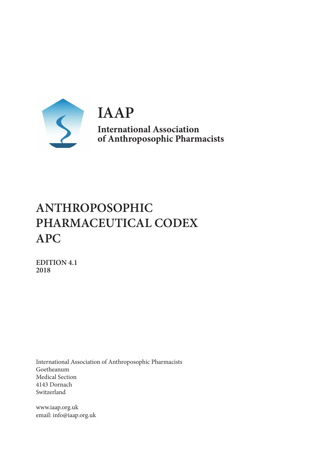

**IAAP International Association of Anthroposophic Pharmacists**

## **ANTHROPOSOPHIC PHARMACEUTICAL CODEX APC**

**EDITION 4.1 2018**

International Association of Anthroposophic Pharmacists Goetheanum Medical Section 4143 Dornach Switzerland

www.iaap.org.uk email: info@iaap.org.uk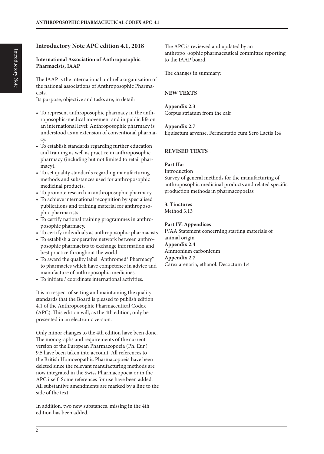## **Introductory Note APC edition 4.1, 2018**

#### **International Association of Anthroposophic Pharmacists, IAAP**

The IAAP is the international umbrella organisation of the national associations of Anthroposophic Pharmacists.

Its purpose, objective and tasks are, in detail:

- To represent anthroposophic pharmacy in the anthroposophic-medical movement and in public life on an international level: Anthroposophic pharmacy is understood as an extension of conventional pharmacy.
- To establish standards regarding further education and training as well as practice in anthroposophic pharmacy (including but not limited to retail pharmacy).
- To set quality standards regarding manufacturing methods and substances used for anthroposophic medicinal products.
- To promote research in anthroposophic pharmacy.
- To achieve international recognition by specialised publications and training material for anthroposophic pharmacists.
- To certify national training programmes in anthroposophic pharmacy.
- To certify individuals as anthroposophic pharmacists.
- To establish a cooperative network between anthroposophic pharmacists to exchange information and best practice throughout the world.
- To award the quality label "Anthromed® Pharmacy" to pharmacies which have competence in advice and manufacture of anthroposophic medicines.
- To initiate / coordinate international activities.

It is in respect of setting and maintaining the quality standards that the Board is pleased to publish edition 4.1 of the Anthroposophic Pharmaceutical Codex (APC). This edition will, as the 4th edition, only be presented in an electronic version.

Only minor changes to the 4th edition have been done. The monographs and requirements of the current version of the European Pharmacopoeia (Ph. Eur.) 9.5 have been taken into account. All references to the British Homoeopathic Pharmacopoeia have been deleted since the relevant manufacturing methods are now integrated in the Swiss Pharmacopoeia or in the APC itself. Some references for use have been added. All substantive amendments are marked by a line to the side of the text.

In addition, two new substances, missing in the 4th edition has been added.

The APC is reviewed and updated by an anthropo¬sophic pharmaceutical committee reporting to the IAAP board.

The changes in summary:

#### **NEW TEXTS**

**Appendix 2.3** Corpus striatum from the calf

**Appendix 2.7**

Equisetum arvense, Fermentatio cum Sero Lactis 1:4

## **REVISED TEXTS**

#### **Part IIa:**

Introduction

Survey of general methods for the manufacturing of anthroposophic medicinal products and related specific production methods in pharmacopoeias

## **3. Tinctures**

Method 3.13

## **Part IV: Appendices**

IVAA Statement concerning starting materials of animal origin **Appendix 2.4** Ammonium carbonicum **Appendix 2.7** Carex arenaria, ethanol. Decoctum 1:4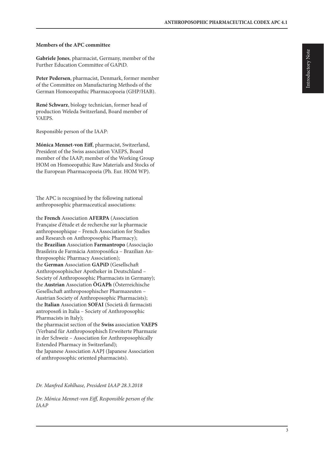#### **Members of the APC committee**

**Gabriele Jones**, pharmacist, Germany, member of the Further Education Committee of GAPiD.

**Peter Pedersen**, pharmacist, Denmark, former member of the Committee on Manufacturing Methods of the German Homoeopathic Pharmacopoeia (GHP/HAB).

**René Schwarz**, biology technician, former head of production Weleda Switzerland, Board member of VAEPS.

Responsible person of the IAAP:

**Mónica Mennet-von Eiff**, pharmacist, Switzerland, President of the Swiss association VAEPS, Board member of the IAAP; member of the Working Group HOM on Homoeopathic Raw Materials and Stocks of the European Pharmacopoeia (Ph. Eur. HOM WP).

The APC is recognised by the following national anthroposophic pharmaceutical associations:

the **French** Association **AFERPA** (Association Française d'étude et de recherche sur la pharmacie anthroposophique – French Association for Studies and Research on Anthroposophic Pharmacy); the **Brazilian** Association **Farmantropo** (Associação Brasileira de Farmácia Antroposófica – Brazilian Anthroposophic Pharmacy Association); the **German** Association **GAPiD** (Gesellschaft Anthroposophischer Apotheker in Deutschland – Society of Anthroposophic Pharmacists in Germany); the **Austrian** Association **ÖGAPh** (Österreichische Gesellschaft anthroposophischer Pharmazeuten – Austrian Society of Anthroposophic Pharmacists); the **Italian** Association **SOFAI** (Società di farmacisti antroposofi in Italia – Society of Anthroposophic Pharmacists in Italy);

the pharmacist section of the **Swiss** association **VAEPS** (Verband für Anthroposophisch Erweiterte Pharmazie in der Schweiz – Association for Anthroposophically Extended Pharmacy in Switzerland); the Japanese Association AAPJ (Japanese Association of anthroposophic oriented pharmacists).

*Dr. Manfred Kohlhase, President IAAP 28.3.2018*

*Dr. Mónica Mennet-von Eiff, Responsible person of the IAAP*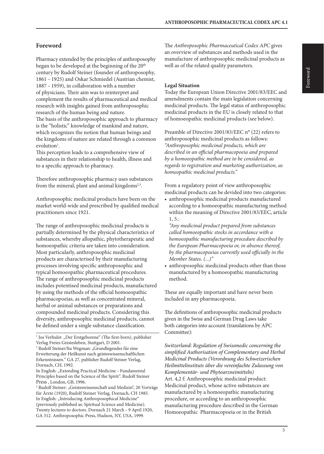## **Foreword**

Pharmacy extended by the principles of anthroposophy began to be developed at the beginning of the 20<sup>th</sup> century by Rudolf Steiner (founder of anthroposophy, 1861 – 1925) and Oskar Schmiedel (Austrian chemist, 1887 – 1959), in collaboration with a number of physicians. Their aim was to reinterpret and complement the results of pharmaceutical and medical research with insights gained from anthroposophic research of the human being and nature. The basis of the anthroposophic approach to pharmacy is the "holistic" knowledge of mankind and nature, which recognizes the notion that human beings and the kingdoms of nature are related through a common evolution<sup>1</sup>.

This perception leads to a comprehensive view of substances in their relationship to health, illness and to a specific approach to pharmacy.

Therefore anthroposophic pharmacy uses substances from the mineral, plant and animal kingdoms<sup>2,3</sup>.

Anthroposophic medicinal products have been on the market world-wide and prescribed by qualified medical practitioners since 1921.

The range of anthroposophic medicinal products is partially determined by the physical characteristics of substances, whereby allopathic, phytotherapeutic and homoeopathic criteria are taken into consideration. Most particularly, anthroposophic medicinal products are characterised by their manufacturing processes involving specific anthroposophic and typical homoeopathic pharmaceutical procedures. The range of anthroposophic medicinal products includes potentised medicinal products, manufactured by using the methods of the official homoeopathic pharmacopoeias, as well as concentrated mineral, herbal or animal substances or preparations and compounded medicinal products. Considering this diversity, anthroposophic medicinal products, cannot be defined under a single substance classification.

The *Anthroposophic Pharmaceutical Codex APC* gives an overview of substances and methods used in the manufacture of anthroposophic medicinal products as well as of the related quality parameters.

#### **Legal Situation**

Today the European Union Directive 2001/83/EEC and amendments contain the main legislation concerning medicinal products. The legal status of anthroposophic medicinal products in the EU is closely related to that of homoeopathic medicinal products (see below).

Preamble of Directive 2001/83/EEC n° (22) refers to anthroposophic medicinal products as follows: *"Anthroposophic medicinal products, which are described in an official pharmacopoeia and prepared by a homoeopathic method are to be considered, as regards to registration and marketing authorization, as homeopathic medicinal products."*

From a regulatory point of view anthroposophic medicinal products can be devided into two categories:

• anthroposophic medicinal products manufactured according to a homoeopathic manufacturing method within the meaning of Directive 2001/83/EEC, article  $1, 5.$ :

*"Any medicinal product prepared from substances called homoeopathic stocks in accordance with a homoeopathic manufacturing procedure described by the European Pharmacopoeia or, in absence thereof, by the pharmacopoeias currently used officially in the Member States. (...)"*

• anthroposophic medicinal products other than those manufactured by a homoeopathic manufacturing method.

These are equally important and have never been included in any pharmacopoeia.

The definitions of anthroposophic medicinal products given in the Swiss and German Drug Laws take both categories into account (translations by APC Committee):

*Switzerland: Regulation of Swissmedic concerning the simplified Authorisation of Complementary and Herbal Medicinal Products (Verordnung des Schweizerischen Heilmittelinstituts über die vereinfachte Zulassung von Komplementär- und Phytoarzneimitteln)* Art. 4,2 f: Anthroposophic medicinal product: Medicinal product, whose active substances are manufactured by a homoeopathic manufacturing procedure, or according to an anthroposophic manufacturing procedure described in the German Homoeopathic Pharmacopoeia or in the British

<sup>&</sup>lt;sup>1</sup> Jos Verhulst: "Der Erstgeborene" (The first-born), publisher Verlag Freies Geistesleben, Stuttgart, D 2001.

<sup>&</sup>lt;sup>2</sup> Rudolf Steiner/Ita Wegman: "Grundlegendes für eine Erweiterung der Heilkunst nach geisteswissenschaftlichen Erkenntnissen." GA 27, publisher Rudolf Steiner Verlag, Dornach, CH, 1992.

In English: "Extending Practical Medicine – Fundamental Principles based on the Science of the Spirit". Rudolf Steiner Press , London, GB, 1996.

<sup>&</sup>lt;sup>3</sup> Rudolf Steiner: "Geisteswissenschaft und Medizin", 20 Vorträge für Ärzte (1920), Rudolf Steiner Verlag, Dornach, CH 1985. In English: "Introducing Anthroposophical Medicine" (previously published as: Spiritual Science and Medicine). Twenty lectures to doctors. Dornach 21 March – 9 April 1920, GA 312. Anthroposophic Press, Hudson, NY, USA, 1999.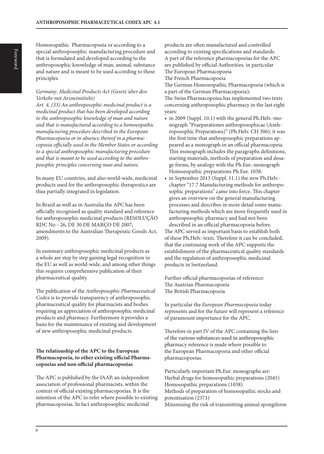Homoeopathic Pharmacopoeia or according to a special anthroposophic manufacturing procedure and that is formulated and developed according to the anthroposophic knowledge of man, animal, substance and nature and is meant to be used according to these principles.

#### *Germany: Medicinal Products Act (Gesetz über den Verkehr mit Arzneimitteln)*

*Art. 4, (33) An anthroposophic medicinal product is a medicinal product that has been developed according to the anthroposophic knowledge of man and nature and that is manufactured according to a homoeopathic manufacturing procedure described in the European Pharmacopoeia or in absence thereof in a pharmacopoeia officially used in the Member States or according to a special anthroposophic manufacturing procedure and that is meant to be used according to the anthroposophic principles concerning man and nature.*

In many EU countries, and also world-wide, medicinal products used for the anthroposophic therapeutics are thus partially integrated in legislation.

In Brazil as well as in Australia the APC has been officially recognised as quality standard and reference for anthroposophic medicinal products (RESOLUÇÃO RDC No – 26, DE 30 DE MARÇO DE 2007; amendments to the Australian Therapeutic Goods Act, 2009).

In summary anthroposophic medicinal products as a whole are step by step gaining legal recognition in the EU as well as world-wide, and among other things this requires comprehensive publication of their pharmaceutical quality.

The publication of the *Anthroposophic Pharmaceutical Codex* is to provide transparency of anthroposophic pharmaceutical quality for pharmacists and bodies requiring an appreciation of anthroposophic medicinal products and pharmacy. Furthermore it provides a basis for the maintenance of existing and development of new anthroposophic medicinal products.

#### **The relationship of the APC to the European Pharmacopoeia, to other existing official Pharmacopoeias and non official pharmacopoeias**

The APC is published by the IAAP, an independent association of professional pharmacists, within the context of official existing pharmacopoeias. It is the intention of the APC to refer where possible to existing pharmacopoeias. In fact anthroposophic medicinal

products are often manufactured and controlled according to existing specifications and standards. A part of the reference pharmacopoeias for the APC are published by official Authorities, in particular The European Pharmacopoeia The French Pharmacopoeia

The German Homoeopathic Pharmacopoeia (which is a part of the German Pharmacopoeia); The Swiss Pharmacopoiea has implemented two texts concerning anthroposophic pharmacy in the last eight

- years: • in 2009 (Suppl. 10.1) with the general Ph.Helv.-monograph "Praeparationes anthroposophicae (Anthroposophic Preparations)" (Ph.Helv. CH 306); it was the first time that anthroposophic preparations appeared as a monograph in an official pharmacopeia. This monograph includes the paragraphs definitions, starting materials, methods of preparation and dosage forms, by analogy with the Ph.Eur.-monograph Homoeopathic preparations Ph.Eur. 1038.
- in September 2013 (Suppl. 11.1) the new Ph.Helv. chapter "17.7 Manufacturing methods for anthroposophic preparations" came into force. This chapter gives an overview on the general manufacturing processes and describes in more detail some manufacturing methods which are more frequently used in anthroposophic pharmacy and had not been described in an official pharmacopoeia before. The APC served as important basis to establish both of these Ph.Helv.-texts. Therefore it can be concluded, that the continuing work of the APC supports the establishment of the pharmaceutical quality standards and the regulation of anthroposophic medicinal products in Switzerland.

Further official pharmacopoeias of reference: The Austrian Pharmacopoeia The British Pharmacopoeia

In particular the *European Pharmacopoeia* today represents and for the future will represent a reference of paramount importance for the APC.

Therefore in part IV of the APC containing the lists of the various substances used in anthroposophic pharmacy reference is made where possible to the European Pharmacopoeia and other official pharmacopoeias.

Particularly important Ph.Eur. monographs are: Herbal drugs for homoeopathic preparations (2045) Homoeopathic preparations (1038) Methods of preparation of homoeopathic stocks and potentisation (2371) Minimising the risk of transmitting animal spongiform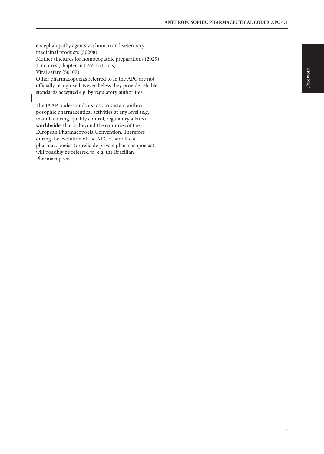encephalopathy agents via human and veterinary medicinal products (50208) Mother tinctures for homoeopathic preparations (2029) Tinctures (chapter in 0765 Extracts) Viral safety (50107) Other pharmacopoeias referred to in the APC are not officially recognised. Nevertheless they provide reliable standards accepted e.g. by regulatory authorities.

The IAAP understands its task to sustain anthroposophic pharmaceutical activities at any level (e.g. manufacturing, quality control, regulatory affairs), **worldwide**, that is, beyond the countries of the European Pharmacopoeia Convention. Therefore during the evolution of the APC other official pharmacopoeias (or reliable private pharmacopoeias) will possibly be referred to, e.g. the Brazilian Pharmacopoeia.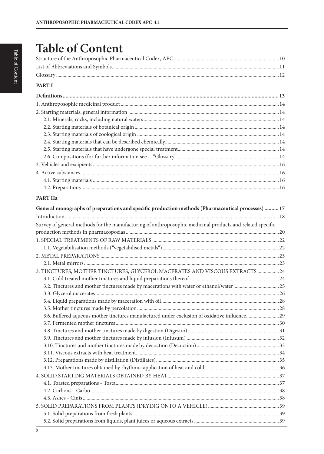## **Table of Content**

## **PART I**

## **PART IIa**

| General monographs of preparations and specific production methods (Pharmaceutical processes)  17         |  |
|-----------------------------------------------------------------------------------------------------------|--|
|                                                                                                           |  |
| Survey of general methods for the manufacturing of anthroposophic medicinal products and related specific |  |
|                                                                                                           |  |
|                                                                                                           |  |
|                                                                                                           |  |
|                                                                                                           |  |
|                                                                                                           |  |
| 3. TINCTURES, MOTHER TINCTURES, GLYCEROL MACERATES AND VISCOUS EXTRACTS  24                               |  |
|                                                                                                           |  |
| 3.2. Tinctures and mother tinctures made by macerations with water or ethanol/water25                     |  |
|                                                                                                           |  |
|                                                                                                           |  |
|                                                                                                           |  |
| 3.6. Buffered aqueous mother tinctures manufactured under exclusion of oxidative influence29              |  |
|                                                                                                           |  |
|                                                                                                           |  |
|                                                                                                           |  |
|                                                                                                           |  |
|                                                                                                           |  |
|                                                                                                           |  |
|                                                                                                           |  |
|                                                                                                           |  |
|                                                                                                           |  |
|                                                                                                           |  |
|                                                                                                           |  |
|                                                                                                           |  |
|                                                                                                           |  |
|                                                                                                           |  |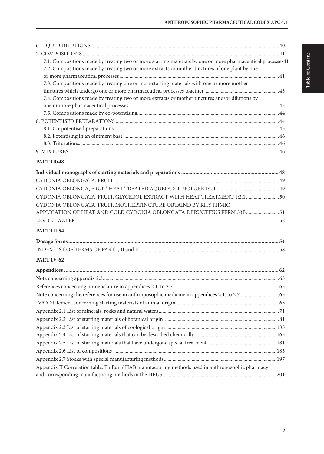| 7.1. Compositions made by treating two or more starting materials by one or more pharmaceutical processes41 |  |
|-------------------------------------------------------------------------------------------------------------|--|
| 7.2. Compositions made by treating two or more extracts or mother tinctures of one plant by one             |  |
|                                                                                                             |  |
| 7.3. Compositions made by treating one or more starting materials with one or more mother                   |  |
|                                                                                                             |  |
| 7.4. Compositions made by treating two or more extracts or mother tinctures and/or dilutions by             |  |
|                                                                                                             |  |
|                                                                                                             |  |
|                                                                                                             |  |
|                                                                                                             |  |
|                                                                                                             |  |
|                                                                                                             |  |
|                                                                                                             |  |

## **PART IIb48**

| CYDONIA OBLONGATA, FRUIT, GLYCEROL EXTRACT WITH HEAT TREATMENT 1:2.1  50 |  |
|--------------------------------------------------------------------------|--|
| CYDONIA OBLONGATA, FRUIT, MOTHERTINCTURE OBTAIND BY RHYTHMIC             |  |
| APPLICATION OF HEAT AND COLD CYDONIA OBLONGATA E FRUCTIBUS FERM 33B 51   |  |
|                                                                          |  |
|                                                                          |  |

## **PART III 54**

## **PART IV 62**

| Appendix II Correlation table: Ph.Eur. / HAB manufacturing methods used in anthroposophic pharmacy |  |
|----------------------------------------------------------------------------------------------------|--|
|                                                                                                    |  |
|                                                                                                    |  |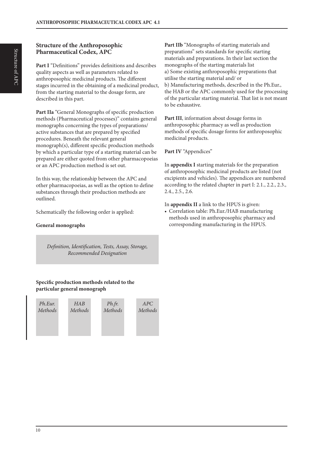## **Structure of the Anthroposophic Pharmaceutical Codex, APC**

**Part I** "Definitions" provides definitions and describes quality aspects as well as parameters related to anthroposophic medicinal products. The different stages incurred in the obtaining of a medicinal product, from the starting material to the dosage form, are described in this part.

Part IIa "General Monographs of specific production methods (Pharmaceutical processes)" contains general monographs concerning the types of preparations/ active substances that are prepared by specified procedures. Beneath the relevant general monograph(s), different specific production methods by which a particular type of a starting material can be prepared are either quoted from other pharmacopoeias or an APC production method is set out.

In this way, the relationship between the APC and other pharmacopoeias, as well as the option to define substances through their production methods are outlined.

Schematically the following order is applied:

## **General monographs**

*Definition, Identification, Tests, Assay, Storage, Recommended Designation*

## **Specific production methods related to the particular general monograph**



**Part IIb** "Monographs of starting materials and preparations" sets standards for specific starting materials and preparations. In their last section the monographs of the starting materials list a) Some existing anthroposophic preparations that utilise the starting material and/ or b) Manufacturing methods, described in the Ph.Eur., the HAB or the APC commonly used for the processing of the particular starting material. That list is not meant to be exhaustive.

**Part III**, information about dosage forms in anthroposophic pharmacy as well as production methods of specific dosage forms for anthroposophic medicinal products.

**Part IV** "Appendices"

In **appendix I** starting materials for the preparation of anthroposophic medicinal products are listed (not excipients and vehicles). The appendices are numbered according to the related chapter in part I: 2.1., 2.2., 2.3., 2.4., 2.5., 2.6.

In **appendix II** a link to the HPUS is given:

• Correlation table: Ph.Eur./HAB manufacturing methods used in anthroposophic pharmacy and corresponding manufacturing in the HPUS.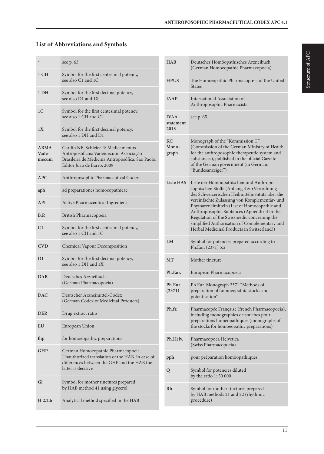## **List of Abbreviations and Symbols**

| ⊁                              | see p. 63                                                                                                                                                      |
|--------------------------------|----------------------------------------------------------------------------------------------------------------------------------------------------------------|
| 1 CH                           | Symbol for the first centesimal potency,<br>see also C1 and 1C                                                                                                 |
| 1 DH                           | Symbol for the first decimal potency,<br>see also D1 and 1X                                                                                                    |
| 1C                             | Symbol for the first centesimal potency,<br>see also 1 CH and C1                                                                                               |
| 1X                             | Symbol for the first decimal potency,<br>see also 1 DH and D1                                                                                                  |
| <b>ABMA-</b><br>Vade-<br>mecum | Gardin NE, Schleier R: Medicamentos<br>Antroposóficos: Vademecum. Associação<br>Brasileira de Medicina Antroposófica. São Paolo:<br>Editor João de Barro; 2009 |
| <b>APC</b>                     | Anthroposophic Pharmaceutical Codex                                                                                                                            |
| aph                            | ad preparationes homoeopathicae                                                                                                                                |
| API                            | Active Pharmaceutical Ingredient                                                                                                                               |
| B.P.                           | British Pharmacopoeia                                                                                                                                          |
| C <sub>1</sub>                 | Symbol for the first centesimal potency,<br>see also 1 CH and 1C                                                                                               |
| <b>CVD</b>                     | Chemical Vapour Decomposition                                                                                                                                  |
| D <sub>1</sub>                 | Symbol for the first decimal potency,<br>see also 1 DH and 1X                                                                                                  |
| <b>DAB</b>                     | Deutsches Arzneibuch<br>(German Pharmacopoeia)                                                                                                                 |
| DAC                            | Deutscher Arzneimittel-Codex<br>(German Codex of Medicinal Products)                                                                                           |
| <b>DER</b>                     | Drug extract ratio                                                                                                                                             |
| EU                             | European Union                                                                                                                                                 |
| fhp                            | for homoeopathic preparations                                                                                                                                  |
| GHP                            | German Homoeopathic Pharmacopoeia.<br>Unauthorized translation of the HAB. In case of<br>differences between the GHP and the HAB the<br>latter is decisive     |
| Gl                             | Symbol for mother tinctures prepared<br>by HAB method 41 using glycerol                                                                                        |
| H 2.2.6                        | Analytical method specified in the HAB                                                                                                                         |

| <b>HAB</b>                       | Deutsches Homöopathisches Arzneibuch<br>(German Homoeopathic Pharmacopoeia)                                                                                                                                                                                                                                                                                                                                                            |
|----------------------------------|----------------------------------------------------------------------------------------------------------------------------------------------------------------------------------------------------------------------------------------------------------------------------------------------------------------------------------------------------------------------------------------------------------------------------------------|
| <b>HPUS</b>                      | The Homœopathic Pharmacopœia of the United<br><b>States</b>                                                                                                                                                                                                                                                                                                                                                                            |
| <b>JAAP</b>                      | International Association of<br>Anthroposophic Pharmacists                                                                                                                                                                                                                                                                                                                                                                             |
| <b>IVAA</b><br>statement<br>2013 | see p. 65                                                                                                                                                                                                                                                                                                                                                                                                                              |
| KC<br>Mono-<br>graph             | Monograph of the "Kommission C"<br>(Commission of the German Ministry of Health<br>for the anthroposophic therapeutic system and<br>substances), published in the official Gazette<br>of the German government (in German:<br>"Bundesanzeiger")                                                                                                                                                                                        |
| <b>Liste HAS</b>                 | Liste der Homöopathischen und Anthropo-<br>sophischen Stoffe (Anhang 4 zur Verordnung<br>des Schweizerischen Heilmittelinstituts über die<br>vereinfachte Zulassung von Komplementär- und<br>Phytoarzneimitteln (List of Homoeopathic and<br>Anthroposophic Subtances (Appendix 4 in the<br>Regulation of the Swissmedic concerning the<br>simplified Authorisation of Complementary and<br>Herbal Medicinal Products in Switzerland)) |
| LM                               | Symbol for potencies prepared according to<br>Ph.Eur. (2371) 5.2                                                                                                                                                                                                                                                                                                                                                                       |
| <b>MT</b>                        | Mother tincture                                                                                                                                                                                                                                                                                                                                                                                                                        |
| Ph.Eur.                          | European Pharmacopoeia                                                                                                                                                                                                                                                                                                                                                                                                                 |
| Ph.Eur.<br>(2371)                | Ph.Eur. Monograph 2371 "Methods of<br>preparation of homoeopathic stocks and<br>potentisation <sup>'</sup>                                                                                                                                                                                                                                                                                                                             |
| Ph.fr.                           | Pharmacopée Française (french Pharmacopoeia),<br>including monographies de souches pour<br>préparations homéopathiques (monographs of<br>the stocks for homoeopathic preparations)                                                                                                                                                                                                                                                     |
| Ph.Helv.                         | Pharmacopoea Helvetica<br>(Swiss Pharmacopoeia)                                                                                                                                                                                                                                                                                                                                                                                        |
| pph                              | pour préparation homöopathiques                                                                                                                                                                                                                                                                                                                                                                                                        |
| Q                                | Symbol for potencies diluted<br>by the ratio 1:50 000                                                                                                                                                                                                                                                                                                                                                                                  |
| Rh                               | Symbol for mother tinctures prepared<br>by HAB methods 21 and 22 (rhythmic<br>procedure)                                                                                                                                                                                                                                                                                                                                               |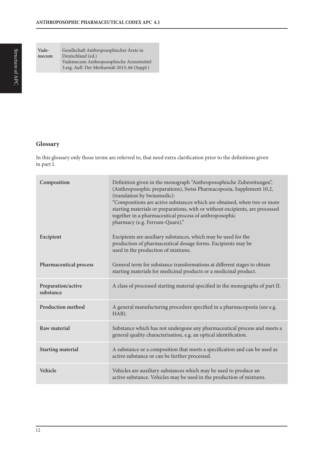Structure of APC

**Vademecum** Gesellschaft Anthroposophischer Ärzte in Deutschland (ed.) Vademecum Anthroposophische Arzneimittel 3.erg. Aufl. Der Merkurstab 2013; 66 (Suppl.)

## **Glossary**

In this glossary only those terms are referred to, that need extra clarification prior to the definitions given in part I.

| Composition                     | Definition given in the monograph "Anthroposophische Zubereitungen",<br>(Anthroposophic preparations), Swiss Pharmacopoeia, Supplement 10.2,<br>(translation by Swissmedic):<br>"Compositions are active substances which are obtained, when two or more<br>starting materials or preparations, with or without excipients, are processed<br>together in a pharmaceutical process of anthroposophic<br>pharmacy (e.g. Ferrum-Quarz)." |
|---------------------------------|---------------------------------------------------------------------------------------------------------------------------------------------------------------------------------------------------------------------------------------------------------------------------------------------------------------------------------------------------------------------------------------------------------------------------------------|
| Excipient                       | Excipients are auxiliary substances, which may be used for the<br>production of pharmaceutical dosage forms. Excipients may be<br>used in the production of mixtures.                                                                                                                                                                                                                                                                 |
| Pharmaceutical process          | General term for substance transformations at different stages to obtain<br>starting materials for medicinal products or a medicinal product.                                                                                                                                                                                                                                                                                         |
| Preparation/active<br>substance | A class of processed starting material specified in the monographs of part II.                                                                                                                                                                                                                                                                                                                                                        |
| Production method               | A general manufacturing procedure specified in a pharmacopoeia (see e.g.<br>HAB).                                                                                                                                                                                                                                                                                                                                                     |
| Raw material                    | Substance which has not undergone any pharmaceutical process and meets a<br>general quality characterisation, e.g. an optical identification.                                                                                                                                                                                                                                                                                         |
| <b>Starting material</b>        | A substance or a composition that meets a specification and can be used as<br>active substance or can be further processed.                                                                                                                                                                                                                                                                                                           |
| Vehicle                         | Vehicles are auxiliary substances which may be used to produce an<br>active substance. Vehicles may be used in the production of mixtures.                                                                                                                                                                                                                                                                                            |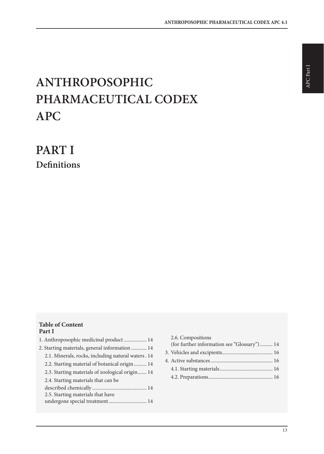# **ANTHROPOSOPHIC PHARMACEUTICAL CODEX APC**

**PART I Definitions**

## **Table of Content Part I**

| 1. Anthroposophic medicinal product  14            |
|----------------------------------------------------|
| 2. Starting materials, general information  14     |
| 2.1. Minerals, rocks, including natural waters. 14 |
| 2.2. Starting material of botanical origin  14     |
| 2.3. Starting materials of zoological origin 14    |
| 2.4. Starting materials that can be                |
|                                                    |
| 2.5. Starting materials that have                  |
| undergone special treatment 14                     |
|                                                    |

| 2.6. Compositions                           |  |
|---------------------------------------------|--|
| (for further information see "Glossary") 14 |  |
|                                             |  |
|                                             |  |
|                                             |  |
|                                             |  |
|                                             |  |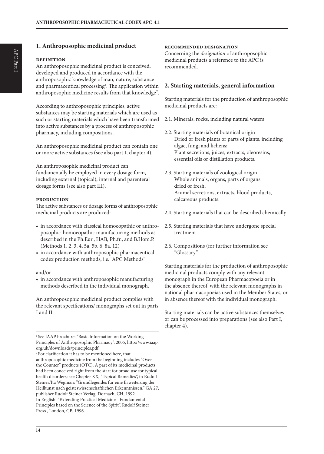## **1. Anthroposophic medicinal product**

#### **definition**

An anthroposophic medicinal product is conceived, developed and produced in accordance with the anthroposophic knowledge of man, nature, substance and pharmaceutical processing<sup>1</sup>. The application within anthroposophic medicine results from that knowledge².

According to anthroposophic principles, active substances may be starting materials which are used as such or starting materials which have been transformed into active substances by a process of anthroposophic pharmacy, including compositions.

An anthroposophic medicinal product can contain one or more active substances (see also part I, chapter 4).

An anthroposophic medicinal product can fundamentally be employed in every dosage form, including external (topical), internal and parenteral dosage forms (see also part III).

#### **production**

The active substances or dosage forms of anthroposophic medicinal products are produced:

- in accordance with classical homoeopathic or anthroposophic-homoeopathic manufacturing methods as described in the Ph.Eur., HAB, Ph.fr., and B.Hom.P. (Methods 1, 2, 3, 4, 5a, 5b, 6, 8a, 12)
- in accordance with anthroposophic pharmaceutical codex production methods, i.e. "APC Methods"

#### and/or

• in accordance with anthroposophic manufacturing methods described in the individual monograph.

An anthroposophic medicinal product complies with the relevant specifications/ monographs set out in parts I and II.

<sup>1</sup> See IAAP brochure: "Basic Information on the Working Principles of Anthroposophic Pharmacy", 2005, http://www.iaap. org.uk/downloads/principles.pdf

#### **recommended designation**

Concerning the *designation* of anthroposophic medicinal products a reference to the APC is recommended.

#### **2. Starting materials, general information**

Starting materials for the production of anthroposophic medicinal products are:

- 2.1. Minerals, rocks, including natural waters
- 2.2. Starting materials of botanical origin Dried or fresh plants or parts of plants, including algae, fungi and lichens; Plant secretions, juices, extracts, oleoresins, essential oils or distillation products.
- 2.3. Starting materials of zoological origin Whole animals, organs, parts of organs dried or fresh; Animal secretions, extracts, blood products, calcareous products.
- 2.4. Starting materials that can be described chemically
- 2.5. Starting materials that have undergone special treatment
- 2.6. Compositions (for further information see "Glossary"

Starting materials for the production of anthroposophic medicinal products comply with any relevant monograph in the European Pharmacopoeia or in the absence thereof, with the relevant monographs in national pharmacopoeias used in the Member States, or in absence thereof with the individual monograph.

Starting materials can be active substances themselves or can be processed into preparations (see also Part I, chapter 4).

<sup>2</sup> For clarification it has to be mentioned here, that anthroposophic medicine from the beginning includes "Over the Counter" products (OTC). A part of its medicinal products had been conceived right from the start for broad use for typical health disorders; see Chapter XX, "Typical Remedies", in Rudolf Steiner/Ita Wegman: "Grundlegendes für eine Erweiterung der Heilkunst nach geisteswissenschaftlichen Erkenntnissen." GA 27, publisher Rudolf Steiner Verlag, Dornach, CH, 1992. In English: "Extending Practical Medicine – Fundamental Principles based on the Science of the Spirit". Rudolf Steiner Press , London, GB, 1996.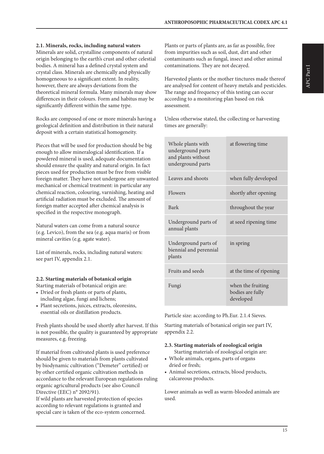**2.1. Minerals, rocks, including natural waters**

Minerals are solid, crystalline components of natural origin belonging to the earth's crust and other celestial bodies. A mineral has a defined crystal system and crystal class. Minerals are chemically and physically homogeneous to a significant extent. In reality, however, there are always deviations from the theoretical mineral formula. Many minerals may show differences in their colours. Form and habitus may be significantly different within the same type.

Rocks are composed of one or more minerals having a geological definition and distribution in their natural deposit with a certain statistical homogeneity.

Pieces that will be used for production should be big enough to allow mineralogical identification. If a powdered mineral is used, adequate documentation should ensure the quality and natural origin. In fact pieces used for production must be free from visible foreign matter. They have not undergone any unwanted mechanical or chemical treatment: in particular any chemical reaction, colouring, varnishing, heating and artificial radiation must be excluded. The amount of foreign matter accepted after chemical analysis is specified in the respective monograph.

Natural waters can come from a natural source (e.g. Levico), from the sea (e.g. aqua maris) or from mineral cavities (e.g. agate water).

List of minerals, rocks, including natural waters: see part IV, appendix 2.1.

## **2.2. Starting materials of botanical origin**

Starting materials of botanical origin are:

- Dried or fresh plants or parts of plants, including algae, fungi and lichens;
- Plant secretions, juices, extracts, oleoresins, essential oils or distillation products.

Fresh plants should be used shortly after harvest. If this is not possible, the quality is guaranteed by appropriate measures, e.g. freezing.

If material from cultivated plants is used preference should be given to materials from plants cultivated by biodynamic cultivation ("Demeter" certified) or by other certified organic cultivation methods in accordance to the relevant European regulations ruling organic agricultural products (see also Council Directive (EEC) n° 2092/91).

If wild plants are harvested protection of species according to relevant regulations is granted and special care is taken of the eco-system concerned. Plants or parts of plants are, as far as possible, free from impurities such as soil, dust, dirt and other contaminants such as fungal, insect and other animal contaminations. They are not decayed.

Harvested plants or the mother tinctures made thereof are analysed for content of heavy metals and pesticides. The range and frequency of this testing can occur according to a monitoring plan based on risk assessment.

Unless otherwise stated, the collecting or harvesting times are generally:

| Whole plants with<br>underground parts<br>and plants without<br>underground parts | at flowering time                                  |
|-----------------------------------------------------------------------------------|----------------------------------------------------|
| Leaves and shoots                                                                 | when fully developed                               |
| Flowers                                                                           | shortly after opening                              |
| Bark                                                                              | throughout the year                                |
| Underground parts of<br>annual plants                                             | at seed ripening time                              |
| Underground parts of<br>biennial and perennial<br>plants                          | in spring                                          |
| Fruits and seeds                                                                  | at the time of ripening                            |
| Fungi                                                                             | when the fruiting<br>bodies are fully<br>developed |

Particle size: according to Ph.Eur. 2.1.4 Sieves.

Starting materials of botanical origin see part IV, appendix 2.2.

## **2.3. Starting materials of zoological origin**

Starting materials of zoological origin are:

- Whole animals, organs, parts of organs dried or fresh;
- Animal secretions, extracts, blood products, calcareous products.

Lower animals as well as warm-blooded animals are used.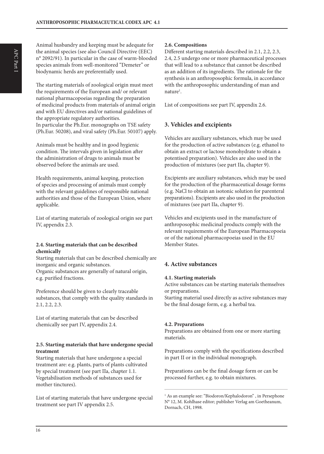Animal husbandry and keeping must be adequate for the animal species (see also Council Directive (EEC) n° 2092/91). In particular in the case of warm-blooded species animals from well-monitored "Demeter" or biodynamic herds are preferentially used.

The starting materials of zoological origin must meet the requirements of the European and/ or relevant national pharmacopoeias regarding the preparation of medicinal products from materials of animal origin and with EU directives and/or national guidelines of the appropriate regulatory authorities. In particular the Ph.Eur. monographs on TSE safety (Ph.Eur. 50208), and viral safety (Ph.Eur. 50107) apply.

Animals must be healthy and in good hygienic condition. The intervals given in legislation after the administration of drugs to animals must be observed before the animals are used.

Health requirements, animal keeping, protection of species and processing of animals must comply with the relevant guidelines of responsible national authorities and those of the European Union, where applicable.

List of starting materials of zoological origin see part IV, appendix 2.3.

#### **2.4. Starting materials that can be described chemically**

Starting materials that can be described chemically are inorganic and organic substances. Organic substances are generally of natural origin, e.g. purified fractions.

Preference should be given to clearly traceable substances, that comply with the quality standards in 2.1, 2.2, 2.3.

List of starting materials that can be described chemically see part IV, appendix 2.4.

#### **2.5. Starting materials that have undergone special treatment**

Starting materials that have undergone a special treatment are: e.g. plants, parts of plants cultivated by special treatment (see part IIa, chapter 1.1. Vegetabilisation methods of substances used for mother tinctures).

List of starting materials that have undergone special treatment see part IV appendix 2.5.

### **2.6. Compositions**

Different starting materials described in 2.1, 2.2, 2.3, 2.4, 2.5 undergo one or more pharmaceutical processes that will lead to a substance that cannot be described as an addition of its ingredients. The rationale for the synthesis is an anthroposophic formula, in accordance with the anthroposophic understanding of man and nature<sup>1</sup>.

List of compositions see part IV, appendix 2.6.

## **3. Vehicles and excipients**

Vehicles are auxiliary substances, which may be used for the production of active substances (e.g. ethanol to obtain an extract or lactose monohydrate to obtain a potentised preparation). Vehicles are also used in the production of mixtures (see part IIa, chapter 9).

Excipients are auxiliary substances, which may be used for the production of the pharmaceutical dosage forms (e.g. NaCl to obtain an isotonic solution for parenteral preparations). Excipients are also used in the production of mixtures (see part IIa, chapter 9).

Vehicles and excipients used in the manufacture of anthroposophic medicinal products comply with the relevant requirements of the European Pharmacopoeia or of the national pharmacopoeias used in the EU Member States.

## **4. Active substances**

#### **4.1. Starting materials**

Active substances can be starting materials themselves or preparations.

Starting material used directly as active substances may be the final dosage form, e.g. a herbal tea.

#### **4.2. Preparations**

Preparations are obtained from one or more starting materials.

Preparations comply with the specifications described in part II or in the individual monograph.

Preparations can be the final dosage form or can be processed further, e.g. to obtain mixtures.

<sup>1</sup> As an example see: "Biodoron/Kephalodoron", in Persephone N° 12, M. Kohlhase editor; publisher Verlag am Goetheanum, Dornach, CH, 1998.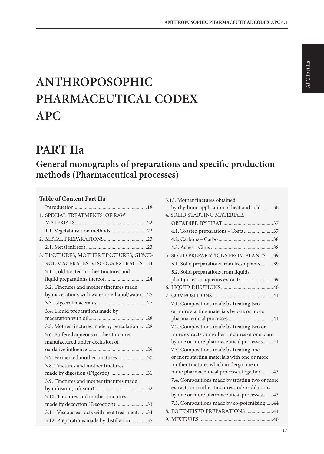# **ANTHROPOSOPHIC PHARMACEUTICAL CODEX APC**

## **PART IIa**

## **General monographs of preparations and specific production methods (Pharmaceutical processes)**

## **Table of Content Part IIa**

| 1. SPECIAL TREATMENTS OF RAW                 |
|----------------------------------------------|
|                                              |
| 1.1. Vegetabilisation methods 22             |
|                                              |
|                                              |
| 3. TINCTURES, MOTHER TINCTURES, GLYCE-       |
| ROL MACERATES, VISCOUS EXTRACTS24            |
| 3.1. Cold treated mother tinctures and       |
|                                              |
| 3.2. Tinctures and mother tinctures made     |
| by macerations with water or ethanol/water25 |
|                                              |
| 3.4. Liquid preparations made by             |
|                                              |
| 3.5. Mother tinctures made by percolation 28 |
| 3.6. Buffered aqueous mother tinctures       |
| manufactured under exclusion of              |
|                                              |
| 3.7. Fermented mother tinctures 30           |
| 3.8. Tinctures and mother tinctures          |
| made by digestion (Digestio) 31              |
| 3.9. Tinctures and mother tinctures made     |
|                                              |
| 3.10. Tinctures and mother tinctures         |
| made by decoction (Decoction) 33             |
| 3.11. Viscous extracts with heat treatment34 |
| 3.12. Preparations made by distillation35    |

| 3.13. Mother tinctures obtained                |
|------------------------------------------------|
| by rhythmic application of heat and cold36     |
| <b>4. SOLID STARTING MATERIALS</b>             |
|                                                |
| 4.1. Toasted preparations - Tosta 37           |
|                                                |
|                                                |
| 5. SOLID PREPARATIONS FROM PLANTS 39           |
| 5.1. Solid preparations from fresh plants39    |
| 5.2. Solid preparations from liquids,          |
| plant juices or aqueous extracts39             |
|                                                |
|                                                |
| 7.1. Compositions made by treating two         |
| or more starting materials by one or more      |
|                                                |
| 7.2. Compositions made by treating two or      |
| more extracts or mother tinctures of one plant |
| by one or more pharmaceutical processes41      |
| 7.3. Compositions made by treating one         |
| or more starting materials with one or more    |
| mother tinctures which undergo one or          |
| more pharmaceutical processes together43       |
| 7.4. Compositions made by treating two or more |
| extracts or mother tinctures and/or dilutions  |
| by one or more pharmaceutical processes43      |
| 7.5. Compositions made by co-potentising44     |
| 8. POTENTISED PREPARATIONS44                   |
|                                                |
|                                                |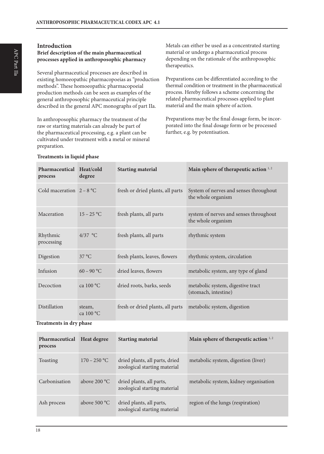## **Introduction**

## **Brief description of the main pharmaceutical processes applied in anthroposophic pharmacy**

Several pharmaceutical processes are described in existing homoeopathic pharmacopoeias as "production methods". These homoeopathic pharmacopoeial production methods can be seen as examples of the general anthroposophic pharmaceutical principle described in the general APC monographs of part IIa.

In anthroposophic pharmacy the treatment of the raw or starting materials can already be part of the pharmaceutical processing, e.g. a plant can be cultivated under treatment with a metal or mineral preparation.

Metals can either be used as a concentrated starting material or undergo a pharmaceutical process depending on the rationale of the anthroposophic therapeutics.

Preparations can be differentiated according to the thermal condition or treatment in the pharmaceutical process. Hereby follows a scheme concerning the related pharmaceutical processes applied to plant material and the main sphere of action.

Preparations may be the final dosage form, be incorporated into the final dosage form or be processed further, e.g. by potentisation.

| Pharmaceutical Heat/cold<br>process | degree                | <b>Starting material</b>         | Main sphere of therapeutic action 1,2                        |
|-------------------------------------|-----------------------|----------------------------------|--------------------------------------------------------------|
| Cold maceration $2 - 8$ °C          |                       | fresh or dried plants, all parts | System of nerves and senses throughout<br>the whole organism |
| Maceration                          | $15 - 25$ °C          | fresh plants, all parts          | system of nerves and senses throughout<br>the whole organism |
| Rhythmic<br>processing              | $4/37$ °C             | fresh plants, all parts          | rhythmic system                                              |
| Digestion                           | 37 °C                 | fresh plants, leaves, flowers    | rhythmic system, circulation                                 |
| Infusion                            | $60 - 90$ °C          | dried leaves, flowers            | metabolic system, any type of gland                          |
| Decoction                           | ca $100^{\circ}$ C    | dried roots, barks, seeds        | metabolic system, digestive tract<br>(stomach, intestine)    |
| Distillation                        | steam,<br>ca $100 °C$ | fresh or dried plants, all parts | metabolic system, digestion                                  |

#### **Treatments in liquid phase**

**Treatments in dry phase**

| Pharmaceutical<br>process | Heat degree    | <b>Starting material</b>                                       | Main sphere of therapeutic action $1, 2$ |
|---------------------------|----------------|----------------------------------------------------------------|------------------------------------------|
| Toasting                  | $170 - 250$ °C | dried plants, all parts, dried<br>zoological starting material | metabolic system, digestion (liver)      |
| Carbonisation             | above 200 °C   | dried plants, all parts,<br>zoological starting material       | metabolic system, kidney organisation    |
| Ash process               | above 500 °C   | dried plants, all parts,<br>zoological starting material       | region of the lungs (respiration)        |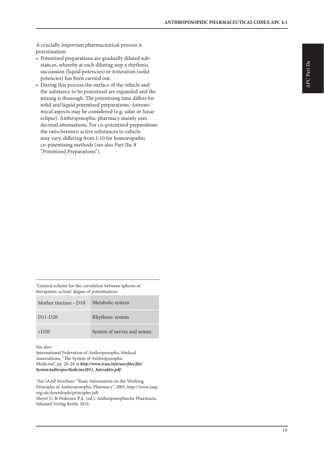A crucially important pharmaceutical process is potentisation:

- Potentised preparations are gradually diluted substances, whereby at each diluting step a rhythmic succussion (liquid potencies) or trituration (solid potencies) has been carried out.
- During this process the surface of the vehicle and the substance to be potentised are expanded and the mixing is thorough. The potentising time differs for solid and liquid potentised preparations. Astronomical aspects may be considered (e.g. solar or lunar eclipse). Anthroposophic pharmacy mainly uses decimal attenuations. For co-potentised preparations the ratio between active substances to vehicle may vary, differing from 1:10 for homoeopathic co-potentising methods (see also Part IIa, 8 "Potentised Preparations").

1 General scheme for the correlation between spheres of therapeutic action/ degree of potentisation:

| Mother tincture $- D10$ | Metabolic system            |
|-------------------------|-----------------------------|
| $D11-D20$               | Rhythmic system             |
| $>$ D <sub>20</sub>     | System of nerves and senses |

See also:

International Federation of Anthroposophic Medical Associations, "The System of Anthroposophic Medicine", pp. 26-28 at *http://www.ivaa.info/userfiles/file/ SystemAnthroposMedicine2011\_Interaktiv.pdf*

2 See IAAP brochure: "Basic Information on the Working Principles of Anthroposophic Pharmacy", 2005, http://www.iaap. org.uk/downloads/principles.pdf Meyer U. & Pedersen P.A. (ed.): Anthroposophische Pharmazie, Salumed Verlag Berlin 2016.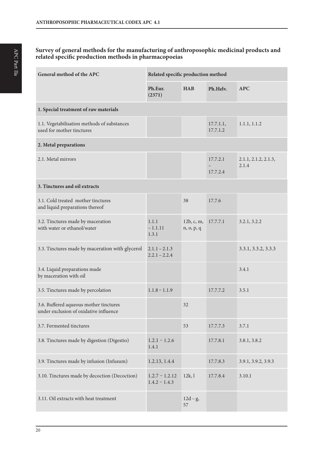## **Survey of general methods for the manufacturing of anthroposophic medicinal products and related specific production methods in pharmacopoeias**

| General method of the APC                                                        | Related specific production method  |                          |                       |                               |
|----------------------------------------------------------------------------------|-------------------------------------|--------------------------|-----------------------|-------------------------------|
|                                                                                  | Ph.Eur.<br>(2371)                   | <b>HAB</b>               | Ph.Helv.              | <b>APC</b>                    |
| 1. Special treatment of raw materials                                            |                                     |                          |                       |                               |
| 1.1. Vegetabilisation methods of substances<br>used for mother tinctures         |                                     |                          | 17.7.1.1,<br>17.7.1.2 | 1.1.1, 1.1.2                  |
| 2. Metal preparations                                                            |                                     |                          |                       |                               |
| 2.1. Metal mirrors                                                               |                                     |                          | 17.7.2.1<br>17.7.2.4  | 2.1.1, 2.1.2, 2.1.3,<br>2.1.4 |
| 3. Tinctures and oil extracts                                                    |                                     |                          |                       |                               |
| 3.1. Cold treated mother tinctures<br>and liquid preparations thereof            |                                     | 38                       | 17.7.6                |                               |
| 3.2. Tinctures made by maceration<br>with water or ethanol/water                 | 1.1.1<br>$-1.1.11$<br>1.3.1         | 12b, c, m,<br>n, o, p, q | 17.7.7.1              | 3.2.1, 3.2.2                  |
| 3.3. Tinctures made by maceration with glycerol                                  | $2.1.1 - 2.1.3$<br>$2.2.1 - 2.2.4$  |                          |                       | 3.3.1, 3.3.2, 3.3.3           |
| 3.4. Liquid preparations made<br>by maceration with oil                          |                                     |                          |                       | 3.4.1                         |
| 3.5. Tinctures made by percolation                                               | $1.1.8 - 1.1.9$                     |                          | 17.7.7.2              | 3.5.1                         |
| 3.6. Buffered aqueous mother tinctures<br>under exclusion of oxidative influence |                                     | 32                       |                       |                               |
| 3.7. Fermented tinctures                                                         |                                     | 53                       | 17.7.7.3              | 3.7.1                         |
| 3.8. Tinctures made by digestion (Digestio)                                      | $1.2.1 - 1.2.6$<br>1.4.1            |                          | 17.7.8.1              | 3.8.1, 3.8.2                  |
| 3.9. Tinctures made by infusion (Infusum)                                        | 1.2.13, 1.4.4                       |                          | 17.7.8.3              | 3.9.1, 3.9.2, 3.9.3           |
| 3.10. Tinctures made by decoction (Decoction)                                    | $1.2.7 - 1.2.12$<br>$1.4.2 - 1.4.3$ | 12k,1                    | 17.7.8.4              | 3.10.1                        |
| 3.11. Oil extracts with heat treatment                                           |                                     | $12d-g,$<br>57           |                       |                               |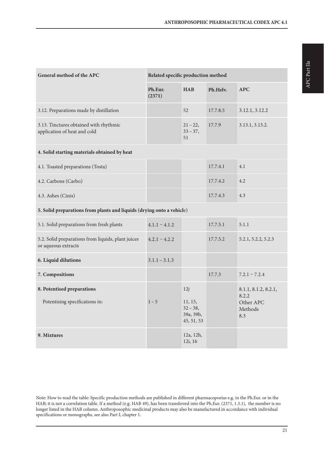**HAB Ph.Helv. APC**

| 3.13. Tinctures obtained with rhythmic<br>application of heat and cold    |                 | $21 - 22$<br>$33 - 37$ ,<br>51                         | 17.7.9   | 3.13.1, 3.13.2.                                              |
|---------------------------------------------------------------------------|-----------------|--------------------------------------------------------|----------|--------------------------------------------------------------|
| 4. Solid starting materials obtained by heat                              |                 |                                                        |          |                                                              |
| 4.1. Toasted preparations (Tosta)                                         |                 |                                                        | 17.7.4.1 | 4.1                                                          |
| 4.2. Carbons (Carbo)                                                      |                 |                                                        | 17.7.4.2 | 4.2                                                          |
| 4.3. Ashes (Cinis)                                                        |                 |                                                        | 17.7.4.3 | 4.3                                                          |
| 5. Solid preparations from plants and liquids (drying onto a vehicle)     |                 |                                                        |          |                                                              |
| 5.1. Solid preparations from fresh plants                                 | $4.1.1 - 4.1.2$ |                                                        | 17.7.5.1 | 5.1.1                                                        |
| 5.2. Solid preparations from liquids, plant juices<br>or aqueous extracts | $4.2.1 - 4.2.2$ |                                                        | 17.7.5.2 | 5.2.1, 5.2.2, 5.2.3                                          |
| 6. Liquid dilutions                                                       | $3.1.1 - 3.1.3$ |                                                        |          |                                                              |
| 7. Compositions                                                           |                 |                                                        | 17.7.3   | $7.2.1 - 7.2.4$                                              |
| 8. Potentised preparations<br>Potentising specifications in:              | $1 - 5$         | 12j<br>11, 15,<br>$32 - 38$<br>39a, 39b,<br>45, 51, 53 |          | 8.1.1, 8.1.2, 8.2.1,<br>8.2.2<br>Other APC<br>Methods<br>8.3 |
| 9. Mixtures                                                               |                 | 12a, 12h,<br>12i, 16                                   |          |                                                              |
|                                                                           |                 |                                                        |          |                                                              |

**General method of the APC Related specific production method**

**Ph.Eur. (2371)**

3.12. Preparations made by distillation 52 17.7.8.5 3.12.1, 3.12.2

Note: How to read the table: Specific production methods are published in different pharmacopoeias e.g. in the Ph.Eur. or in the HAB; it is not a correlation table. If a method (e.g. HAB 49), has been transferred into the Ph.Eur. (2371, 1.3.1), the number is no longer listed in the HAB column. Anthroposophic medicinal products may also be manufactured in accordance with individual specifications or monographs, see also Part I, chapter 1.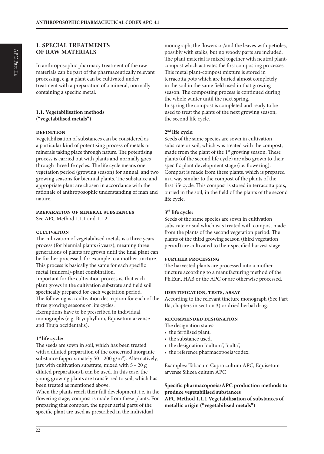## **1. SPECIAL TREATMENTS OF RAW MATERIALS**

In anthroposophic pharmacy treatment of the raw materials can be part of the pharmaceutically relevant processing, e.g. a plant can be cultivated under treatment with a preparation of a mineral, normally containing a specific metal.

#### **1.1. Vegetabilisation methods ("vegetabilised metals")**

#### **definition**

Vegetabilisation of substances can be considered as a particular kind of potentising process of metals or minerals taking place through nature. The potentising process is carried out with plants and normally goes through three life cycles. The life cycle means one vegetation period (growing season) for annual, and two growing seasons for biennial plants. The substance and appropriate plant are chosen in accordance with the rationale of anthroposophic understanding of man and nature.

#### **preparation of mineral substances**

See APC Method 1.1.1 and 1.1.2.

#### **cultivation**

The cultivation of vegetabilised metals is a three years process (for biennial plants 6 years), meaning three generations of plants are grown until the final plant can be further processed, for example to a mother tincture. This process is basically the same for each specific metal (mineral)-plant combination. Important for the cultivation process is, that each plant grows in the cultivation substrate and field soil specifically prepared for each vegetation period.

The following is a cultivation description for each of the three growing seasons or life cycles.

Exemptions have to be prescribed in individual monographs (e.g. Bryophyllum, Equisetum arvense and Thuja occidentalis).

#### **1st life cycle:**

The seeds are sown in soil, which has been treated with a diluted preparation of the concerned inorganic substance (approximately  $50 - 200$  g/m<sup>2</sup>). Alternatively, jars with cultivation substrate, mixed with 5 – 20 g diluted preparation/L can be used. In this case, the young growing plants are transferred to soil, which has been treated as mentioned above.

When the plants reach their full development, i.e. in the flowering stage, compost is made from these plants. For preparing that compost, the upper aerial parts of the specific plant are used as prescribed in the individual

monograph; the flowers or/and the leaves with petioles, possibly with stalks, but no woody parts are included. The plant material is mixed together with neutral plantcompost which activates the first composting processes. This metal plant-compost mixture is stored in terracotta pots which are buried almost completely in the soil in the same field used in that growing season. The composting process is continued during the whole winter until the next spring. In spring the compost is completed and ready to be used to treat the plants of the next growing season, the second life cycle.

#### **2nd life cycle:**

Seeds of the same species are sown in cultivation substrate or soil, which was treated with the compost, made from the plant of the 1<sup>st</sup> growing season. These plants (of the second life cycle) are also grown to their specific plant development stage (i.e. flowering). Compost is made from these plants, which is prepared in a way similar to the compost of the plants of the first life cycle. This compost is stored in terracotta pots, buried in the soil, in the field of the plants of the second life cycle.

#### **3rd life cycle:**

Seeds of the same species are sown in cultivation substrate or soil which was treated with compost made from the plants of the second vegetation period. The plants of the third growing season (third vegetation period) are cultivated to their specified harvest stage.

#### **further processing**

The harvested plants are processed into a mother tincture according to a manufacturing method of the Ph.Eur., HAB or the APC or are otherwise processed.

#### **identification, tests, assay**

According to the relevant tincture monograph (See Part IIa, chapters in section 3) or dried herbal drug.

#### **recommended designation**

The designation states:

- the fertilised plant,
- the substance used,
- the designation "cultum", "culta",
- the reference pharmacopoeia/codex.

Examples: Tabacum Cupro cultum APC, Equisetum arvense Silicea cultum APC

#### **Specific pharmacopoeia/APC production methods to produce vegetabilised substances**

**APC Method 1.1.1 Vegetabilisation of substances of metallic origin ("vegetabilised metals")**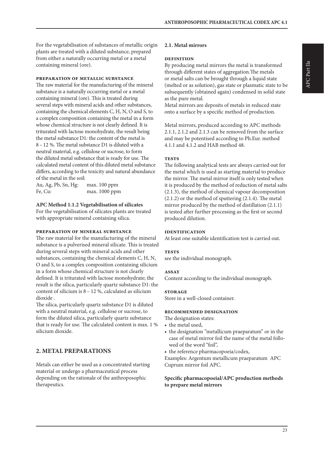For the vegetabilisation of substances of metallic origin plants are treated with a diluted substance, prepared from either a naturally occurring metal or a metal containing mineral (ore).

#### **preparation of metallic substance**

The raw material for the manufacturing of the mineral substance is a naturally occurring metal or a metal containing mineral (ore). This is treated during several steps with mineral acids and other substances, containing the chemical elements C, H, N, O and S, to a complex composition containing the metal in a form whose chemical structure is not clearly defined. It is triturated with lactose monohydrate, the result being the metal substance D1: the content of the metal is 8 – 12 %. The metal substance D1 is diluted with a neutral material, e.g. cellulose or sucrose, to form the diluted metal substance that is ready for use. The calculated metal content of this diluted metal substance differs, according to the toxicity and natural abundance of the metal in the soil:

Au, Ag, Pb, Sn, Hg: max. 100 ppm Fe, Cu: max. 1000 ppm

#### **APC Method 1.1.2 Vegetabilisation of silicates**

For the vegetabilisation of silicates plants are treated with appropriate mineral containing silica.

#### **preparation of mineral substance**

The raw material for the manufacturing of the mineral substance is a pulverised mineral silicate. This is treated during several steps with mineral acids and other substances, containing the chemical elements C, H, N, O and S, to a complex composition containing silicium in a form whose chemical structure is not clearly defined. It is triturated with lactose monohydrate; the result is the silica, particularly quartz substance D1: the content of silicium is 8 – 12 %, calculated as silicium dioxide .

The silica, particularly quartz substance D1 is diluted with a neutral material, e.g. cellulose or sucrose, to form the diluted silica, particularly quartz substance that is ready for use. The calculated content is max. 1 % silicium dioxide.

## **2. METAL PREPARATIONS**

Metals can either be used as a concentrated starting material or undergo a pharmaceutical process depending on the rationale of the anthroposophic therapeutics.

#### **2.1. Metal mirrors**

#### **definition**

By producing metal mirrors the metal is transformed through different states of aggregation.The metals or metal salts can be brought through a liquid state (melted or as solution), gas state or plasmatic state to be subsequently (obtained again) condensed in solid state as the pure metal.

Metal mirrors are deposits of metals in reduced state onto a surface by a specific method of production.

Metal mirrors, produced according to APC methods 2.1.1, 2.1.2 and 2.1.3 can be removed from the surface and may be potentised according to Ph.Eur. method 4.1.1 and 4.1.2 and HAB method 48.

#### **tests**

The following analytical tests are always carried out for the metal which is used as starting material to produce the mirror. The metal mirror itself is only tested when it is produced by the method of reduction of metal salts (2.1.3), the method of chemical vapour decomposition (2.1.2) or the method of sputtering (2.1.4). The metal mirror produced by the method of distillation (2.1.1) is tested after further processing as the first or second produced dilution.

#### **identification**

At least one suitable identification test is carried out.

#### **TESTS**

see the individual monograph.

#### **assay**

Content according to the individual monograph.

#### **storage**

Store in a well-closed container.

#### **recommended designation**

The designation states:

- the metal used,
- the designation "metallicum praeparatum" or in the case of metal mirror foil the name of the metal followed of the word "foil",
- the reference pharmacopoeia/codex,

Examples: Argentum metallicum praeparatum APC Cuprum mirror foil APC.

#### **Specific pharmacopoeial/APC production methods to prepare metal mirrors**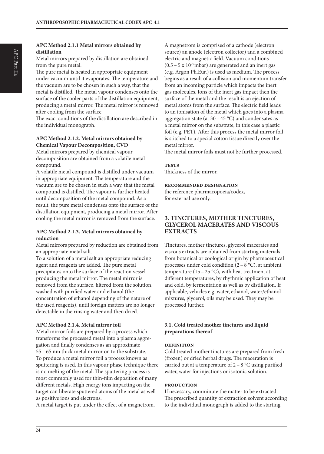#### **APC Method 2.1.1 Metal mirrors obtained by distillation**

Metal mirrors prepared by distillation are obtained from the pure metal.

The pure metal is heated in appropriate equipment under vacuum until it evaporates. The temperature and the vacuum are to be chosen in such a way, that the metal is distilled. The metal vapour condenses onto the surface of the cooler parts of the distillation equipment, producing a metal mirror. The metal mirror is removed after cooling from the surface.

The exact conditions of the distillation are described in the individual monograph.

#### **APC Method 2.1.2. Metal mirrors obtained by Chemical Vapour Decomposition, CVD**

Metal mirrors prepared by chemical vapour decomposition are obtained from a volatile metal compound.

A volatile metal compound is distilled under vacuum in appropriate equipment. The temperature and the vacuum are to be chosen in such a way, that the metal compound is distilled. The vapour is further heated until decomposition of the metal compound. As a result, the pure metal condenses onto the surface of the distillation equipment, producing a metal mirror. After cooling the metal mirror is removed from the surface.

#### **APC Method 2.1.3. Metal mirrors obtained by reduction**

Metal mirrors prepared by reduction are obtained from an appropriate metal salt.

To a solution of a metal salt an appropriate reducing agent and reagents are added. The pure metal precipitates onto the surface of the reaction vessel producing the metal mirror. The metal mirror is removed from the surface, filtered from the solution, washed with purified water and ethanol (the concentration of ethanol depending of the nature of the used reagents), until foreign matters are no longer detectable in the rinsing water and then dried.

#### **APC Method 2.1.4. Metal mirror foil**

Metal mirror foils are prepared by a process which transforms the processed metal into a plasma aggregation and finally condenses as an approximate 55 – 65 nm thick metal mirror on to the substrate. To produce a metal mirror foil a process known as sputtering is used. In this vapour phase technique there is no melting of the metal. The sputtering process is most commonly used for thin-film deposition of many different metals. High energy ions impacting on the target can liberate sputtered atoms of the metal as well as positive ions and electrons.

A metal target is put under the effect of a magnetrom.

A magnetrom is comprised of a cathode (electron source) an anode (electron collector) and a combined electric and magnetic field. Vacuum conditions  $(0.5 - 5 \times 10^{-3} \text{ mbar})$  are generated and an inert gas (e.g. Argon Ph.Eur.) is used as medium. The process begins as a result of a collision and momentum transfer from an incoming particle which impacts the inert gas molecules. Ions of the inert gas impact then the surface of the metal and the result is an ejection of metal atoms from the surface. The electric field leads to an ionisation of the metal which goes into a plasma aggregation state (at  $30 - 45$  °C) and condensates as a metal mirror on the substrate, in this case a plastic foil (e.g. PET). After this process the metal mirror foil is stitched to a special cotton tissue directly over the metal mirror.

The metal mirror foils must not be further processed.

#### **tests**

Thickness of the mirror.

#### **recommended designation**

the reference pharmacopoeia/codex, for external use only.

## **3. TINCTURES, MOTHER TINCTURES, GLYCEROL MACERATES AND VISCOUS EXTRACTS**

Tinctures, mother tinctures, glycerol macerates and viscous extracts are obtained from starting materials from botanical or zoological origin by pharmaceutical processes under cold condition  $(2 - 8 \degree C)$ , at ambient temperature (15 – 25 °C), with heat treatment at different temperatures, by rhythmic application of heat and cold, by fermentation as well as by distillation. If applicable, vehicles e.g. water, ethanol, water/ethanol mixtures, glycerol, oils may be used. They may be processed further.

#### **3.1. Cold treated mother tinctures and liquid preparations thereof**

#### **definition**

Cold treated mother tinctures are prepared from fresh (frozen) or dried herbal drugs. The maceration is carried out at a temperature of  $2 - 8$  °C using purified water, water for injections or isotonic solution.

#### **production**

If necessary, comminute the matter to be extracted. The prescribed quantity of extraction solvent according to the individual monograph is added to the starting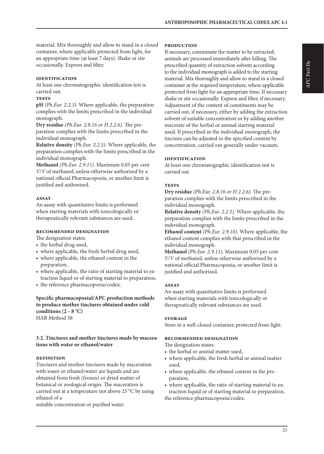material. Mix thoroughly and allow to stand in a closed container, where applicable protected from light, for an appropriate time (at least 7 days). Shake or stir occasionally. Express and filter.

#### **identification**

At least one chromatographic identification test is carried out.

#### **tests**

**pH** *(Ph.Eur. 2.2.3)*. Where applicable, the preparation complies with the limits prescribed in the individual monograph.

**Dry residue** *(Ph.Eur. 2.8.16 or H 2.2.6).* The preparation complies with the limits prescribed in the individual monograph.

**Relative density** *(Ph.Eur. 2.2.5).* Where applicable, the preparation complies with the limits prescribed in the individual monograph.

**Methanol** *(Ph.Eur. 2.9.11)*. Maximum 0.05 per cent *V/V* of methanol, unless otherwise authorised by a national official Pharmacopoeia, or another limit is justified and authorised.

#### **assay**

An assay with quantitative limits is performed when starting materials with toxicologically or therapeutically relevant substances are used.

#### **recommended designation**

The designation states:

- the herbal drug used,
- where applicable, the fresh herbal drug used,
- where applicable, the ethanol content in the preparation,
- where applicable, the ratio of starting material to extraction liquid or of starting material to preparation,
- the reference pharmacopoeia/codex.

#### **Specific pharmacopoeial/APC production methods to produce mother tinctures obtained under cold**  conditions  $(2 - 8 °C)$ HAB Method 38

#### **3.2. Tinctures and mother tinctures made by macerations with water or ethanol/water**

#### **definition**

Tinctures and mother tinctures made by maceration with water or ethanol/water are liquids and are obtained from fresh (frozen) or dried matter of botanical or zoological origin. The maceration is carried out at a temperature not above 25 °C by using ethanol of a

suitable concentration or purified water.

#### **production**

If necessary, comminute the matter to be extracted; animals are processed immediately after killing. The prescribed quantity of extraction solvent according to the individual monograph is added to the starting material. Mix thoroughly and allow to stand in a closed container at the required temperature, where applicable protected from light for an appropriate time. If necessary shake or stir occasionally. Express and filter, if necessary. Adjustment of the content of constituents may be carried out, if necessary, either by adding the extraction solvent of suitable concentration or by adding another macerate of the herbal or animal starting material used. If prescribed in the individual monograph, the tincture can be adjusted to the specified content by concentration, carried out generally under vacuum.

#### **identification**

At least one chromatographic identification test is carried out.

#### **tests**

**Dry residue** *(Ph.Eur. 2.8.16 or H 2.2.6).* The preparation complies with the limits prescribed in the individual monograph.

**Relative density** *(Ph.Eur. 2.2.5).* Where applicable, the preparation complies with the limits prescribed in the individual monograph.

**Ethanol content** *(Ph.Eur. 2.9.10)*. Where applicable, the ethanol content complies with that prescribed in the individual monograph.

**Methanol** *(Ph.Eur. 2.9.11)*. Maximum 0.05 per cent *V/V* of methanol, unless otherwise authorised by a national official Pharmacopoeia, or another limit is justified and authorised.

#### **assay**

An assay with quantitative limits is performed when starting materials with toxicologically or therapeutically relevant substances are used.

#### **storage**

Store in a well-closed container, protected from light.

#### **recommended designation**

The designation states:

- the herbal or animal matter used,
- where applicable, the fresh herbal or animal matter used,
- where applicable, the ethanol content in the preparation,
- where applicable, the ratio of starting material to extraction liquid or of starting material to preparation, the reference pharmacopoeia/codex.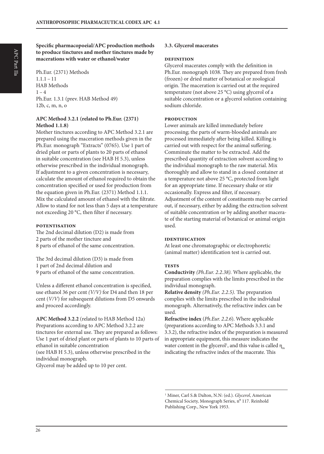Ph.Eur. (2371) Methods  $1.1.1 - 11$ HAB Methods  $1 - 4$ Ph.Eur. 1.3.1 (prev. HAB Method 49) 12b, c, m, n, o

#### **APC Method 3.2.1 (related to Ph.Eur. (2371) Method 1.1.8)**

Mother tinctures according to APC Method 3.2.1 are prepared using the maceration methods given in the Ph.Eur. monograph "Extracts" (0765). Use 1 part of dried plant or parts of plants to 20 parts of ethanol in suitable concentration (see HAB H 5.3), unless otherwise prescribed in the individual monograph. If adjustment to a given concentration is necessary, calculate the amount of ethanol required to obtain the concentration specified or used for production from the equation given in Ph.Eur. (2371) Method 1.1.1. Mix the calculated amount of ethanol with the filtrate. Allow to stand for not less than 5 days at a temperature not exceeding 20 °C, then filter if necessary.

#### **potentisation**

The 2nd decimal dilution (D2) is made from 2 parts of the mother tincture and 8 parts of ethanol of the same concentration.

The 3rd decimal dilution (D3) is made from 1 part of 2nd decimal dilution and 9 parts of ethanol of the same concentration.

Unless a different ethanol concentration is specified, use ethanol 36 per cent *(V/V)* for D4 and then 18 per cent (*V/V*) for subsequent dilutions from D5 onwards and proceed accordingly.

**APC Method 3.2.2** (related to HAB Method 12a) Preparations according to APC Method 3.2.2 are tinctures for external use. They are prepared as follows: Use 1 part of dried plant or parts of plants to 10 parts of ethanol in suitable concentration (see HAB H 5.3), unless otherwise prescribed in the individual monograph. Glycerol may be added up to 10 per cent.

#### **3.3. Glycerol macerates**

#### **definition**

Glycerol macerates comply with the definition in Ph.Eur. monograph 1038. They are prepared from fresh (frozen) or dried matter of botanical or zoological origin. The maceration is carried out at the required temperature (not above 25 °C) using glycerol of a suitable concentration or a glycerol solution containing sodium chloride.

#### **production**

Lower animals are killed immediately before processing; the parts of warm-blooded animals are processed immediately after being killed. Killing is carried out with respect for the animal suffering. Comminute the matter to be extracted. Add the prescribed quantity of extraction solvent according to the individual monograph to the raw material. Mix thoroughly and allow to stand in a closed container at a temperature not above 25 °C, protected from light for an appropriate time. If necessary shake or stir occasionally. Express and filter, if necessary. Adjustment of the content of constituents may be carried out, if necessary, either by adding the extraction solvent of suitable concentration or by adding another macerate of the starting material of botanical or animal origin used.

#### **identification**

At least one chromatographic or electrophoretic (animal matter) identification test is carried out.

#### **tests**

**Conductivity** *(Ph.Eur. 2.2.38).* Where applicable, the preparation complies with the limits prescribed in the individual monograph.

**Relative density** *(Ph.Eur. 2.2.5).* The preparation complies with the limits prescribed in the individual monograph. Alternatively, the refractive index can be used.

**Refractive index** (*Ph.Eur. 2.2.6*). Where applicable (preparations according to APC Methods 3.3.1 and 3.3.2), the refractive index of the preparation is measured in appropriate equipment, this measure indicates the water content in the glycerol<sup>1</sup>, and this value is called  $\eta_m$ indicating the refractive index of the macerate. This

<sup>1</sup> Miner, Carl S.& Dalton, N.N: (ed.). *Glycerol*, American Chemical Society, Monograph Series, nº 117. Reinhold Publishing Corp., New York 1953.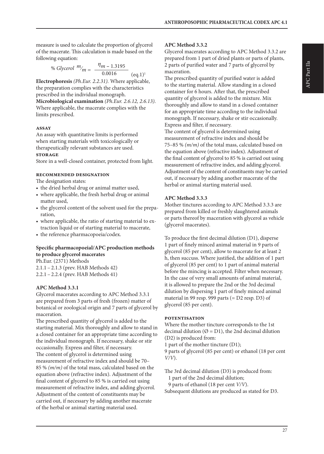measure is used to calculate the proportion of glycerol of the macerate. This calculation is made based on the following equation:

% *Glycerol* 
$$
m_{m} = \frac{\eta_{m} - 1.3195}{0.0016}
$$
 (eq.1)<sup>1</sup>

**Electrophoresis** *(Ph.Eur. 2.2.31).* Where applicable, the preparation complies with the characteristics prescribed in the individual monograph.

**Microbiological examination** *(Ph.Eur. 2.6.12, 2.6.13)*. Where applicable, the macerate complies with the limits prescribed.

#### **assay**

An assay with quantitative limits is performed when starting materials with toxicologically or therapeutically relevant substances are used.

#### **storage**

Store in a well-closed container, protected from light.

#### **recommended designation**

The designation states:

- the dried herbal drug or animal matter used,
- where applicable, the fresh herbal drug or animal matter used,
- the glycerol content of the solvent used for the preparation,
- where applicable, the ratio of starting material to extraction liquid or of starting material to macerate,
- the reference pharmacopoeia/codex.

#### **Specific pharmacopoeial/APC production methods to produce glycerol macerates**

Ph.Eur. (2371) Methods

2.1.1 – 2.1.3 (prev. HAB Methods 42)

2.2.1 – 2.2.4 (prev. HAB Methods 41)

## **APC Method 3.3.1**

Glycerol macerates according to APC Method 3.3.1 are prepared from 3 parts of fresh (frozen) matter of botanical or zoological origin and 7 parts of glycerol by maceration.

The prescribed quantity of glycerol is added to the starting material. Mix thoroughly and allow to stand in a closed container for an appropriate time according to the individual monograph. If necessary, shake or stir occasionally. Express and filter, if necessary. The content of glycerol is determined using measurement of refractive index and should be 70– 85 % *(m/m)* of the total mass, calculated based on the equation above (refractive index). Adjustment of the final content of glycerol to 85 % is carried out using measurement of refractive index, and adding glycerol. Adjustment of the content of constituents may be carried out, if necessary by adding another macerate of the herbal or animal starting material used.

#### **APC Method 3.3.2**

Glycerol macerates according to APC Method 3.3.2 are prepared from 1 part of dried plants or parts of plants, 2 parts of purified water and 7 parts of glycerol by maceration.

The prescribed quantity of purified water is added to the starting material. Allow standing in a closed container for 6 hours. After that, the prescribed quantity of glycerol is added to the mixture. Mix thoroughly and allow to stand in a closed container for an appropriate time according to the individual monograph. If necessary, shake or stir occasionally. Express and filter, if necessary.

The content of glycerol is determined using measurement of refractive index and should be 75–85 % *(m/m)* of the total mass, calculated based on the equation above (refractive index). Adjustment of the final content of glycerol to 85 % is carried out using measurement of refractive index, and adding glycerol. Adjustment of the content of constituents may be carried out, if necessary by adding another macerate of the herbal or animal starting material used.

#### **APC Method 3.3.3**

Mother tinctures according to APC Method 3.3.3 are prepared from killed or freshly slaughtered animals or parts thereof by maceration with glycerol as vehicle (glycerol macerates).

To produce the first decimal dilution (D1), disperse 1 part of finely minced animal material in 9 parts of glycerol (85 per cent), allow to macerate for at least 2 h, then succuss. Where justified, the addition of 1 part of glycerol (85 per cent) to 1 part of animal material before the mincing is accepted. Filter when necessary. In the case of very small amounts of animal material, it is allowed to prepare the 2nd or the 3rd decimal dilution by dispersing 1 part of finely minced animal material in 99 resp. 999 parts (= D2 resp. D3) of glycerol (85 per cent).

#### **potentisation**

Where the mother tincture corresponds to the 1st decimal dilution ( $\varnothing$  = D1), the 2nd decimal dilution (D2) is produced from:

1 part of the mother tincture (D1);

9 parts of glycerol (85 per cent) or ethanol (18 per cent *V/V*).

The 3rd decimal dilution (D3) is produced from:

1 part of the 2nd decimal dilution;

9 parts of ethanol (18 per cent *V/V*).

Subsequent dilutions are produced as stated for D3.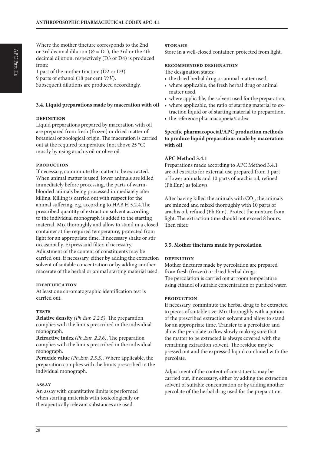Where the mother tincture corresponds to the 2nd or 3rd decimal dilution ( $\varnothing$  = D1), the 3rd or the 4th decimal dilution, respectively (D3 or D4) is produced from:

1 part of the mother tincture (D2 or D3) 9 parts of ethanol (18 per cent *V/V*). Subsequent dilutions are produced accordingly.

#### **3.4. Liquid preparations made by maceration with oil**

#### **definition**

Liquid preparations prepared by maceration with oil are prepared from fresh (frozen) or dried matter of botanical or zoological origin. The maceration is carried out at the required temperature (not above 25 °C) mostly by using arachis oil or olive oil.

#### **production**

If necessary, comminute the matter to be extracted. When animal matter is used, lower animals are killed immediately before processing, the parts of warmblooded animals being processed immediately after killing. Killing is carried out with respect for the animal suffering, e.g. according to HAB H 5.2.4.The prescribed quantity of extraction solvent according to the individual monograph is added to the starting material. Mix thoroughly and allow to stand in a closed container at the required temperature, protected from light for an appropriate time. If necessary shake or stir occasionally. Express and filter, if necessary. Adjustment of the content of constituents may be carried out, if necessary, either by adding the extraction solvent of suitable concentration or by adding another macerate of the herbal or animal starting material used.

#### **identification**

At least one chromatographic identification test is carried out.

#### **tests**

**Relative density** *(Ph.Eur. 2.2.5)*. The preparation complies with the limits prescribed in the individual monograph.

**Refractive index** *(Ph.Eur. 2.2.6)*. The preparation complies with the limits prescribed in the individual monograph.

**Peroxide value** *(Ph.Eur. 2.5.5)*. Where applicable, the preparation complies with the limits prescribed in the individual monograph.

## **assay**

An assay with quantitative limits is performed when starting materials with toxicologically or therapeutically relevant substances are used.

### **storage**

Store in a well-closed container, protected from light.

#### **recommended designation**

The designation states:

- the dried herbal drug or animal matter used,
- where applicable, the fresh herbal drug or animal matter used,
- where applicable, the solvent used for the preparation,
- where applicable, the ratio of starting material to extraction liquid or of starting material to preparation,
- the reference pharmacopoeia/codex.

#### **Specific pharmacopoeial/APC production methods to produce liquid preparations made by maceration with oil**

## **APC Method 3.4.1**

Preparations made according to APC Method 3.4.1 are oil extracts for external use prepared from 1 part of lower animals and 10 parts of arachis oil, refined (Ph.Eur.) as follows:

After having killed the animals with  $CO<sub>2</sub>$ , the animals are minced and mixed thoroughly with 10 parts of arachis oil, refined (Ph.Eur.). Protect the mixture from light. The extraction time should not exceed 8 hours. Then filter.

## **3.5. Mother tinctures made by percolation**

## **definition**

Mother tinctures made by percolation are prepared from fresh (frozen) or dried herbal drugs. The percolation is carried out at room temperature using ethanol of suitable concentration or purified water.

#### **production**

If necessary, comminute the herbal drug to be extracted to pieces of suitable size. Mix thoroughly with a potion of the prescribed extraction solvent and allow to stand for an appropriate time. Transfer to a percolator and allow the percolate to flow slowly making sure that the matter to be extracted is always covered with the remaining extraction solvent. The residue may be pressed out and the expressed liquid combined with the percolate.

Adjustment of the content of constituents may be carried out, if necessary, either by adding the extraction solvent of suitable concentration or by adding another percolate of the herbal drug used for the preparation.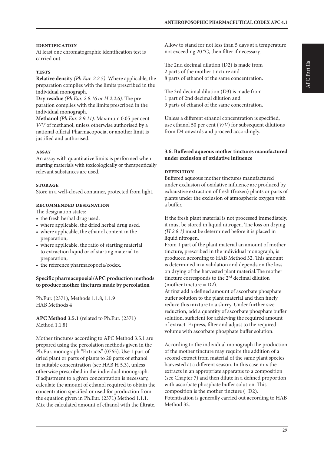#### **identification**

At least one chromatographic identification test is carried out.

#### **tests**

**Relative density** *(Ph.Eur. 2.2.5).* Where applicable, the preparation complies with the limits prescribed in the individual monograph.

**Dry residue** *(Ph.Eur. 2.8.16 or H 2.2.6).* The preparation complies with the limits prescribed in the individual monograph.

**Methanol** *(Ph.Eur. 2.9.11)*. Maximum 0.05 per cent *V/V* of methanol, unless otherwise authorised by a national official Pharmacopoeia, or another limit is justified and authorised.

#### **assay**

An assay with quantitative limits is performed when starting materials with toxicologically or therapeutically relevant substances are used.

#### **storage**

Store in a well-closed container, protected from light.

#### **recommended designation**

The designation states:

- the fresh herbal drug used,
- where applicable, the dried herbal drug used,
- where applicable, the ethanol content in the preparation,
- where applicable, the ratio of starting material to extraction liquid or of starting material to preparation,
- the reference pharmacopoeia/codex.

#### **Specific pharmacopoeial/APC production methods to produce mother tinctures made by percolation**

Ph.Eur. (2371), Methods 1.1.8, 1.1.9 HAB Methods 4

**APC Method 3.5.1** (related to Ph.Eur. (2371) Method 1.1.8)

Mother tinctures according to APC Method 3.5.1 are prepared using the percolation methods given in the Ph.Eur. monograph "Extracts" (0765). Use 1 part of dried plant or parts of plants to 20 parts of ethanol in suitable concentration (see HAB H 5.3), unless otherwise prescribed in the individual monograph. If adjustment to a given concentration is necessary, calculate the amount of ethanol required to obtain the concentration specified or used for production from the equation given in Ph.Eur. (2371) Method 1.1.1. Mix the calculated amount of ethanol with the filtrate.

Allow to stand for not less than 5 days at a temperature not exceeding 20 °C, then filter if necessary.

The 2nd decimal dilution (D2) is made from 2 parts of the mother tincture and 8 parts of ethanol of the same concentration.

The 3rd decimal dilution (D3) is made from 1 part of 2nd decimal dilution and 9 parts of ethanol of the same concentration.

Unless a different ethanol concentration is specified, use ethanol 50 per cent (*V/V*) for subsequent dilutions from D4 onwards and proceed accordingly.

#### **3.6. Buffered aqueous mother tinctures manufactured under exclusion of oxidative influence**

#### **definition**

Buffered aqueous mother tinctures manufactured under exclusion of oxidative influence are produced by exhaustive extraction of fresh (frozen) plants or parts of plants under the exclusion of atmospheric oxygen with a buffer.

If the fresh plant material is not processed immediately, it must be stored in liquid nitrogen. The loss on drying *(H 2.8.1)* must be determined before it is placed in liquid nitrogen.

From 1 part of the plant material an amount of mother tincture, prescribed in the individual monograph, is produced according to HAB Method 32. This amount is determined in a validation and depends on the loss on drying of the harvested plant material.The mother tincture corresponds to the 2nd decimal dilution (mother tincture  $= D2$ ).

At first add a defined amount of ascorbate phosphate buffer solution to the plant material and then finely reduce this mixture to a slurry. Under further size reduction, add a quantity of ascorbate phosphate buffer solution, sufficient for achieving the required amount of extract. Express, filter and adjust to the required volume with ascorbate phosphate buffer solution.

According to the individual monograph the production of the mother tincture may require the addition of a second extract from material of the same plant species harvested at a different season. In this case mix the extracts in an appropriate apparatus to a composition (see Chapter 7) and then dilute in a defined proportion with ascorbate phosphate buffer solution. This composition is the mother tincture (=D2). Potentisation is generally carried out according to HAB Method 32.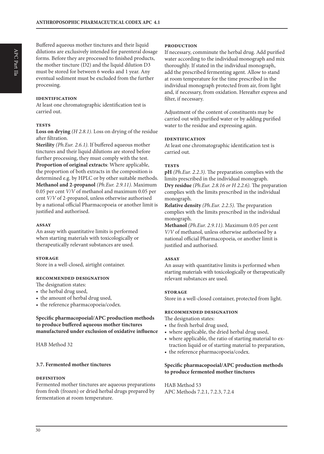Buffered aqueous mother tinctures and their liquid dilutions are exclusively intended for parenteral dosage forms. Before they are processed to finished products, the mother tincture  $(D2)$  and the liquid dilution  $D3$ must be stored for between 6 weeks and 1 year. Any eventual sediment must be excluded from the further processing.

#### **identification**

At least one chromatographic identification test is carried out.

#### **tests**

**Loss on drying** *(H 2.8.1)*. Loss on drying of the residue after filtration.

**Sterility** *(Ph.Eur. 2.6.1)*. If buffered aqueous mother tinctures and their liquid dilutions are stored before further processing, they must comply with the test. **Proportion of original extracts**: Where applicable, the proportion of both extracts in the composition is determined e.g. by HPLC or by other suitable methods. **Methanol and 2-propanol** *(Ph.Eur. 2.9.11)*. Maximum 0.05 per cent *V/V* of methanol and maximum 0.05 per cent *V/V* of 2-propanol, unless otherwise authorised by a national official Pharmacopoeia or another limit is justified and authorised.

#### **assay**

An assay with quantitative limits is performed when starting materials with toxicologically or therapeutically relevant substances are used.

#### **storage**

Store in a well-closed, airtight container.

#### **recommended designation**

The designation states:

- the herbal drug used,
- the amount of herbal drug used,
- the reference pharmacopoeia/codex.

#### **Specific pharmacopoeial/APC production methods to produce buffered aqueous mother tinctures manufactured under exclusion of oxidative influence**

HAB Method 32

#### **3.7. Fermented mother tinctures**

#### **definition**

Fermented mother tinctures are aqueous preparations from fresh (frozen) or dried herbal drugs prepared by fermentation at room temperature.

#### **production**

If necessary, comminute the herbal drug. Add purified water according to the individual monograph and mix thoroughly. If stated in the individual monograph, add the prescribed fermenting agent. Allow to stand at room temperature for the time prescribed in the individual monograph protected from air, from light and, if necessary, from oxidation. Hereafter express and filter, if necessary.

Adjustment of the content of constituents may be carried out with purified water or by adding purified water to the residue and expressing again.

#### **identification**

At least one chromatographic identification test is carried out.

#### **tests**

**pH** *(Ph.Eur. 2.2.3)*. The preparation complies with the limits prescribed in the individual monograph. **Dry residue** *(Ph.Eur. 2.8.16 or H 2.2.6).* The preparation complies with the limits prescribed in the individual monograph.

**Relative density** *(Ph.Eur. 2.2.5).* The preparation complies with the limits prescribed in the individual monograph.

**Methanol** *(Ph.Eur. 2.9.11)*. Maximum 0.05 per cent *V/V* of methanol, unless otherwise authorised by a national official Pharmacopoeia, or another limit is justified and authorised.

#### **assay**

An assay with quantitative limits is performed when starting materials with toxicologically or therapeutically relevant substances are used.

#### **storage**

Store in a well-closed container, protected from light.

#### **recommended designation**

The designation states:

- the fresh herbal drug used,
- where applicable, the dried herbal drug used,
- where applicable, the ratio of starting material to extraction liquid or of starting material to preparation,
- the reference pharmacopoeia/codex.

#### **Specific pharmacopoeial/APC production methods to produce fermented mother tinctures**

HAB Method 53 APC Methods 7.2.1, 7.2.3, 7.2.4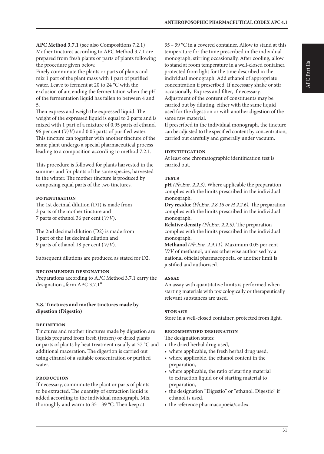**APC Method 3.7.1** (see also Compositions 7.2.1) Mother tinctures according to APC Method 3.7.1 are prepared from fresh plants or parts of plants following the procedure given below.

Finely comminute the plants or parts of plants and mix 1 part of the plant mass with 1 part of purified water. Leave to ferment at 20 to 24 °C with the exclusion of air, ending the fermentation when the pH of the fermentation liquid has fallen to between 4 and 5.

Then express and weigh the expressed liquid. The weight of the expressed liquid is equal to 2 parts and is mixed with 1 part of a mixture of 0.95 parts of ethanol 96 per cent (*V/V*) and 0.05 parts of purified water. This tincture can together with another tincture of the same plant undergo a special pharmaceutical process leading to a composition according to method 7.2.1.

This procedure is followed for plants harvested in the summer and for plants of the same species, harvested in the winter. The mother tincture is produced by composing equal parts of the two tinctures.

#### **potentisation**

The 1st decimal dilution (D1) is made from 3 parts of the mother tincture and 7 parts of ethanol 36 per cent (*V/V*).

The 2nd decimal dilution (D2) is made from 1 part of the 1st decimal dilution and 9 parts of ethanol 18 per cent (*V/V*).

Subsequent dilutions are produced as stated for D2.

#### **recommended designation**

Preparations according to APC Method 3.7.1 carry the designation "ferm APC 3.7.1".

#### **3.8. Tinctures and mother tinctures made by digestion (Digestio)**

#### **definition**

Tinctures and mother tinctures made by digestion are liquids prepared from fresh (frozen) or dried plants or parts of plants by heat treatment usually at 37 °C and additional maceration. The digestion is carried out using ethanol of a suitable concentration or purified water.

#### **production**

If necessary, comminute the plant or parts of plants to be extracted. The quantity of extraction liquid is added according to the individual monograph. Mix thoroughly and warm to 35 – 39 °C. Then keep at

35 – 39 °C in a covered container. Allow to stand at this temperature for the time prescribed in the individual monograph, stirring occasionally. After cooling, allow to stand at room temperature in a well-closed container, protected from light for the time described in the individual monograph. Add ethanol of appropriate concentration if prescribed. If necessary shake or stir occasionally. Express and filter, if necessary. Adjustment of the content of constituents may be carried out by diluting, either with the same liquid used for the digestion or with another digestion of the same raw material.

If prescribed in the individual monograph, the tincture can be adjusted to the specified content by concentration, carried out carefully and generally under vacuum.

#### **identification**

At least one chromatographic identification test is carried out.

#### **tests**

**pH** *(Ph.Eur. 2.2.3)*. Where applicable the preparation complies with the limits prescribed in the individual monograph.

**Dry residue** *(Ph.Eur. 2.8.16 or H 2.2.6).* The preparation complies with the limits prescribed in the individual monograph.

**Relative density** *(Ph.Eur. 2.2.5).* The preparation complies with the limits prescribed in the individual monograph.

**Methanol** *(Ph.Eur. 2.9.11)*. Maximum 0.05 per cent *V/V* of methanol, unless otherwise authorised by a national official pharmacopoeia, or another limit is justified and authorised.

#### **assay**

An assay with quantitative limits is performed when starting materials with toxicologically or therapeutically relevant substances are used.

#### **storage**

Store in a well-closed container, protected from light.

#### **recommended designation**

The designation states:

- the dried herbal drug used,
- where applicable, the fresh herbal drug used,
- where applicable, the ethanol content in the preparation,
- where applicable, the ratio of starting material to extraction liquid or of starting material to preparation,
- the designation "Digestio" or "ethanol. Digestio" if ethanol is used,
- the reference pharmacopoeia/codex.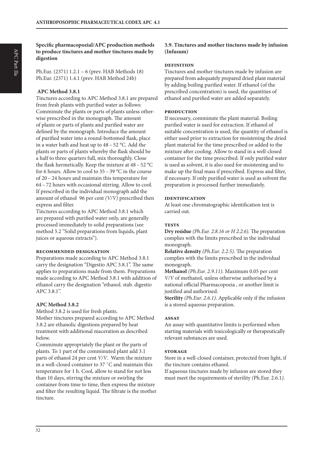**Specific pharmacopoeial/APC production methods to produce tinctures and mother tinctures made by digestion**

Ph.Eur. (2371) 1.2.1 – 6 (prev. HAB Methods 18) Ph.Eur. (2371) 1.4.1 (prev. HAB Method 24b)

#### **APC Method 3.8.1**

Tinctures according to APC Method 3.8.1 are prepared from fresh plants with purified water as follows: Comminute the plants or parts of plants unless otherwise prescribed in the monograph. The amount of plants or parts of plants and purified water are defined by the monograph. Introduce the amount of purified water into a round-bottomed flask, place in a water bath and heat up to 48 – 52 °C. Add the plants or parts of plants whereby the flask should be a half to three quarters full, mix thoroughly. Close the flask hermetically. Keep the mixture at 48 – 52 °C for 6 hours. Allow to cool to  $35 - 39$  °C in the course of 20 – 24 hours and maintain this temperature for 64 – 72 hours with occasional stirring. Allow to cool. If prescribed in the individual monograph add the amount of ethanol 96 per cent *(V/V)* prescribed then express and filter.

Tinctures according to APC Method 3.8.1 which are prepared with purified water only, are generally processed immediately to solid preparations (see method 5.2 "Solid preparations from liquids, plant juices or aqueous extracts").

#### **recommended designation**

Preparations made according to APC Method 3.8.1 carry the designation "Digestio APC 3.8.1". The same applies to preparations made from them. Preparations made according to APC Method 3.8.1 with addition of ethanol carry the designation "ethanol. stab. digestio APC 3.8.1".

#### **APC Method 3.8.2**

Method 3.8.2 is used for fresh plants. Mother tinctures prepared according to APC Method 3.8.2 are ethanolic digestions prepared by heat treatment with additional maceration as described below.

Comminute appropriately the plant or the parts of plants. To 1 part of the comminuted plant add 3.1 parts of ethanol 24 per cent *V/V*. Warm the mixture in a well-closed container to 37 ˚C and maintain this temperature for 1 h. Cool, allow to stand for not less than 10 days, stirring the mixture or swirling the container from time to time, then express the mixture and filter the resulting liquid. The filtrate is the mother tincture.

#### **3.9. Tinctures and mother tinctures made by infusion (Infusum)**

#### **definition**

Tinctures and mother tinctures made by infusion are prepared from adequately prepared dried plant material by adding boiling purified water. If ethanol (of the prescribed concentration) is used, the quantities of ethanol and purified water are added separately.

#### **production**

If necessary, comminute the plant material. Boiling purified water is used for extraction. If ethanol of suitable concentration is used, the quantity of ethanol is either used prior to extraction for moistening the dried plant material for the time prescribed or added to the mixture after cooling. Allow to stand in a well-closed container for the time prescribed. If only purified water is used as solvent, it is also used for moistening and to make up the final mass if prescribed. Express and filter, if necessary. If only purified water is used as solvent the preparation is processed further immediately.

#### **identification**

At least one chromatographic identification test is carried out.

#### **tests**

**Dry residue** *(Ph.Eur. 2.8.16 or H 2.2.6).* The preparation complies with the limits prescribed in the individual monograph.

**Relative density** *(Ph.Eur. 2.2.5).* The preparation complies with the limits prescribed in the individual monograph.

**Methanol** *(Ph.Eur. 2.9.11)*. Maximum 0.05 per cent *V/V* of methanol, unless otherwise authorised by a national official Pharmacopoeia , or another limit is justified and authorised.

**Sterility** *(Ph.Eur. 2.6.1)*. Applicable only if the infusion is a stored aqueous preparation.

#### **assay**

An assay with quantitative limits is performed when starting materials with toxicologically or therapeutically relevant substances are used.

#### **storage**

Store in a well-closed container, protected from light, if the tincture contains ethanol.

If aqueous tinctures made by infusion are stored they must meet the requirements of sterility *(*Ph.Eur. 2.6.1*)*.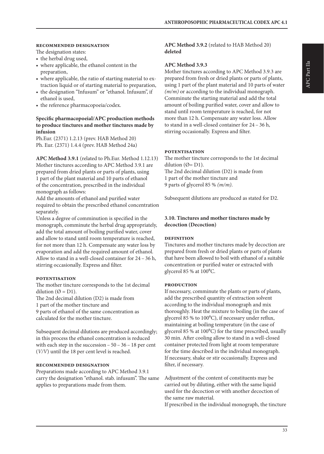#### **recommended designation**

The designation states:

- the herbal drug used,
- where applicable, the ethanol content in the preparation,
- where applicable, the ratio of starting material to extraction liquid or of starting material to preparation,
- the designation "Infusum" or "ethanol. Infusum", if ethanol is used,
- the reference pharmacopoeia/codex.

#### **Specific pharmacopoeial/APC production methods to produce tinctures and mother tinctures made by infusion**

Ph.Eur. (2371) 1.2.13 (prev. HAB Method 20) Ph. Eur. (2371) 1.4.4 (prev. HAB Method 24a)

**APC Method 3.9.1** (related to Ph.Eur. Method 1.12.13) Mother tinctures according to APC Method 3.9.1 are prepared from dried plants or parts of plants, using 1 part of the plant material and 10 parts of ethanol of the concentration, prescribed in the individual monograph as follows:

Add the amounts of ethanol and purified water required to obtain the prescribed ethanol concentration separately.

Unless a degree of comminution is specified in the monograph, comminute the herbal drug appropriately, add the total amount of boiling purified water, cover and allow to stand until room temperature is reached, for not more than 12 h. Compensate any water loss by evaporation and add the required amount of ethanol. Allow to stand in a well-closed container for 24 – 36 h, stirring occasionally. Express and filter.

#### **potentisation**

The mother tincture corresponds to the 1st decimal dilution ( $\emptyset$  = D1).

The 2nd decimal dilution (D2) is made from

1 part of the mother tincture and

9 parts of ethanol of the same concentration as calculated for the mother tincture.

Subsequent decimal dilutions are produced accordingly; in this process the ethanol concentration is reduced with each step in the succession – 50 – 36 – 18 per cent (*V/V*) until the 18 per cent level is reached.

#### **recommended designation**

Preparations made according to APC Method 3.9.1 carry the designation "ethanol. stab. infusum". The same applies to preparations made from them.

**APC Method 3.9.2** (related to HAB Method 20) **deleted**

#### **APC Method 3.9.3**

Mother tinctures according to APC Method 3.9.3 are prepared from fresh or dried plants or parts of plants, using 1 part of the plant material and 10 parts of water *(m/m)* or according to the individual monograph. Comminute the starting material and add the total amount of boiling purified water, cover and allow to stand until room temperature is reached, for not more than 12 h. Compensate any water loss. Allow to stand in a well-closed container for 24 – 36 h, stirring occasionally. Express and filter.

#### **potentisation**

The mother tincture corresponds to the 1st decimal dilution ( $\emptyset$ = D1). The 2nd decimal dilution (D2) is made from 1 part of the mother tincture and 9 parts of glycerol 85 % *(m/m)*.

Subsequent dilutions are produced as stated for D2.

#### **3.10. Tinctures and mother tinctures made by decoction (Decoction)**

#### **definition**

Tinctures and mother tinctures made by decoction are prepared from fresh or dried plants or parts of plants that have been allowed to boil with ethanol of a suitable concentration or purified water or extracted with glycerol 85 % at  $100^{\circ}$ C.

#### **production**

If necessary, comminute the plants or parts of plants, add the prescribed quantity of extraction solvent according to the individual monograph and mix thoroughly. Heat the mixture to boiling (in the case of glycerol 85 % to 100<sup>o</sup>C), if necessary under reflux, maintaining at boiling temperature (in the case of glycerol 85 % at 100°C) for the time prescribed, usually 30 min. After cooling allow to stand in a well-closed container protected from light at room temperature for the time described in the individual monograph. If necessary, shake or stir occasionally. Express and filter, if necessary.

Adjustment of the content of constituents may be carried out by diluting, either with the same liquid used for the decoction or with another decoction of the same raw material.

If prescribed in the individual monograph, the tincture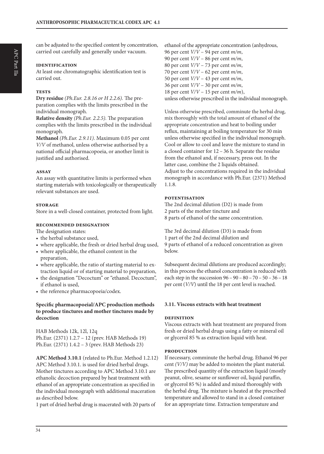can be adjusted to the specified content by concentration, carried out carefully and generally under vacuum.

#### **identification**

At least one chromatographic identification test is carried out.

#### **tests**

**Dry residue** *(Ph.Eur. 2.8.16 or H 2.2.6).* The preparation complies with the limits prescribed in the individual monograph.

**Relative density** *(Ph.Eur. 2.2.5).* The preparation complies with the limits prescribed in the individual monograph.

**Methanol** *(Ph.Eur. 2.9.11)*. Maximum 0.05 per cent *V/V* of methanol, unless otherwise authorised by a national official pharmacopoeia, or another limit is justified and authorised.

#### **assay**

An assay with quantitative limits is performed when starting materials with toxicologically or therapeutically relevant substances are used.

#### **storage**

Store in a well-closed container, protected from light.

#### **recommended designation**

The designation states:

- the herbal substance used,
- where applicable, the fresh or dried herbal drug used,
- where applicable, the ethanol content in the preparation,
- where applicable, the ratio of starting material to extraction liquid or of starting material to preparation,
- the designation "Decoctum" or "ethanol. Decoctum", if ethanol is used,
- the reference pharmacopoeia/codex.

#### **Specific pharmacopoeial/APC production methods to produce tinctures and mother tinctures made by decoction**

HAB Methods 12k, 12l, 12q Ph.Eur. (2371) 1.2.7 – 12 (prev. HAB Methods 19) Ph.Eur. (2371) 1.4.2 – 3 (prev. HAB Methods 23)

**APC Method 3.10.1** (related to Ph.Eur. Method 1.2.12) APC Method 3.10.1. is used for dried herbal drugs. Mother tinctures according to APC Method 3.10.1 are ethanolic decoction prepared by heat treatment with ethanol of an appropriate concentration as specified in the individual monograph with additional maceration as described below.

1 part of dried herbal drug is macerated with 20 parts of

ethanol of the appropriate concentration (anhydrous, 96 per cent *V/V* – 94 per cent *m/m*, 90 per cent *V/V* – 86 per cent *m/m*, 80 per cent *V/V* – 73 per cent *m/m*, 70 per cent *V/V* – 62 per cent *m/m*, 50 per cent *V/V* – 43 per cent *m/m*, 36 per cent *V/V* – 30 per cent *m/m*, 18 per cent *V/V* – 15 per cent *m/m*), unless otherwise prescribed in the individual monograph.

Unless otherwise prescribed, comminute the herbal drug, mix thoroughly with the total amount of ethanol of the appropriate concentration and heat to boiling under reflux, maintaining at boiling temperature for 30 min unless otherwise specified in the individual monograph. Cool or allow to cool and leave the mixture to stand in a closed container for 12 – 36 h. Separate the residue from the ethanol and, if necessary, press out. In the latter case, combine the 2 liquids obtained. Adjust to the concentrations required in the individual monograph in accordance with Ph.Eur. (2371) Method 1.1.8.

#### **potentisation**

The 2nd decimal dilution (D2) is made from 2 parts of the mother tincture and 8 parts of ethanol of the same concentration.

The 3rd decimal dilution (D3) is made from 1 part of the 2nd decimal dilution and 9 parts of ethanol of a reduced concentration as given below.

Subsequent decimal dilutions are produced accordingly; in this process the ethanol concentration is reduced with each step in the succession 96 – 90 – 80 – 70 – 50 – 36 – 18 per cent (*V/V*) until the 18 per cent level is reached.

#### **3.11. Viscous extracts with heat treatment**

#### **definition**

Viscous extracts with heat treatment are prepared from fresh or dried herbal drugs using a fatty or mineral oil or glycerol 85 % as extraction liquid with heat.

#### **production**

If necessary, comminute the herbal drug. Ethanol 96 per cent *(V/V)* may be added to moisten the plant material. The prescribed quantity of the extraction liquid (mostly peanut, olive, sesame or sunflower oil, liquid paraffin, or glycerol 85 %) is added and mixed thoroughly with the herbal drug. The mixture is heated at the prescribed temperature and allowed to stand in a closed container for an appropriate time. Extraction temperature and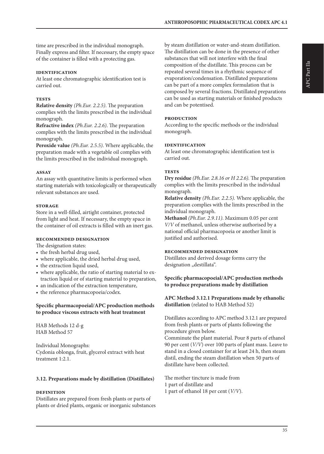time are prescribed in the individual monograph. Finally express and filter. If necessary, the empty space of the container is filled with a protecting gas.

#### **identification**

At least one chromatographic identification test is carried out.

#### **tests**

**Relative density** *(Ph.Eur. 2.2.5)*. The preparation complies with the limits prescribed in the individual monograph.

**Refractive index** *(Ph.Eur. 2.2.6)*. The preparation complies with the limits prescribed in the individual monograph.

**Peroxide value** *(Ph.Eur. 2.5.5)*. Where applicable, the preparation made with a vegetable oil complies with the limits prescribed in the individual monograph.

#### **assay**

An assay with quantitative limits is performed when starting materials with toxicologically or therapeutically relevant substances are used.

#### **storage**

Store in a well-filled, airtight container, protected from light and heat. If necessary, the empty space in the container of oil extracts is filled with an inert gas.

#### **recommended designation**

The designation states:

- the fresh herbal drug used,
- where applicable, the dried herbal drug used,
- the extraction liquid used,
- where applicable, the ratio of starting material to extraction liquid or of starting material to preparation,
- an indication of the extraction temperature,
- the reference pharmacopoeia/codex.

#### **Specific pharmacopoeial/APC production methods to produce viscous extracts with heat treatment**

HAB Methods 12 d-g HAB Method 57

Individual Monographs: Cydonia oblonga, fruit, glycerol extract with heat treatment 1:2.1.

#### **3.12. Preparations made by distillation (Distillates)**

## **definition**

Distillates are prepared from fresh plants or parts of plants or dried plants, organic or inorganic substances by steam distillation or water-and-steam distillation. The distillation can be done in the presence of other substances that will not interfere with the final composition of the distillate. This process can be repeated several times in a rhythmic sequence of evaporation/condensation. Distillated preparations can be part of a more complex formulation that is composed by several fractions. Distillated preparations can be used as starting materials or finished products and can be potentised.

#### **production**

According to the specific methods or the individual monograph.

#### **identification**

At least one chromatographic identification test is carried out.

#### **tests**

**Dry residue** *(Ph.Eur. 2.8.16 or H 2.2.6).* The preparation complies with the limits prescribed in the individual monograph.

**Relative density** *(Ph.Eur. 2.2.5).* Where applicable, the preparation complies with the limits prescribed in the individual monograph.

**Methanol** *(Ph.Eur. 2.9.11)*. Maximum 0.05 per cent *V/V* of methanol, unless otherwise authorised by a national official pharmacopoeia or another limit is justified and authorised.

#### **recommended designation**

Distillates and derived dosage forms carry the designation "destillata".

#### **Specific pharmacopoeial/APC production methods to produce preparations made by distillation**

**APC Method 3.12.1 Preparations made by ethanolic distillation** (related to HAB Method 52)

Distillates according to APC method 3.12.1 are prepared from fresh plants or parts of plants following the procedure given below.

Comminute the plant material. Pour 8 parts of ethanol 90 per cent (*V/V*) over 100 parts of plant mass. Leave to stand in a closed container for at least 24 h, then steam distil, ending the steam distillation when 50 parts of distillate have been collected.

The mother tincture is made from 1 part of distillate and 1 part of ethanol 18 per cent (*V/V*).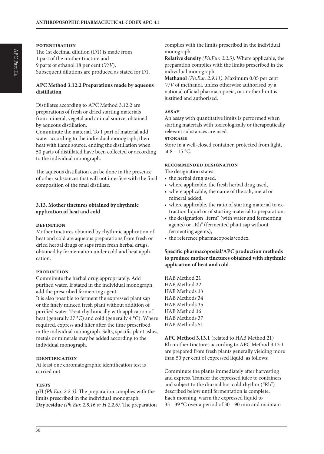#### **potentisation**

The 1st decimal dilution (D1) is made from 1 part of the mother tincture and 9 parts of ethanol 18 per cent (*V/V*). Subsequent dilutions are produced as stated for D1.

#### **APC Method 3.12.2 Preparations made by aqueous distillation**

Distillates according to APC Method 3.12.2 are preparations of fresh or dried starting materials from mineral, vegetal and animal source, obtained by aqueous distillation.

Comminute the material. To 1 part of material add water according to the individual monograph, then heat with flame source, ending the distillation when 50 parts of distillated have been collected or according to the individual monograph.

The aqueous distillation can be done in the presence of other substances that will not interfere with the final composition of the final distillate.

#### **3.13. Mother tinctures obtained by rhythmic application of heat and cold**

#### **definition**

Mother tinctures obtained by rhythmic application of heat and cold are aqueous preparations from fresh or dried herbal drugs or saps from fresh herbal drugs, obtained by fermentation under cold and heat application.

#### **production**

Comminute the herbal drug appropriately. Add purified water. If stated in the individual monograph, add the prescribed fermenting agent.

It is also possible to ferment the expressed plant sap or the finely minced fresh plant without addition of purified water. Treat rhythmically with application of heat (generally 37 °C) and cold (generally 4 °C). Where required, express and filter after the time prescribed in the individual monograph. Salts, specific plant ashes, metals or minerals may be added according to the individual monograph.

#### **identification**

At least one chromatographic identification test is carried out.

#### **tests**

**pH** *(Ph.Eur. 2.2.3)*. The preparation complies with the limits prescribed in the individual monograph. **Dry residue** *(Ph.Eur. 2.8.16 or H 2.2.6).* The preparation complies with the limits prescribed in the individual monograph.

**Relative density** *(Ph.Eur. 2.2.5).* Where applicable, the preparation complies with the limits prescribed in the individual monograph.

**Methanol** *(Ph.Eur. 2.9.11)*. Maximum 0.05 per cent *V/V* of methanol, unless otherwise authorised by a national official pharmacopoeia, or another limit is justified and authorised.

#### **assay**

An assay with quantitative limits is performed when starting materials with toxicologically or therapeutically relevant substances are used.

## **storage**

Store in a well-closed container, protected from light, at  $8 - 15$  °C.

#### **recommended designation**

The designation states:

- the herbal drug used,
- where applicable, the fresh herbal drug used,
- where applicable, the name of the salt, metal or mineral added,
- where applicable, the ratio of starting material to extraction liquid or of starting material to preparation,
- the designation "ferm" (with water and fermenting agents) or "Rh" (fermented plant sap without fermenting agents),
- the reference pharmacopoeia/codex.

#### **Specific pharmacopoeial/APC production methods to produce mother tinctures obtained with rhythmic application of heat and cold**

HAB Method 21 HAB Method 22 HAB Methods 33 HAB Methods 34 HAB Methods 35 HAB Method 36 HAB Methods 37 HAB Methods 51

**APC Method 3.13.1** (related to HAB Method 21) Rh mother tinctures according to APC Method 3.13.1 are prepared from fresh plants generally yielding more than 50 per cent of expressed liquid, as follows:

Comminute the plants immediately after harvesting and express. Transfer the expressed juice to containers and subject to the diurnal hot-cold rhythm ("Rh") described below until fermentation is complete. Each morning, warm the expressed liquid to 35 – 39 °C over a period of 30 – 90 min and maintain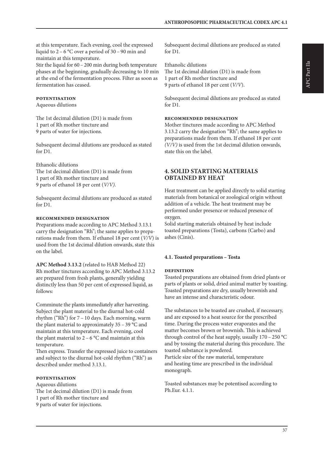at this temperature. Each evening, cool the expressed liquid to 2 – 6 °C over a period of 30 – 90 min and maintain at this temperature.

Stir the liquid for  $60 - 200$  min during both temperature phases at the beginning, gradually decreasing to 10 min at the end of the fermentation process. Filter as soon as fermentation has ceased.

#### **potentisation**

Aqueous dilutions

The 1st decimal dilution (D1) is made from 1 part of Rh mother tincture and 9 parts of water for injections.

Subsequent decimal dilutions are produced as stated for D1.

Ethanolic dilutions The 1st decimal dilution (D1) is made from 1 part of Rh mother tincture and 9 parts of ethanol 18 per cent (*V/V)*.

Subsequent decimal dilutions are produced as stated for D1.

#### **recommended designation**

Preparations made according to APC Method 3.13.1 carry the designation "Rh"; the same applies to preparations made from them. If ethanol 18 per cent (*V/V*) is used from the 1st decimal dilution onwards, state this on the label.

**APC Method 3.13.2** (related to HAB Method 22)

Rh mother tinctures according to APC Method 3.13.2 are prepared from fresh plants, generally yielding distinctly less than 50 per cent of expressed liquid, as follows:

Comminute the plants immediately after harvesting. Subject the plant material to the diurnal hot-cold rhythm ("Rh") for 7 – 10 days. Each morning, warm the plant material to approximately 35 – 39 °C and maintain at this temperature. Each evening, cool the plant material to  $2 - 6$  °C and maintain at this temperature.

Then express. Transfer the expressed juice to containers and subject to the diurnal hot-cold rhythm ("Rh") as described under method 3.13.1.

#### **potentisation**

Aqueous dilutions The 1st decimal dilution (D1) is made from 1 part of Rh mother tincture and 9 parts of water for injections.

Subsequent decimal dilutions are produced as stated for D1.

Ethanolic dilutions The 1st decimal dilution (D1) is made from 1 part of Rh mother tincture and 9 parts of ethanol 18 per cent (*V/V*).

Subsequent decimal dilutions are produced as stated for D1.

#### **recommended designation**

Mother tinctures made according to APC Method 3.13.2 carry the designation "Rh"; the same applies to preparations made from them. If ethanol 18 per cent *(V/V)* is used from the 1st decimal dilution onwards, state this on the label.

## **4. SOLID STARTING MATERIALS OBTAINED BY HEAT**

Heat treatment can be applied directly to solid starting materials from botanical or zoological origin without addition of a vehicle. The heat treatment may be performed under presence or reduced presence of oxygen.

Solid starting materials obtained by heat include toasted preparations (Tosta), carbons (Carbo) and ashes (Cinis).

## **4.1. Toasted preparations – Tosta**

## **definition**

Toasted preparations are obtained from dried plants or parts of plants or solid, dried animal matter by toasting. Toasted preparations are dry, usually brownish and have an intense and characteristic odour.

The substances to be toasted are crushed, if necessary, and are exposed to a heat source for the prescribed time. During the process water evaporates and the matter becomes brown or brownish. This is achieved through control of the heat supply, usually  $170 - 250$  °C and by tossing the material during this procedure. The toasted substance is powdered. Particle size of the raw material, temperature and heating time are prescribed in the individual monograph.

Toasted substances may be potentised according to Ph.Eur. 4.1.1.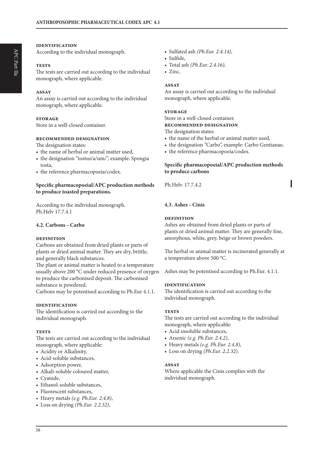#### **identification**

According to the individual monograph.

#### **tests**

The tests are carried out according to the individual monograph, where applicable.

#### **assay**

An assay is carried out according to the individual monograph, where applicable.

#### **storage**

Store in a well-closed container.

#### **recommended designation**

The designation states:

- the name of herbal or animal matter used,
- the designation "tostus/a/um/", example: Spongia tosta,
- the reference pharmacopoeia/codex.

#### **Specific pharmacopoeial/APC production methods to produce toasted preparations.**

According to the individual monograph. Ph.Helv 17.7.4.1

#### **4.2. Carbons –Carbo**

#### **definition**

Carbons are obtained from dried plants or parts of plants or dried animal matter. They are dry, brittle, and generally black substances.

The plant or animal matter is heated to a temperature usually above 200 °C under reduced presence of oxygen to produce the carbonised deposit. The carbonised substance is powdered.

Carbons may be potentised according to Ph.Eur 4.1.1.

#### **identification**

The identification is carried out according to the individual monograph.

#### **tests**

The tests are carried out according to the individual monograph, where applicable:

- Acidity or Alkalinity,
- Acid-soluble substances,
- Adsorption power,
- Alkali-soluble coloured matter,
- Cyanide,
- Ethanol-soluble substances,
- Fluorescent substances,
- Heavy metals *(e.g. Ph.Eur. 2.4.8)*,
- Loss on drying *(Ph.Eur. 2.2.32)*,
- Sulfated ash *(Ph.Eur. 2.4.14)*,
- Sulfide,
	- Total ash *(Ph.Eur. 2.4.16)*,
	- Zinc.

#### **assay**

An assay is carried out according to the individual monograph, where applicable.

#### **storage**

Store in a well-closed container. **recommended designation** 

The designation states:

• the name of the herbal or animal matter used,

- the designation "Carbo", example: Carbo Gentianae,
- the reference pharmacopoeia/codex.

#### **Specific pharmacopoeial/APC production methods to produce carbons**

Ph.Helv. 17.7.4.2

#### **4.3. Ashes –Cinis**

#### **definition**

Ashes are obtained from dried plants or parts of plants or dried animal matter. They are generally fine, amorphous, white, grey, beige or brown powders.

The herbal or animal matter is incinerated generally at a temperature above 500 °C.

Ashes may be potentised according to Ph.Eur. 4.1.1.

#### **identification**

The identification is carried out according to the individual monograph.

#### **tests**

The tests are carried out according to the individual monograph, where applicable:

- Acid insoluble substances,
- Arsenic *(e.g. Ph.Eur. 2.4.2)*,
- Heavy metals *(e.g. Ph.Eur. 2.4.8)*,
- Loss on drying *(Ph.Eur. 2.2.32)*.

#### **assay**

Where applicable the Cinis complies with the individual monograph.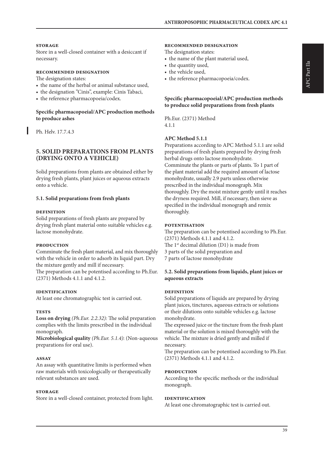#### **storage**

Store in a well-closed container with a desiccant if necessary.

#### **recommended designation**

The designation states:

- the name of the herbal or animal substance used,
- the designation "Cinis", example: Cinis Tabaci,
- the reference pharmacopoeia/codex.

#### **Specific pharmacopoeial/APC production methods to produce ashes**

Ph. Helv. 17.7.4.3

#### **5. SOLID PREPARATIONS FROM PLANTS (DRYING ONTO A VEHICLE)**

Solid preparations from plants are obtained either by drying fresh plants, plant juices or aqueous extracts onto a vehicle.

#### **5.1. Solid preparations from fresh plants**

#### **definition**

Solid preparations of fresh plants are prepared by drying fresh plant material onto suitable vehicles e.g. lactose monohydrate.

#### **production**

Comminute the fresh plant material, and mix thoroughly with the vehicle in order to adsorb its liquid part. Dry the mixture gently and mill if necessary.

The preparation can be potentised according to Ph.Eur. (2371) Methods 4.1.1 and 4.1.2.

#### **identification**

At least one chromatographic test is carried out.

#### **tests**

**Loss on drying** *(Ph.Eur. 2.2.32):* The solid preparation complies with the limits prescribed in the individual monograph.

**Microbiological quality** *(Ph.Eur. 5.1.4)*: (Non-aqueous preparations for oral use).

#### **assay**

An assay with quantitative limits is performed when raw materials with toxicologically or therapeutically relevant substances are used.

#### **storage**

Store in a well-closed container, protected from light.

#### **recommended designation**

The designation states:

- the name of the plant material used,
- the quantity used,
- the vehicle used,
- the reference pharmacopoeia/codex.

#### **Specific pharmacopoeial/APC production methods to produce solid preparations from fresh plants**

Ph.Eur. (2371) Method 4.1.1

#### **APC Method 5.1.1**

Preparations according to APC Method 5.1.1 are solid preparations of fresh plants prepared by drying fresh herbal drugs onto lactose monohydrate. Comminute the plants or parts of plants. To 1 part of the plant material add the required amount of lactose monohydrate, usually 2.9 parts unless otherwise prescribed in the individual monograph. Mix thoroughly. Dry the moist mixture gently until it reaches the dryness required. Mill, if necessary, then sieve as specified in the individual monograph and remix thoroughly.

#### **potentisation**

The preparation can be potentised according to Ph.Eur. (2371) Methods 4.1.1 and 4.1.2. The 1<sup>st</sup> decimal dilution (D1) is made from 3 parts of the solid preparation and 7 parts of lactose monohydrate

#### **5.2. Solid preparations from liquids, plant juices or aqueous extracts**

#### **definition**

Solid preparations of liquids are prepared by drying plant juices, tinctures, aqueous extracts or solutions or their dilutions onto suitable vehicles e.g. lactose monohydrate.

The expressed juice or the tincture from the fresh plant material or the solution is mixed thoroughly with the vehicle. The mixture is dried gently and milled if necessary.

The preparation can be potentised according to Ph.Eur. (2371) Methods 4.1.1 and 4.1.2.

#### **production**

According to the specific methods or the individual monograph.

#### **identification**

At least one chromatographic test is carried out.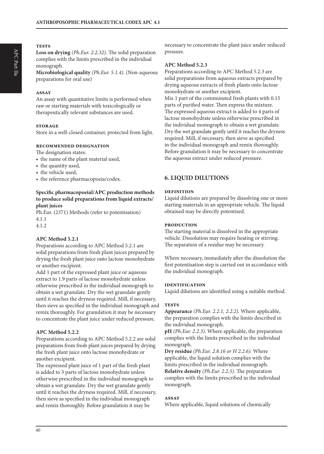**Loss on drying** *(Ph.Eur. 2.2.32).* The solid preparation complies with the limits prescribed in the individual monograph.

**Microbiological quality** *(Ph.Eur. 5.1.4)*. (Non-aqueous preparations for oral use)

#### **assay**

An assay with quantitative limits is performed when raw or starting materials with toxicologically or therapeutically relevant substances are used.

#### **storage**

Store in a well-closed container, protected from light.

#### **recommended designation**

The designation states:

- the name of the plant material used,
- the quantity used,
- the vehicle used,
- the reference pharmacopoeia/codex.

#### **Specific pharmacopoeial/APC production methods to produce solid preparations from liquid extracts/ plant juices**

Ph.Eur. (2371) Methods (refer to potentisation) 4.1.1

4.1.2

#### **APC Method 5.2.1**

Preparations according to APC Method 5.2.1 are solid preparations from fresh plant juices prepared by drying the fresh plant juice onto lactose monohydrate or another excipient.

Add 1 part of the expressed plant juice or aqueous extract to 1.9 parts of lactose monohydrate unless otherwise prescribed in the individual monograph to obtain a wet granulate. Dry the wet granulate gently until it reaches the dryness required. Mill, if necessary, then sieve as specified in the individual monograph and remix thoroughly. For granulation it may be necessary to concentrate the plant juice under reduced pressure.

#### **APC Method 5.2.2**

Preparations according to APC Method 5.2.2 are solid preparations from fresh plant juices prepared by drying the fresh plant juice onto lactose monohydrate or another excipient.

The expressed plant juice of 1 part of the fresh plant is added to 3 parts of lactose monohydrate unless otherwise prescribed in the individual monograph to obtain a wet granulate. Dry the wet granulate gently until it reaches the dryness required. Mill, if necessary, then sieve as specified in the individual monograph and remix thoroughly. Before granulation it may be

necessary to concentrate the plant juice under reduced pressure.

#### **APC Method 5.2.3**

Preparations according to APC Method 5.2.3 are solid preparations from aqueous extracts prepared by drying aqueous extracts of fresh plants onto lactose monohydrate or another excipient. Mix 1 part of the comminuted fresh plants with 0.15 parts of purified water. Then express the mixture. The expressed aqueous extract is added to 4 parts of lactose monohydrate unless otherwise prescribed in the individual monograph to obtain a wet granulate. Dry the wet granulate gently until it reaches the dryness required. Mill, if necessary, then sieve as specified in the individual monograph and remix thoroughly. Before granulation it may be necessary to concentrate the aqueous extract under reduced pressure.

## **6. LIQUID DILUTIONS**

#### **definition**

Liquid dilutions are prepared by dissolving one or more starting materials in an appropriate vehicle. The liquid obtained may be directly potentised.

#### **production**

The starting material is dissolved in the appropriate vehicle. Dissolution may require heating or stirring. The separation of a residue may be necessary.

Where necessary, immediately after the dissolution the first potentisation step is carried out in accordance with the individual monograph.

#### **identification**

Liquid dilutions are identified using a suitable method.

#### **tests**

**Appearance** *(Ph.Eur. 2.2.1, 2.2.2)*. Where applicable, the preparation complies with the limits described in the individual monograph.

**pH** *(Ph.Eur. 2.2.3)*. Where applicable, the preparation complies with the limits prescribed in the individual monograph.

**Dry residue** *(Ph.Eur. 2.8.16 or H 2.2.6).* Where applicable, the liquid solution complies with the limits prescribed in the individual monograph. **Relative density** *(Ph.Eur. 2.2.5)*. The preparation complies with the limits prescribed in the individual monograph.

#### **assay**

Where applicable, liquid solutions of chemically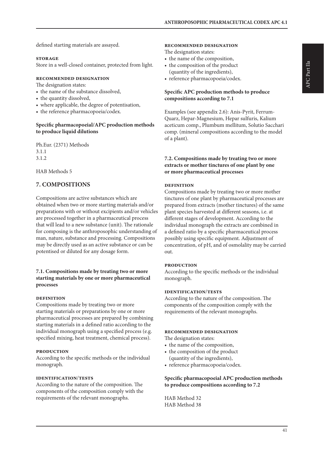defined starting materials are assayed.

#### **storage**

Store in a well-closed container, protected from light.

#### **recommended designation**

The designation states:

- the name of the substance dissolved,
- the quantity dissolved,
- where applicable, the degree of potentisation,
- the reference pharmacopoeia/codex.

#### **Specific pharmacopoeial/APC production methods to produce liquid dilutions**

Ph.Eur. (2371) Methods 3.1.1 3.1.2

HAB Methods 5

## **7. COMPOSITIONS**

Compositions are active substances which are obtained when two or more starting materials and/or preparations with or without excipients and/or vehicles are processed together in a pharmaceutical process that will lead to a new substance (unit). The rationale for composing is the anthroposophic understanding of man, nature, substance and processing. Compositions may be directly used as an active substance or can be potentised or diluted for any dosage form.

#### **7.1. Compositions made by treating two or more starting materials by one or more pharmaceutical processes**

#### **definition**

Compositions made by treating two or more starting materials or preparations by one or more pharmaceutical processes are prepared by combining starting materials in a defined ratio according to the individual monograph using a specified process (e.g. specified mixing, heat treatment, chemical process).

#### **production**

According to the specific methods or the individual monograph.

#### **identification**/**tests**

According to the nature of the composition. The components of the composition comply with the requirements of the relevant monographs.

#### **recommended designation**

The designation states:

- the name of the composition,
- the composition of the product (quantity of the ingredients),
- reference pharmacopoeia/codex.

#### **Specific APC production methods to produce compositions according to 7.1**

Examples (see appendix 2.6): Anis-Pyrit, Ferrum-Quarz, Hepar-Magnesium, Hepar sulfuris, Kalium aceticum comp., Plumbum mellitum, Solutio Sacchari comp. (mineral compositions according to the model of a plant).

#### **7.2. Compositions made by treating two or more extracts or mother tinctures of one plant by one or more pharmaceutical processes**

#### **definition**

Compositions made by treating two or more mother tinctures of one plant by pharmaceutical processes are prepared from extracts (mother tinctures) of the same plant species harvested at different seasons, i.e. at different stages of development. According to the individual monograph the extracts are combined in a defined ratio by a specific pharmaceutical process possibly using specific equipment. Adjustment of concentration, of pH, and of osmolality may be carried out.

#### **production**

According to the specific methods or the individual monograph.

#### **identification**/**tests**

According to the nature of the composition. The components of the composition comply with the requirements of the relevant monographs.

#### **recommended designation**

The designation states:

- the name of the composition,
- the composition of the product (quantity of the ingredients),
- reference pharmacopoeia/codex.

#### **Specific pharmacopoeial APC production methods to produce compositions according to 7.2**

HAB Method 32 HAB Method 38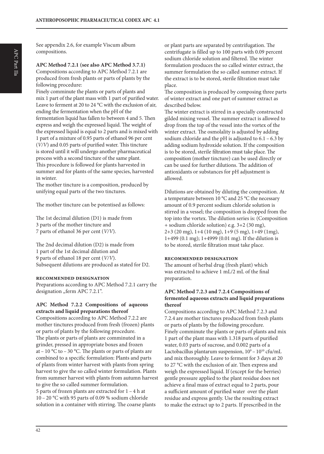**APC Method 7.2.1 (see also APC Method 3.7.1)** Compositions according to APC Method 7.2.1 are produced from fresh plants or parts of plants by the following procedure:

Finely comminute the plants or parts of plants and mix 1 part of the plant mass with 1 part of purified water. Leave to ferment at 20 to 24 °C with the exclusion of air, ending the fermentation when the pH of the fermentation liquid has fallen to between 4 and 5. Then express and weigh the expressed liquid. The weight of the expressed liquid is equal to 2 parts and is mixed with 1 part of a mixture of 0.95 parts of ethanol 96 per cent (*V/V*) and 0.05 parts of purified water. This tincture is stored until it will undergo another pharmaceutical process with a second tincture of the same plant. This procedure is followed for plants harvested in summer and for plants of the same species, harvested in winter.

The mother tincture is a composition, produced by unifying equal parts of the two tinctures.

The mother tincture can be potentised as follows:

The 1st decimal dilution (D1) is made from 3 parts of the mother tincture and 7 parts of ethanol 36 per cent (*V/V*).

The 2nd decimal dilution (D2) is made from 1 part of the 1st decimal dilution and 9 parts of ethanol 18 per cent (*V/V*). Subsequent dilutions are produced as stated for D2.

#### **recommended designation**

Preparations according to APC Method 7.2.1 carry the designation "ferm APC 7.2.1".

#### **APC Method 7.2.2 Compositions of aqueous extracts and liquid preparations thereof**

Compositions according to APC Method 7.2.2 are mother tinctures produced from fresh (frozen) plants or parts of plants by the following procedure. The plants or parts of plants are comminuted in a grinder, pressed in appropriate boxes and frozen at – 10 °C to – 30 °C. The plants or parts of plants are combined to a specific formulation: Plants and parts of plants from winter harvest with plants from spring harvest to give the so called winter formulation. Plants from summer harvest with plants from autumn harvest to give the so called summer formulation. 5 parts of frozen plants are extracted for 1 – 4 h at 10 – 20 °C with 95 parts of 0.09 % sodium chloride solution in a container with stirring. The coarse plants

or plant parts are separated by centrifugation. The centrifugate is filled up to 100 parts with 0.09 percent sodium chloride solution and filtered. The winter formulation produces the so called winter extract, the summer formulation the so called summer extract. If the extract is to be stored, sterile filtration must take place.

The composition is produced by composing three parts of winter extract and one part of summer extract as described below.

The winter extract is stirred in a specially constructed gilded mixing vessel. The summer extract is allowed to drop from the top of the vessel into the vortex of the winter extract. The osmolality is adjusted by adding sodium chloride and the pH is adjusted to  $6.1 - 6.3$  by adding sodium hydroxide solution. If the composition is to be stored, sterile filtration must take place. The composition (mother tincture) can be used directly or can be used for further dilutions. The addition of antioxidants or substances for pH adjustment is allowed.

Dilutions are obtained by diluting the composition. At a temperature between 10 °C and 25 °C the necessary amount of 0.9 percent sodium chloride solution is stirred in a vessel; the composition is dropped from the top into the vortex. The dilution series is: (Composition + sodium chloride solution) e.g. 3+2 (30 mg), 2+3 (20 mg), 1+4 (10 mg), 1+9 (5 mg), 1+49 (1mg), 1+499 (0.1 mg); 1+4999 (0.01 mg). If the dilution is to be stored, sterile filtration must take place.

#### **recommended designation**

The amount of herbal drug (fresh plant) which was extracted to achieve 1 mL/2 mL of the final preparation.

#### **APC Method 7.2.3 and 7.2.4 Compositions of fermented aqueous extracts and liquid preparations thereof**

Compositions according to APC Method 7.2.3 and 7.2.4 are mother tinctures produced from fresh plants or parts of plants by the following procedure. Finely comminute the plants or parts of plants and mix 1 part of the plant mass with 1.318 parts of purified water, 0.03 parts of sucrose, and 0.002 parts of a Lactobacillus plantarum suspension,  $10^9 - 10^{10}$  cfu/mL and mix thoroughly. Leave to ferment for 3 days at 20 to 27 °C with the exclusion of air. Then express and weigh the expressed liquid. If (except for the berries) gentle pressure applied to the plant residue does not achieve a final mass of extract equal to 2 parts, pour a sufficient amount of purified water over the plant residue and express gently. Use the resulting extract to make the extract up to 2 parts. If prescribed in the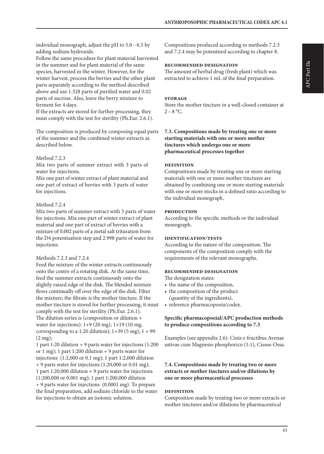individual monograph, adjust the pH to 5.0 – 6.5 by adding sodium hydroxide.

Follow the same procedure for plant material harvested in the summer and for plant material of the same species, harvested in the winter. However, for the winter harvest, process the berries and the other plant parts separately according to the method described above and use 1.328 parts of purified water and 0.02 parts of sucrose. Also, leave the berry mixture to ferment for 4 days.

If the extracts are stored for further processing, they must comply with the test for sterility (Ph.Eur. 2.6.1).

The composition is produced by composing equal parts of the summer and the combined winter extracts as described below.

#### Method 7.2.3

Mix two parts of summer extract with 3 parts of water for injections.

Mix one part of winter extract of plant material and one part of extract of berries with 3 parts of water for injections.

#### Method 7.2.4

Mix two parts of summer extract with 3 parts of water for injections. Mix one part of winter extract of plant material and one part of extract of berries with a mixture of 0.002 parts of a metal salt trituration from the D4 potentisation step and 2.998 parts of water for injections.

#### Methods 7.2.3 and 7.2.4

Feed the mixture of the winter extracts continuously onto the centre of a rotating disk. At the same time, feed the summer extracts continuously onto the slightly raised edge of the disk. The blended mixture flows continually off over the edge of the disk. Filter the mixture; the filtrate is the mother tincture. If the mother tincture is stored for further processing, it must comply with the test for sterility (Ph.Eur. 2.6.1). The dilution series is (composition or dilution + water for injections): 1+9 (20 mg), 1+19 (10 mg, corresponding to a 1:20 dilution);  $1+39$  (5 mg);  $1+99$  $(2 \text{ mg})$ ;

1 part 1:20 dilution + 9 parts water for injections (1:200 or 1 mg); 1 part 1:200 dilution  $+$  9 parts water for injections (1:2,000 or 0.1 mg); 1 part 1:2,000 dilution + 9 parts water for injections (1:20,000 or 0.01 mg); 1 part 1:20,000 dilution + 9 parts water for injections (1:200,000 or 0.001 mg); 1 part 1:200,000 dilution + 9 parts water for injections (0.0001 mg). To prepare the final preparation, add sodium chloride to the water for injections to obtain an isotonic solution.

Compositions produced according to methods 7.2.3 and 7.2.4 may be potentised according to chapter 8.

#### **recommended designation**

The amount of herbal drug (fresh plant) which was extracted to achieve 1 mL of the final preparation.

#### **storage**

Store the mother tincture in a well-closed container at  $2 - 8$  °C.

#### **7.3. Compositions made by treating one or more starting materials with one or more mother tinctures which undergo one or more pharmaceutical processes together**

#### **definition**

Compositions made by treating one or more starting materials with one or more mother tinctures are obtained by combining one or more starting materials with one or more stocks in a defined ratio according to the individual monograph.

#### **production**

According to the specific methods or the individual monograph.

#### **identification**/**tests**

According to the nature of the composition. The components of the composition comply with the requirements of the relevant monographs.

#### **recommended designation**

The designation states:

- the name of the composition,
- the composition of the product (quantity of the ingredients),
- reference pharmacopoeia/codex.

#### **Specific pharmacopoeial/APC production methods to produce compositions according to 7.3**

Examples (see appendix 2.6): Cinis e fructibus Avenae sativae cum Magnesio phosphorico (1:1), Cissus-Ossa.

#### **7.4. Compositions made by treating two or more extracts or mother tinctures and/or dilutions by one or more pharmaceutical processes**

#### **definition**

Composition made by treating two or more extracts or mother tinctures and/or dilutions by pharmaceutical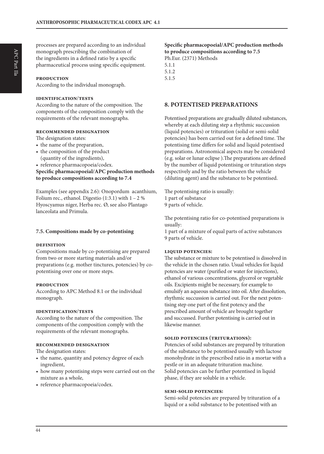processes are prepared according to an individual monograph prescribing the combination of the ingredients in a defined ratio by a specific pharmaceutical process using specific equipment.

#### **production**

According to the individual monograph.

#### **identification**/**tests**

According to the nature of the composition. The components of the composition comply with the requirements of the relevant monographs.

#### **recommended designation**

The designation states:

- the name of the preparation,
- the composition of the product (quantity of the ingredients),
- reference pharmacopoeia/codex.

**Specific pharmacopoeial/APC production methods to produce compositions according to 7.4**

Examples (see appendix 2.6): Onopordum acanthium, Folium rec., ethanol. Digestio  $(1:3.1)$  with  $1 - 2$ % Hyoscyamus niger, Herba rec. Ø, see also Plantago lanceolata and Primula.

#### **7.5. Compositions made by co-potentising**

#### **definition**

Compositions made by co-potentising are prepared from two or more starting materials and/or preparations (e.g. mother tinctures, potencies) by copotentising over one or more steps.

#### **production**

According to APC Method 8.1 or the individual monograph.

#### **identification**/**tests**

According to the nature of the composition. The components of the composition comply with the requirements of the relevant monographs.

#### **recommended designation**

The designation states:

- the name, quantity and potency degree of each ingredient,
- how many potentising steps were carried out on the mixture as a whole,
- reference pharmacopoeia/codex.

## **Specific pharmacopoeial/APC production methods to produce compositions according to 7.5** Ph.Eur. (2371) Methods

5.1.1 5.1.2 5.1.5

#### **8. POTENTISED PREPARATIONS**

Potentised preparations are gradually diluted substances, whereby at each diluting step a rhythmic succussion (liquid potencies) or trituration (solid or semi-solid potencies) has been carried out for a defined time. The potentising time differs for solid and liquid potentised preparations. Astronomical aspects may be considered (e.g. solar or lunar eclipse ).The preparations are defined by the number of liquid potentising or trituration steps respectively and by the ratio between the vehicle (diluting agent) and the substance to be potentised.

The potentising ratio is usually: 1 part of substance 9 parts of vehicle.

The potentising ratio for co-potentised preparations is usually:

1 part of a mixture of equal parts of active substances 9 parts of vehicle.

#### **liquid potencies:**

The substance or mixture to be potentised is dissolved in the vehicle in the chosen ratio. Usual vehicles for liquid potencies are water (purified or water for injections), ethanol of various concentrations, glycerol or vegetable oils. Excipients might be necessary, for example to emulsify an aqueous substance into oil. After dissolution, rhythmic succussion is carried out. For the next potentising step one part of the first potency and the prescribed amount of vehicle are brought together and succussed. Further potentising is carried out in likewise manner.

#### **solid potencies (triturations):**

Potencies of solid substances are prepared by trituration of the substance to be potentised usually with lactose monohydrate in the prescribed ratio in a mortar with a pestle or in an adequate trituration machine. Solid potencies can be further potentised in liquid phase, if they are soluble in a vehicle.

#### **semi-solid potencies:**

Semi-solid potencies are prepared by trituration of a liquid or a solid substance to be potentised with an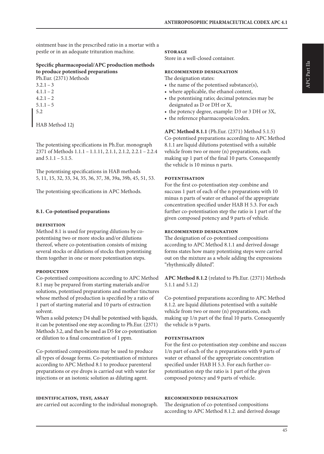ointment base in the prescribed ratio in a mortar with a pestle or in an adequate trituration machine.

#### **Specific pharmacopoeial/APC production methods to produce potentised preparations** Ph.Eur. (2371) Methods

 $3.2.1 - 3$  $4.1.1 - 2$  $4.2.1 - 2$  $5.1.1 - 5$ 5.2

HAB Method 12j

The potentising specifications in Ph.Eur. monograph 2371 of Methods 1.1.1 – 1.1.11, 2.1.1, 2.1.2, 2.2.1 – 2.2.4 and  $5.1.1 - 5.1.5$ .

The potentising specifications in HAB methods 5, 11, 15, 32, 33, 34, 35, 36, 37, 38, 39a, 39b, 45, 51, 53.

The potentising specifications in APC Methods.

#### **8.1. Co-potentised preparations**

#### **definition**

Method 8.1 is used for preparing dilutions by copotentising two or more stocks and/or dilutions thereof, where co-potentisation consists of mixing several stocks or dilutions of stocks then potentising them together in one or more potentisation steps.

#### **production**

Co-potentised compositions according to APC Method 8.1 may be prepared from starting materials and/or solutions, potentised preparations and mother tinctures whose method of production is specified by a ratio of 1 part of starting material and 10 parts of extraction solvent.

When a solid potency D4 shall be potentised with liquids, it can be potentised one step according to Ph.Eur. (2371) Methods 3.2, and then be used as D5 for co-potentisation or dilution to a final concentration of 1 ppm.

Co-potentised compositions may be used to produce all types of dosage forms. Co-potentisation of mixtures according to APC Method 8.1 to produce parenteral preparations or eye drops is carried out with water for injections or an isotonic solution as diluting agent.

#### **identification, test, assay**

are carried out according to the individual monograph.

#### **storage**

Store in a well-closed container.

#### **recommended designation**

The designation states:

- the name of the potentised substance(s),
- where applicable, the ethanol content,
- the potentising ratio; decimal potencies may be designated as D or DH or X,
- the potency degree, example: D3 or 3 DH or 3X,
- the reference pharmacopoeia/codex.

**APC Method 8.1.1** (Ph.Eur. (2371) Method 5.1.5) Co-potentised preparations according to APC Method 8.1.1 are liquid dilutions potentised with a suitable vehicle from two or more (n) preparations, each making up 1 part of the final 10 parts. Consequently the vehicle is 10 minus n parts.

#### **potentisation**

For the first co-potentisation step combine and succuss 1 part of each of the n preparations with 10 minus n parts of water or ethanol of the appropriate concentration specified under HAB H 5.3. For each further co-potentisation step the ratio is 1 part of the given composed potency and 9 parts of vehicle.

#### **recommended designation**

The designation of co-potentised compositions according to APC Method 8.1.1 and derived dosage forms states how many potentising steps were carried out on the mixture as a whole adding the expressions "rhythmically diluted".

**APC Method 8.1.2** (related to Ph.Eur. (2371) Methods 5.1.1 and 5.1.2)

Co-potentised preparations according to APC Method 8.1.2. are liquid dilutions potentised with a suitable vehicle from two or more (n) preparations, each making up 1/n part of the final 10 parts. Consequently the vehicle is 9 parts.

#### **potentisation**

For the first co-potentisation step combine and succuss 1/n part of each of the n preparations with 9 parts of water or ethanol of the appropriate concentration specified under HAB H 5.3. For each further copotentisation step the ratio is 1 part of the given composed potency and 9 parts of vehicle.

#### **recommended designation**

The designation of co-potentised compositions according to APC Method 8.1.2. and derived dosage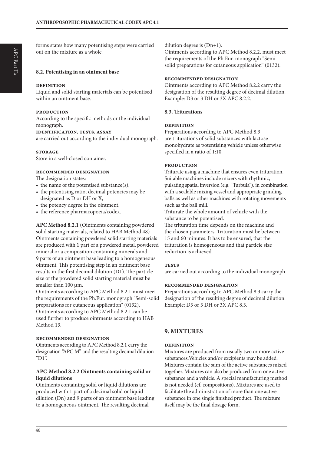forms states how many potentising steps were carried out on the mixture as a whole.

#### **8.2. Potentising in an ointment base**

#### **definition**

Liquid and solid starting materials can be potentised within an ointment base.

#### **production**

According to the specific methods or the individual monograph.

#### **identification**, **tests**, **assay**

are carried out according to the individual monograph.

#### **storage**

Store in a well-closed container.

## **recommended designation**

The designation states:

- the name of the potentised substance(s),
- the potentising ratio; decimal potencies may be designated as D or DH or X,
- the potency degree in the ointment,
- the reference pharmacopoeia/codex.

**APC Method 8.2.1** (Ointments containing powdered solid starting materials, related to HAB Method 48) Ointments containing powdered solid starting materials are produced with 1 part of a powdered metal, powdered mineral or a composition containing minerals and 9 parts of an ointment base leading to a homogeneous ointment. This potentising step in an ointment base results in the first decimal dilution (D1). The particle size of the powdered solid starting material must be smaller than 100 um.

Ointments according to APC Method 8.2.1 must meet the requirements of the Ph.Eur. monograph "Semi-solid preparations for cutaneous application" (0132). Ointments according to APC Method 8.2.1 can be used further to produce ointments according to HAB Method 13.

#### **recommended designation**

Ointments according to APC Method 8.2.1 carry the designation "APC M" and the resulting decimal dilution "D1".

#### **APC-Method 8.2.2 Ointments containing solid or liquid dilutions**

Ointments containing solid or liquid dilutions are produced with 1 part of a decimal solid or liquid dilution (Dn) and 9 parts of an ointment base leading to a homogeneous ointment. The resulting decimal

dilution degree is (Dn+1).

Ointments according to APC Method 8.2.2. must meet the requirements of the Ph.Eur. monograph "Semisolid preparations for cutaneous application" (0132).

#### **recommended designation**

Ointments according to APC Method 8.2.2 carry the designation of the resulting degree of decimal dilution. Example: D3 or 3 DH or 3X APC 8.2.2.

#### **8.3. Triturations**

#### **definition**

Preparations according to APC Method 8.3 are triturations of solid substances with lactose monohydrate as potentising vehicle unless otherwise specified in a ratio of 1:10.

#### **production**

Triturate using a machine that ensures even trituration. Suitable machines include mixers with rhythmic, pulsating spatial inversion (e.g. "Turbula"), in combination with a sealable mixing vessel and appropriate grinding balls as well as other machines with rotating movements such as the ball mill.

Triturate the whole amount of vehicle with the substance to be potentised.

The trituration time depends on the machine and the chosen parameters. Trituration must be between 15 and 60 minutes. It has to be ensured, that the trituration is homogeneous and that particle size reduction is achieved.

#### **tests**

are carried out according to the individual monograph.

#### **recommended designation**

Preparations according to APC Method 8.3 carry the designation of the resulting degree of decimal dilution. Example: D3 or 3 DH or 3X APC 8.3.

## **9. MIXTURES**

#### **definition**

Mixtures are produced from usually two or more active substances.Vehicles and/or excipients may be added. Mixtures contain the sum of the active substances mixed together. Mixtures can also be produced from one active substance and a vehicle. A special manufacturing method is not needed (cf. compositions). Mixtures are used to facilitate the administration of more than one active substance in one single finished product. The mixture itself may be the final dosage form.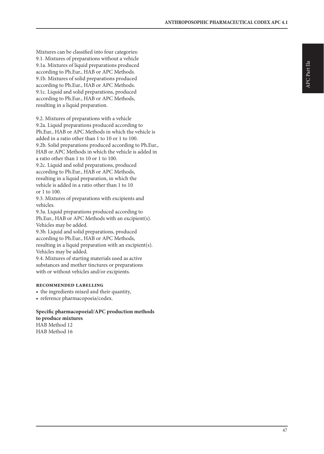Mixtures can be classified into four categories: 9.1. Mixtures of preparations without a vehicle 9.1a. Mixtures of liquid preparations produced according to Ph.Eur., HAB or APC Methods. 9.1b. Mixtures of solid preparations produced according to Ph.Eur., HAB or APC Methods. 9.1c. Liquid and solid preparations, produced according to Ph.Eur., HAB or APC Methods, resulting in a liquid preparation.

9.2. Mixtures of preparations with a vehicle 9.2a. Liquid preparations produced according to Ph.Eur., HAB or APC Methods in which the vehicle is added in a ratio other than 1 to 10 or 1 to 100. 9.2b. Solid preparations produced according to Ph.Eur., HAB or APC Methods in which the vehicle is added in a ratio other than 1 to 10 or 1 to 100. 9.2c. Liquid and solid preparations, produced

according to Ph.Eur., HAB or APC Methods, resulting in a liquid preparation, in which the vehicle is added in a ratio other than 1 to 10 or 1 to 100.

9.3. Mixtures of preparations with excipients and vehicles.

9.3a. Liquid preparations produced according to Ph.Eur., HAB or APC Methods with an excipient(s). Vehicles may be added.

9.3b. Liquid and solid preparations, produced according to Ph.Eur., HAB or APC Methods, resulting in a liquid preparation with an excipient(s). Vehicles may be added.

9.4. Mixtures of starting materials used as active substances and mother tinctures or preparations with or without vehicles and/or excipients.

#### **recommended labelling**

- the ingredients mixed and their quantity,
- reference pharmacopoeia/codex.

## **Specific pharmacopoeial/APC production methods**

**to produce mixtures** HAB Method 12 HAB Method 16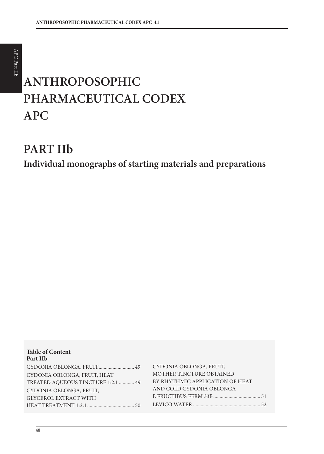# **ANTHROPOSOPHIC PHARMACEUTICAL CODEX APC**

## **PART IIb**

**Individual monographs of starting materials and preparations**

| <b>Table of Content</b><br>Part IIb |                                 |
|-------------------------------------|---------------------------------|
| CYDONIA OBLONGA, FRUIT 49           | CYDONIA OBLONGA, FRUIT,         |
| CYDONIA OBLONGA, FRUIT, HEAT        | MOTHER TINCTURE OBTAINED        |
| TREATED AQUEOUS TINCTURE 1:2.1  49  | BY RHYTHMIC APPLICATION OF HEAT |
| CYDONIA OBLONGA, FRUIT,             | AND COLD CYDONIA OBLONGA        |
| <b>GLYCEROL EXTRACT WITH</b>        |                                 |
|                                     |                                 |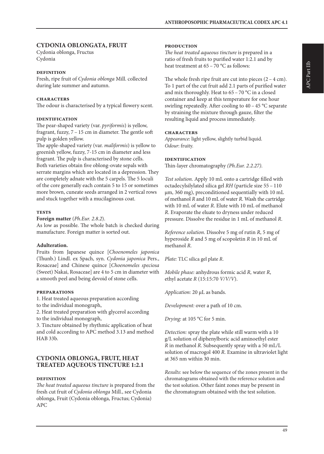## **CYDONIA OBLONGATA, FRUIT**

Cydonia oblonga, Fructus Cydonia

#### **definition**

Fresh, ripe fruit of *Cydonia oblonga* Mill. collected during late summer and autumn.

#### **characters**

The odour is characterised by a typical flowery scent.

#### **identification**

The pear-shaped variety (var. *pyriformis*) is yellow, fragrant, fuzzy, 7 – 15 cm in diameter. The gentle soft pulp is golden yellow.

The apple-shaped variety (var. *maliformis*) is yellow to greenish yellow, fuzzy, 7-15 cm in diameter and less fragrant. The pulp is characterised by stone cells. Both varieties obtain five oblong-ovate sepals with serrate margins which are located in a depression. They are completely adnate with the 5 carpels. The 5 loculi of the core generally each contain 5 to 15 or sometimes more brown, cuneate seeds arranged in 2 vertical rows and stuck together with a mucilaginous coat.

#### **tests**

**Foreign matter** (*Ph.Eur. 2.8.2*).

As low as possible. The whole batch is checked during manufacture. Foreign matter is sorted out.

## **Adulteration.**

Fruits from Japanese quince [*Choenomeles japonica* (Thunb.) Lindl. ex Spach, syn. *Cydonia japonica* Pers., Rosaceae] and Chinese quince [*Choenomeles speciosa* (Sweet) Nakai, Rosaceae] are 4 to 5 cm in diameter with a smooth peel and being devoid of stone cells.

#### **preparations**

1. Heat treated aqueous preparation according to the individual monograph,

2. Heat treated preparation with glycerol according to the individual monograph,

3. Tincture obtained by rhythmic application of heat and cold according to APC method 3.13 and method HAB 33b.

#### **CYDONIA OBLONGA, FRUIT, HEAT TREATED AQUEOUS TINCTURE 1:2.1**

#### **definition**

*The heat treated aqueous tincture* is prepared from the fresh cut fruit of *Cydonia oblonga* Mill., see Cydonia oblonga, Fruit (Cydonia oblonga, Fructus; Cydonia) APC

#### **production**

*The heat treated aqueous tincture* is prepared in a ratio of fresh fruits to purified water 1:2.1 and by heat treatment at 65 – 70 °C as follows:

The whole fresh ripe fruit are cut into pieces  $(2 - 4$  cm). To 1 part of the cut fruit add 2.1 parts of purified water and mix thoroughly. Heat to 65 – 70 °C in a closed container and keep at this temperature for one hour swirling repeatedly. After cooling to 40 – 45 °C separate by straining the mixture through gauze, filter the resulting liquid and process immediately.

#### **characters**

*Appearance*: light yellow, slightly turbid liquid. *Odour*: fruity.

#### **identification**

Thin-layer chromatography *(Ph.Eur. 2.2.27)*.

*Test solution.* Apply 10 mL onto a cartridge filled with octadecylsilylated silica gel *RH* (particle size 55 – 110 µm, 360 mg), preconditioned sequentially with 10 mL of methanol *R* and 10 mL of water *R*. Wash the cartridge with 10 mL of water *R*. Elute with 10 mL of methanol *R*. Evaporate the eluate to dryness under reduced pressure. Dissolve the residue in 1 mL of methanol *R*.

*Reference solution.* Dissolve 5 mg of rutin *R*, 5 mg of hyperoside *R* and 5 mg of scopoletin *R* in 10 mL of methanol *R.*

*Plate:* TLC silica gel plate *R*.

*Mobile phase:* anhydrous formic acid *R,* water *R*, ethyl acetate *R* (15:15:70 *V/V/V*).

*Application:* 20 µL as bands.

*Development:* over a path of 10 cm.

*Drying:* at 105 °C for 5 min.

*Detection:* spray the plate while still warm with a 10 g/L solution of diphenylboric acid aminoethyl ester *R* in methanol *R*. Subsequently spray with a 50 mL/L solution of macrogol 400 *R*. Examine in ultraviolet light at 365 nm within 30 min.

*Results:* see below the sequence of the zones present in the chromatograms obtained with the reference solution and the test solution. Other faint zones may be present in the chromatogram obtained with the test solution.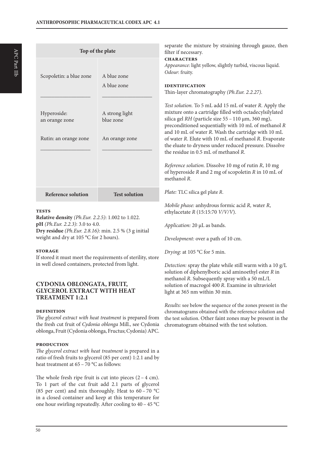| Top of the plate                                       |                                               | separate the mixture by straining through gauze, then<br>filter if necessary.                                                                                                                                                                                                                                                                                                                                                                                                                                                                                                            |  |  |
|--------------------------------------------------------|-----------------------------------------------|------------------------------------------------------------------------------------------------------------------------------------------------------------------------------------------------------------------------------------------------------------------------------------------------------------------------------------------------------------------------------------------------------------------------------------------------------------------------------------------------------------------------------------------------------------------------------------------|--|--|
| Scopoletin: a blue zone                                | A blue zone                                   | <b>CHARACTERS</b><br>Appearance: light yellow, slightly turbid, viscous liquid.<br>Odour: fruity.                                                                                                                                                                                                                                                                                                                                                                                                                                                                                        |  |  |
|                                                        | A blue zone                                   | <b>IDENTIFICATION</b><br>Thin-layer chromatography (Ph.Eur. 2.2.27).                                                                                                                                                                                                                                                                                                                                                                                                                                                                                                                     |  |  |
| Hyperoside:<br>an orange zone<br>Rutin: an orange zone | A strong light<br>blue zone<br>An orange zone | Test solution. To 5 mL add 15 mL of water R. Apply the<br>mixture onto a cartridge filled with octadecylsilylated<br>silica gel RH (particle size 55 - 110 μm, 360 mg),<br>preconditioned sequentially with 10 mL of methanol R<br>and 10 mL of water R. Wash the cartridge with 10 mL<br>of water R. Elute with 10 mL of methanol R. Evaporate<br>the eluate to dryness under reduced pressure. Dissolve<br>the residue in 0.5 mL of methanol R.<br>Reference solution. Dissolve 10 mg of rutin R, 10 mg<br>of hyperoside $R$ and $2$ mg of scopoletin $R$ in $10$ mL of<br>methanol R. |  |  |
| <b>Reference solution</b>                              | <b>Test solution</b>                          | Plate: TLC silica gel plate R.                                                                                                                                                                                                                                                                                                                                                                                                                                                                                                                                                           |  |  |
| <b>THEORO</b>                                          |                                               | Mobile phase: anhydrous formic acid R, water R,<br>$1 1$ $1 1$ $1 1$ $1 1 1$                                                                                                                                                                                                                                                                                                                                                                                                                                                                                                             |  |  |

**Relative density** *(Ph.Eur. 2.2.5)*: 1.002 to 1.022. **pH** *(Ph.Eur. 2.2.3)*: 3.0 to 4.0. **Dry residue** *(Ph.Eur. 2.8.16)*: min. 2.5 % (3 g initial weight and dry at 105 °C for 2 hours).

#### **storage**

If stored it must meet the requirements of sterility, store in well closed containers, protected from light.

## **CYDONIA OBLONGATA, FRUIT, GLYCEROL EXTRACT WITH HEAT TREATMENT 1:2.1**

#### **definition**

*The glycerol extract with heat treatment* is prepared from the fresh cut fruit of *Cydonia oblonga* Mill., see Cydonia oblonga, Fruit (Cydonia oblonga, Fructus; Cydonia) APC.

#### **production**

*The glycerol extract with heat treatment* is prepared in a ratio of fresh fruits to glycerol (85 per cent) 1:2.1 and by heat treatment at 65 – 70 °C as follows:

The whole fresh ripe fruit is cut into pieces  $(2 - 4$  cm). To 1 part of the cut fruit add 2.1 parts of glycerol (85 per cent) and mix thoroughly. Heat to 60 – 70 °C in a closed container and keep at this temperature for one hour swirling repeatedly. After cooling to 40 – 45 °C

50

ethylacetate *R* (15:15:70 *V/V/V*).

*Application:* 20 µL as bands.

*Development:* over a path of 10 cm.

*Drying:* at 105 °C for 5 min.

*Detection:* spray the plate while still warm with a 10 g/L solution of diphenylboric acid aminoethyl ester *R* in methanol *R*. Subsequently spray with a 50 mL/L solution of macrogol 400 *R*. Examine in ultraviolet light at 365 nm within 30 min.

*Results:* see below the sequence of the zones present in the chromatograms obtained with the reference solution and the test solution. Other faint zones may be present in the chromatogram obtained with the test solution.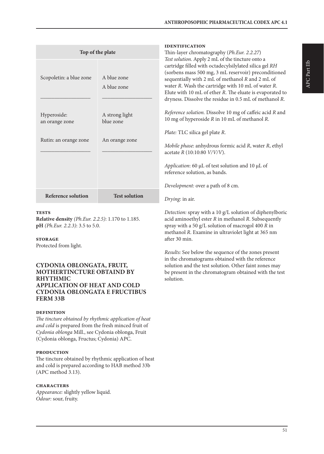| Top of the plate              |                             | <b>IDENTIFICATION</b><br>Thin-layer chromatography (Ph.Eur. 2.2.27)<br>Test solution. Apply 2 mL of the tincture onto a                                                                                                                                                                                                                        |  |
|-------------------------------|-----------------------------|------------------------------------------------------------------------------------------------------------------------------------------------------------------------------------------------------------------------------------------------------------------------------------------------------------------------------------------------|--|
| Scopoletin: a blue zone       | A blue zone<br>A blue zone  | cartridge filled with octadecylsilylated silica gel RH<br>(sorbens mass 500 mg, 3 mL reservoir) preconditioned<br>sequentially with 2 mL of methanol R and 2 mL of<br>water R. Wash the cartridge with 10 mL of water R.<br>Elute with 10 mL of ether R. The eluate is evaporated to<br>dryness. Dissolve the residue in 0.5 mL of methanol R. |  |
| Hyperoside:<br>an orange zone | A strong light<br>blue zone | Reference solution. Dissolve 10 mg of caffeic acid R and<br>10 mg of hyperoside R in 10 mL of methanol R.                                                                                                                                                                                                                                      |  |
| Rutin: an orange zone         | An orange zone              | Plate: TLC silica gel plate R.<br><i>Mobile phase:</i> anhydrous formic acid R, water R, ethyl<br>acetate $R(10:10:80 \frac{V}{V/V}).$<br>Application: 60 $\mu$ L of test solution and 10 $\mu$ L of<br>reference solution, as bands.<br>Development: over a path of 8 cm.                                                                     |  |
| <b>Reference solution</b>     | <b>Test solution</b>        | Drying: in air.                                                                                                                                                                                                                                                                                                                                |  |
|                               |                             |                                                                                                                                                                                                                                                                                                                                                |  |

**Relative density** *(Ph.Eur. 2.2.5)*: 1.170 to 1.185. **pH** *(Ph.Eur. 2.2.3)*: 3.5 to 5.0.

#### **storage**

Protected from light.

#### **CYDONIA OBLONGATA, FRUIT, MOTHERTINCTURE OBTAIND BY RHYTHMIC APPLICATION OF HEAT AND COLD CYDONIA OBLONGATA E FRUCTIBUS FERM 33B**

#### **definition**

*The tincture obtained by rhythmic application of heat and cold* is prepared from the fresh minced fruit of *Cydonia oblonga* Mill., see Cydonia oblonga, Fruit (Cydonia oblonga, Fructus; Cydonia) APC.

#### **production**

The tincture obtained by rhythmic application of heat and cold is prepared according to HAB method 33b (APC method 3.13).

#### **characters**

*Appearance:* slightly yellow liquid. *Odour:* sour, fruity.

*Detection:* spray with a 10 g/L solution of diphenylboric acid aminoethyl ester *R* in methanol *R*. Subsequently spray with a 50 g/L solution of macrogol 400 *R* in methanol *R*. Examine in ultraviolet light at 365 nm after 30 min.

*Results:* See below the sequence of the zones present in the chromatograms obtained with the reference solution and the test solution. Other faint zones may be present in the chromatogram obtained with the test solution.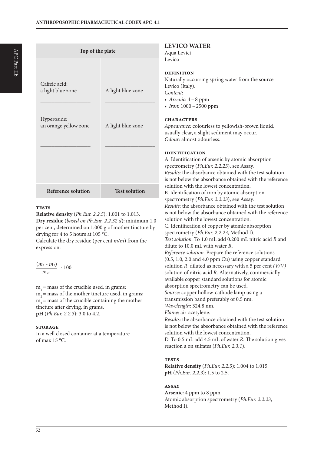| Top of the plate                                                           |                                        |                                                                                 |
|----------------------------------------------------------------------------|----------------------------------------|---------------------------------------------------------------------------------|
| Caffeic acid:<br>a light blue zone<br>Hyperoside:<br>an orange yellow zone | A light blue zone<br>A light blue zone | ł<br>I<br>I<br>ľ<br>I<br>$\overline{\mathcal{L}}$<br>$\mathbf C$<br>£<br>ľ<br>0 |
| <b>Reference solution</b>                                                  | <b>Test solution</b>                   | I<br>ł<br>S<br>I<br>$\mathbf{i}$<br>S<br>F                                      |

**Relative density** (*Ph.Eur. 2.2.5*): 1.001 to 1.013. **Dry residue** (*based on Ph.Eur. 2.2.32 d*): minimum 1.0 per cent, determined on 1.000 g of mother tincture by drying for 4 to 5 hours at 105 °C.

Calculate the dry residue (per cent *m/m*) from the expression:

$$
\frac{(m_3-m_1)}{m_2}\; \cdot 100
$$

 $m<sub>i</sub>$  = mass of the crucible used, in grams;  $m<sub>2</sub>$  = mass of the mother tincture used, in grams;  $m<sub>3</sub>$  = mass of the crucible containing the mother tincture after drying, in grams. **pH** (*Ph.Eur. 2.2.3*): 3.0 to 4.2.

#### **storage**

In a well closed container at a temperature of max 15 °C.

## **LEVICO WATER**

Aqua Levici  $evico$ 

#### **definition**

Naturally occurring spring water from the source Levico (Italy). *Content*: *• Arsenic*: 4 – 8 ppm

*• Iron*: 1000 – 2500 ppm

#### **characters**

*Appearance:* colourless to yellowish-brown liquid, usually clear, a slight sediment may occur. *Odour:* almost odourless.

#### **identification**

A. Identification of arsenic by atomic absorption spectrometry (*Ph.Eur. 2.2.23*), see Assay. *Results*: the absorbance obtained with the test solution is not below the absorbance obtained with the reference solution with the lowest concentration. B. Identification of iron by atomic absorption spectrometry (*Ph.Eur. 2.2.23*), see Assay. *Results*: the absorbance obtained with the test solution is not below the absorbance obtained with the reference solution with the lowest concentration. C. Identification of copper by atomic absorption spectrometry (*Ph.Eur. 2.2.23*, Method I). *Test solution.* To 1.0 mL add 0.200 mL nitric acid *R* and dilute to 10.0 mL with water *R*. *Reference solution.* Prepare the reference solutions (0.5, 1.0, 2.0 and 4.0 ppm Cu) using copper standard solution *R*, diluted as necessary with a 5 per cent *(V/V)* solution of nitric acid *R*. Alternatively, commercially available copper standard solutions for atomic absorption spectrometry can be used. *Source*: copper hollow-cathode lamp using a transmission band preferably of 0.5 nm. *Wavelength*: 324.8 nm. *Flame*: air-acetylene. *Results*: the absorbance obtained with the test solution is not below the absorbance obtained with the reference solution with the lowest concentration. D. To 0.5 mL add 4.5 mL of water *R*. The solution gives reaction a on sulfates (*Ph.Eur. 2.3.1*).

#### **tests**

**Relative density** (*Ph.Eur. 2.2.5*): 1.004 to 1.015. **pH** (*Ph.Eur. 2.2.3*): 1.5 to 2.5.

#### **assay**

**Arsenic:** 4 ppm to 8 ppm. Atomic absorption spectrometry (*Ph.Eur. 2.2.23*, Method I).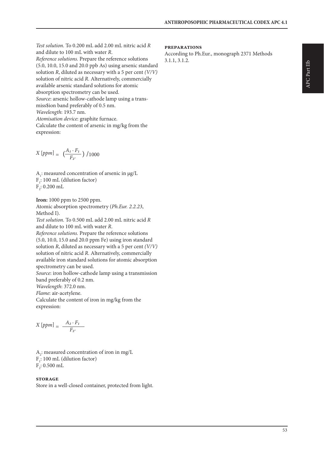*Test solution.* To 0.200 mL add 2.00 mL nitric acid *R* and dilute to 100 mL with water *R*. *Reference solutions.* Prepare the reference solutions (5.0, 10.0, 15.0 and 20.0 ppb As) using arsenic standard solution *R*, diluted as necessary with a 5 per cent *(V/V)* solution of nitric acid *R*. Alternatively, commercially available arsenic standard solutions for atomic absorption spectrometry can be used. *Source*: arsenic hollow-cathode lamp using a transmiss\$ion band preferably of 0.5 nm. *Wavelength*: 193.7 nm. *Atomisation device*: graphite furnace. Calculate the content of arsenic in mg/kg from the expression:

$$
X\left[ppm\right] = \left(\frac{A_1 \cdot F_1}{F_2}\right) / 1000
$$

 $A<sub>1</sub>$ : measured concentration of arsenic in  $\mu$ g/L  $F_i$ : 100 mL (dilution factor)  $\mathrm{F}_2$ : 0.200 mL

**Iron:** 1000 ppm to 2500 ppm. Atomic absorption spectrometry (*Ph.Eur. 2.2.23*, Method I).

*Test solution.* To 0.500 mL add 2.00 mL nitric acid *R* and dilute to 100 mL with water *R*. *Reference solutions.* Prepare the reference solutions (5.0, 10.0, 15.0 and 20.0 ppm Fe) using iron standard solution *R*, diluted as necessary with a 5 per cent *(V/V)* solution of nitric acid *R*. Alternatively, commercially available iron standard solutions for atomic absorption spectrometry can be used. *Source*: iron hollow-cathode lamp using a transmission

band preferably of 0.2 nm. *Wavelength*: 372.0 nm. *Flame*: air-acetylene. Calculate the content of iron in mg/kg from the expression:

$$
X\left[ppm\right] = \frac{A_2 \cdot F_1}{F_2}
$$

 $A_2$ : measured concentration of iron in mg/L  $F_i$ : 100 mL (dilution factor)  $F_2$ : 0.500 mL

#### **storage**

Store in a well-closed container, protected from light.

#### **preparations**

According to Ph.Eur., monograph 2371 Methods 3.1.1, 3.1.2.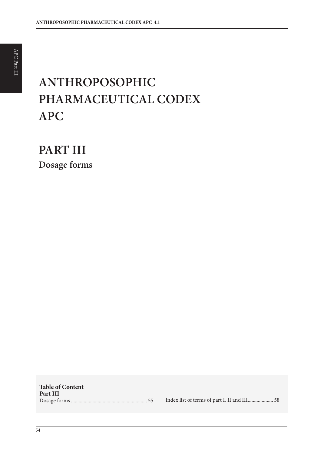# **ANTHROPOSOPHIC PHARMACEUTICAL CODEX APC**

**PART III Dosage forms**

**Table of Content Part III** Dosage forms ............................................................ 55 Index list of terms of part I, II and III.................... 58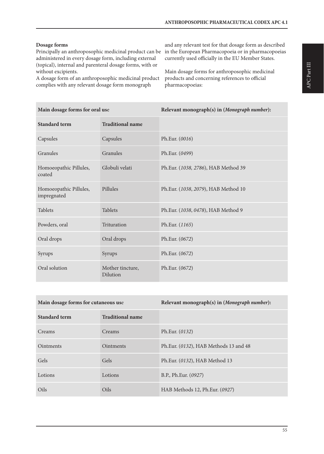#### **Dosage forms**

Principally an anthroposophic medicinal product can be in the European Pharmacopoeia or in pharmacopoeias administered in every dosage form, including external (topical), internal and parenteral dosage forms, with or without excipients.

A dosage form of an anthroposophic medicinal product complies with any relevant dosage form monograph

and any relevant test for that dosage form as described currently used officially in the EU Member States.

Main dosage forms for anthroposophic medicinal products and concerning references to official pharmacopoeias:

| Main dosage forms for oral use        |                              | Relevant monograph(s) in (Monograph number): |
|---------------------------------------|------------------------------|----------------------------------------------|
| <b>Standard term</b>                  | <b>Traditional name</b>      |                                              |
| Capsules                              | Capsules                     | Ph.Eur. (0016)                               |
| Granules                              | Granules                     | Ph.Eur. (0499)                               |
| Homoeopathic Pillules,<br>coated      | Globuli velati               | Ph.Eur. (1038, 2786), HAB Method 39          |
| Homoeopathic Pillules,<br>impregnated | Pillules                     | Ph.Eur. (1038, 2079), HAB Method 10          |
| <b>Tablets</b>                        | <b>Tablets</b>               | Ph.Eur. (1038, 0478), HAB Method 9           |
| Powders, oral                         | Trituration                  | Ph.Eur. (1165)                               |
| Oral drops                            | Oral drops                   | Ph.Eur. (0672)                               |
| Syrups                                | Syrups                       | Ph.Eur. (0672)                               |
| Oral solution                         | Mother tincture,<br>Dilution | Ph.Eur. (0672)                               |

| Main dosage forms for cutaneous use |                         | Relevant monograph(s) in (Monograph number): |
|-------------------------------------|-------------------------|----------------------------------------------|
| <b>Standard term</b>                | <b>Traditional name</b> |                                              |
| Creams                              | Creams                  | Ph.Eur. $(0132)$                             |
| <b>Ointments</b>                    | <b>Ointments</b>        | Ph.Eur. (0132), HAB Methods 13 and 48        |
| Gels                                | Gels                    | Ph.Eur. (0132), HAB Method 13                |
| Lotions                             | Lotions                 | B.P., Ph.Eur. (0927)                         |
| Oils                                | Oils                    | HAB Methods 12, Ph.Eur. (0927)               |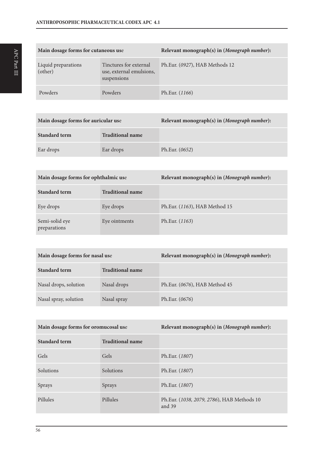| Main dosage forms for cutaneous use |                                                                   | Relevant monograph(s) in (Monograph number): |
|-------------------------------------|-------------------------------------------------------------------|----------------------------------------------|
| Liquid preparations<br>(other)      | Tinctures for external<br>use, external emulsions,<br>suspensions | Ph.Eur. (0927), HAB Methods 12               |
| Powders                             | Powders                                                           | Ph.Eur. (1166)                               |

| Main dosage forms for auricular use |                         | Relevant monograph(s) in (Monograph number): |
|-------------------------------------|-------------------------|----------------------------------------------|
| Standard term                       | <b>Traditional name</b> |                                              |
| Ear drops                           | Ear drops               | Ph.Eur. (0652)                               |

| Main dosage forms for ophthalmic use |                         | Relevant monograph(s) in (Monograph number): |
|--------------------------------------|-------------------------|----------------------------------------------|
| Standard term                        | <b>Traditional name</b> |                                              |
| Eye drops                            | Eye drops               | Ph.Eur. (1163), HAB Method 15                |
| Semi-solid eye<br>preparations       | Eye ointments           | Ph.Eur. (1163)                               |

| Main dosage forms for nasal use |                         | Relevant monograph(s) in (Monograph number): |
|---------------------------------|-------------------------|----------------------------------------------|
| <b>Standard term</b>            | <b>Traditional name</b> |                                              |
| Nasal drops, solution           | Nasal drops             | Ph.Eur. (0676), HAB Method 45                |
| Nasal spray, solution           | Nasal spray             | Ph.Eur. (0676)                               |

| Main dosage forms for oromucosal use |                         | Relevant monograph(s) in (Monograph number):         |
|--------------------------------------|-------------------------|------------------------------------------------------|
| <b>Standard term</b>                 | <b>Traditional name</b> |                                                      |
| Gels                                 | Gels                    | Ph.Eur. (1807)                                       |
| Solutions                            | Solutions               | Ph.Eur. (1807)                                       |
| Sprays                               | Sprays                  | Ph.Eur. (1807)                                       |
| Pillules                             | Pillules                | Ph.Eur. (1038, 2079, 2786), HAB Methods 10<br>and 39 |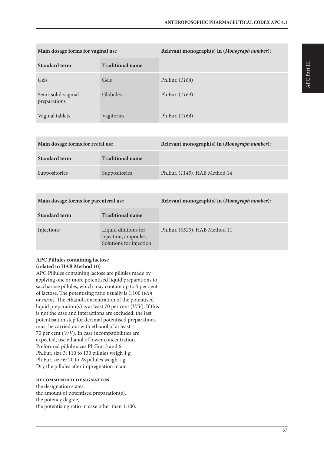| Main dosage forms for vaginal use  |                         | Relevant monograph(s) in (Monograph number): |
|------------------------------------|-------------------------|----------------------------------------------|
| <b>Standard term</b>               | <b>Traditional name</b> |                                              |
| Gels                               | Gels                    | Ph.Eur. (1164)                               |
| Semi-solid vaginal<br>preparations | Globules                | Ph.Eur. (1164)                               |
| Vaginal tablets                    | Vagitories              | Ph.Eur. (1164)                               |

| Main dosage forms for rectal use |                         | Relevant monograph(s) in (Monograph number): |
|----------------------------------|-------------------------|----------------------------------------------|
| <b>Standard term</b>             | <b>Traditional name</b> |                                              |
| Suppositories                    | Suppositories           | Ph.Eur. (1145), HAB Method 14                |

| Main dosage forms for parenteral use |                                                                         | Relevant monograph(s) in (Monograph number): |
|--------------------------------------|-------------------------------------------------------------------------|----------------------------------------------|
| <b>Standard term</b>                 | <b>Traditional name</b>                                                 |                                              |
| Injections                           | Liquid dilutions for<br>injection, ampoules,<br>Solutions for injection | Ph.Eur. (0520), HAB Method 11                |

## **APC Pillules containing lactose (related to HAB Method 10)**

APC Pillules containing lactose are pillules made by applying one or more potentised liquid preparations to saccharose pillules, which may contain up to 5 per cent of lactose. The potentising ratio usually is 1:100 (*v/m* or *m/m)*. The ethanol concentration of the potentised liquid preparation(s) is at least 70 per cent (*V/V*). If this is not the case and interactions are excluded, the last potentisation step for decimal potentised preparations must be carried out with ethanol of at least 70 per cent (*V/V*). In case incompatibilities are expected, use ethanol of lower concentration. Preformed pillule sizes Ph.Eur. 3 and 6: Ph.Eur. size 3: 110 to 130 pillules weigh 1 g Ph.Eur. size 6: 20 to 28 pillules weigh 1 g. Dry the pillules after impregnation in air.

#### **recommended designation**

the designation states: the amount of potentised preparation(s), the potency degree, the potentising ratio in case other than 1:100. APC Part III

APC Part III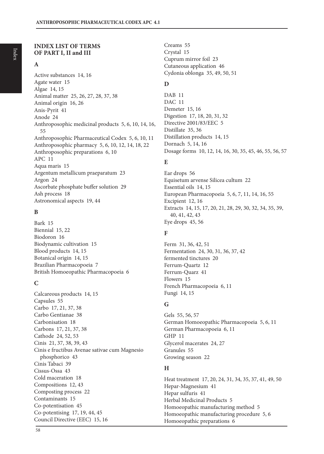## **INDEX LIST OF TERMS OF PART I, II and III**

## **A**

Active substances 14, 16 Agate water 15 Algae 14, 15 Animal matter 25, 26, 27, 28, 37, 38 Animal origin 16, 26 Anis-Pyrit 41 Anode 24 Anthroposophic medicinal products 5, 6, 10, 14, 16, 55 Anthroposophic Pharmaceutical Codex 5, 6, 10, 11 Anthroposophic pharmacy 5, 6, 10, 12, 14, 18, 22 Anthroposophic preparations 6, 10 APC 11 Aqua maris 15 Argentum metallicum praeparatum 23 Argon 24 Ascorbate phosphate buffer solution 29 Ash process 18 Astronomical aspects 19, 44

## **B**

Bark 15 Biennial 15, 22 Biodoron 16 Biodynamic cultivation 15 Blood products 14, 15 Botanical origin 14, 15 Brazilian Pharmacopoeia 7 British Homoeopathic Pharmacopoeia 6

## **C**

Calcareous products 14, 15 Capsules 55 Carbo 17, 21, 37, 38 Carbo Gentianae 38 Carbonisation 18 Carbons 17, 21, 37, 38 Cathode 24, 52, 53 Cinis 21, 37, 38, 39, 43 Cinis e fructibus Avenae sativae cum Magnesio phosphorico 43 Cinis Tabaci 39 Cissus-Ossa 43 Cold maceration 18 Compositions 12, 43 Composting process 22 Contaminants 15 Co-potentisation 45 Co-potentising 17, 19, 44, 45 Council Directive (EEC) 15, 16

Creams 55 Crystal 15 Cuprum mirror foil 23 Cutaneous application 46 Cydonia oblonga 35, 49, 50, 51

## **D**

DAB 11 DAC 11 Demeter 15, 16 Digestion 17, 18, 20, 31, 32 Directive 2001/83/EEC 5 Distillate 35, 36 Distillation products 14, 15 Dornach 5, 14, 16 Dosage forms 10, 12, 14, 16, 30, 35, 45, 46, 55, 56, 57

## **E**

Ear drops 56 Equisetum arvense Silicea cultum 22 Essential oils 14, 15 European Pharmacopoeia 5, 6, 7, 11, 14, 16, 55 Excipient 12, 16 Extracts 14, 15, 17, 20, 21, 28, 29, 30, 32, 34, 35, 39, 40, 41, 42, 43 Eye drops 45, 56

## **F**

Ferm 31, 36, 42, 51 Fermentation 24, 30, 31, 36, 37, 42 fermented tinctures 20 Ferrum-Quartz 12 Ferrum-Quarz 41 Flowers 15 French Pharmacopoeia 6, 11 Fungi 14, 15

## **G**

Gels 55, 56, 57 German Homoeopathic Pharmacopoeia 5, 6, 11 German Pharmacopoeia 6, 11 GHP 11 Glycerol macerates 24, 27 Granules 55 Growing season 22

## **H**

Heat treatment 17, 20, 24, 31, 34, 35, 37, 41, 49, 50 Hepar-Magnesium 41 Hepar sulfuris 41 Herbal Medicinal Products 5 Homoeopathic manufacturing method 5 Homoeopathic manufacturing procedure 5, 6 Homoeopathic preparations 6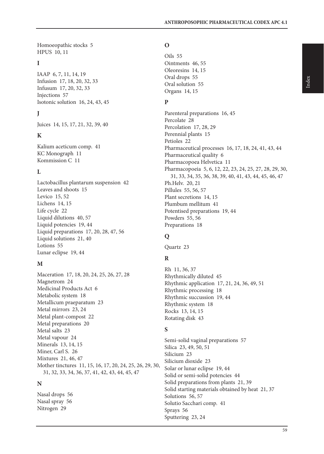Homoeopathic stocks 5 HPUS 10, 11

## **I**

IAAP 6, 7, 11, 14, 19 Infusion 17, 18, 20, 32, 33 Infusum 17, 20, 32, 33 Injections 57 Isotonic solution 16, 24, 43, 45

## **J**

Juices 14, 15, 17, 21, 32, 39, 40

## **K**

Kalium aceticum comp. 41 KC Monograph 11 Kommission C 11

## **L**

Lactobacillus plantarum suspension 42 Leaves and shoots 15 Levico 15, 52 Lichens 14, 15 Life cycle 22 Liquid dilutions 40, 57 Liquid potencies 19, 44 Liquid preparations 17, 20, 28, 47, 56 Liquid solutions 21, 40 Lotions 55 Lunar eclipse 19, 44

## **M**

Maceration 17, 18, 20, 24, 25, 26, 27, 28 Magnetrom 24 Medicinal Products Act 6 Metabolic system 18 Metallicum praeparatum 23 Metal mirrors 23, 24 Metal plant-compost 22 Metal preparations 20 Metal salts 23 Metal vapour 24 Minerals 13, 14, 15 Miner, Carl S. 26 Mixtures 21, 46, 47 Mother tinctures 11, 15, 16, 17, 20, 24, 25, 26, 29, 30, 31, 32, 33, 34, 36, 37, 41, 42, 43, 44, 45, 47

## **N**

Nasal drops 56 Nasal spray 56 Nitrogen 29

## **O**

Oils 55 Ointments 46, 55 Oleoresins 14, 15 Oral drops 55 Oral solution 55 Organs 14, 15

## **P**

Parenteral preparations 16, 45 Percolate 28 Percolation 17, 28, 29 Perennial plants 15 Petioles 22 Pharmaceutical processes 16, 17, 18, 24, 41, 43, 44 Pharmaceutical quality 6 Pharmacopoea Helvetica 11 Pharmacopoeia 5, 6, 12, 22, 23, 24, 25, 27, 28, 29, 30, 31, 33, 34, 35, 36, 38, 39, 40, 41, 43, 44, 45, 46, 47 Ph.Helv. 20, 21 Pillules 55, 56, 57 Plant secretions 14, 15 Plumbum mellitum 41 Potentised preparations 19, 44 Powders 55, 56 Preparations 18

## **Q**

Quartz 23

## **R**

Rh 11, 36, 37 Rhythmically diluted 45 Rhythmic application 17, 21, 24, 36, 49, 51 Rhythmic processing 18 Rhythmic succussion 19, 44 Rhythmic system 18 Rocks 13, 14, 15 Rotating disk 43

## **S**

Semi-solid vaginal preparations 57 Silica 23, 49, 50, 51 Silicium 23 Silicium dioxide 23 Solar or lunar eclipse 19, 44 Solid or semi-solid potencies 44 Solid preparations from plants 21, 39 Solid starting materials obtained by heat 21, 37 Solutions 56, 57 Solutio Sacchari comp. 41 Sprays 56 Sputtering 23, 24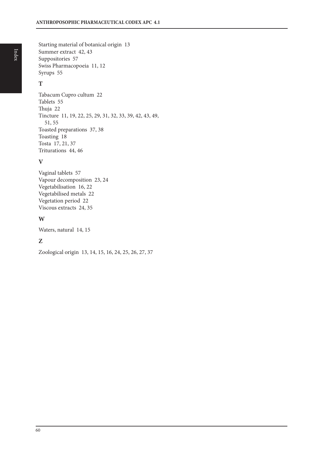Starting material of botanical origin 13 Summer extract 42, 43 Suppositories 57 Swiss Pharmacopoeia 11, 12 Syrups 55

## **T**

Tabacum Cupro cultum 22 Tablets 55 Thuja 22 Tincture 11, 19, 22, 25, 29, 31, 32, 33, 39, 42, 43, 49, 51, 55 Toasted preparations 37, 38 Toasting 18 Tosta 17, 21, 37 Triturations 44, 46

## **V**

Vaginal tablets 57 Vapour decomposition 23, 24 Vegetabilisation 16, 22 Vegetabilised metals 22 Vegetation period 22 Viscous extracts 24, 35

## **W**

Waters, natural 14, 15

## **Z**

Zoological origin 13, 14, 15, 16, 24, 25, 26, 27, 37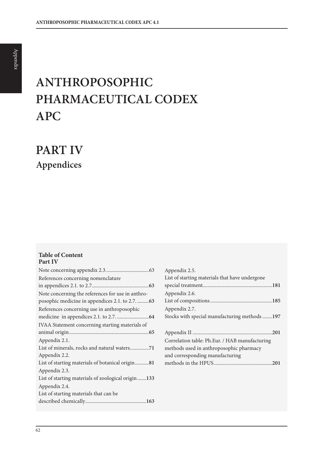# **ANTHROPOSOPHIC PHARMACEUTICAL CODEX APC**

**PART IV Appendices**

#### **Table of Content Part IV**

| References concerning nomenclature                  |
|-----------------------------------------------------|
|                                                     |
| Note concerning the references for use in anthro-   |
| posophic medicine in appendices 2.1. to 2.7.  63    |
| References concerning use in anthroposophic         |
|                                                     |
| IVAA Statement concerning starting materials of     |
|                                                     |
| Appendix 2.1.                                       |
|                                                     |
| Appendix 2.2.                                       |
| List of starting materials of botanical origin81    |
| Appendix 2.3.                                       |
| List of starting materials of zoological origin 133 |
| Appendix 2.4.                                       |
| List of starting materials that can be              |
|                                                     |
|                                                     |

| Appendix 2.5.                                  |
|------------------------------------------------|
| List of starting materials that have undergone |
|                                                |
| Appendix 2.6.                                  |
|                                                |
| Appendix 2.7.                                  |
| Stocks with special manufacturing methods197   |
|                                                |
|                                                |
| Correlation table: Ph.Eur. / HAB manufacturing |
| methods used in anthroposophic pharmacy        |
| and corresponding manufacturing                |
|                                                |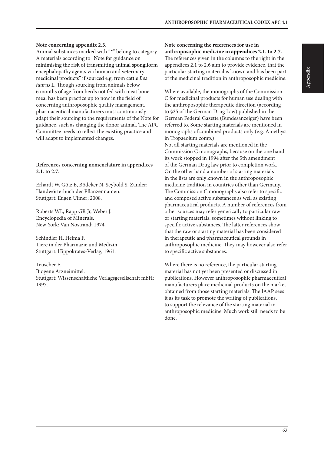#### **Note concerning appendix 2.3.**

Animal substances marked with "\*" belong to category A materials according to "Note for guidance on minimising the risk of transmitting animal spongiform encephalopathy agents via human and veterinary medicinal products" if sourced e.g. from cattle *Bos taurus* L. Though sourcing from animals below 6 months of age from herds not fed with meat bone meal has been practice up to now in the field of concerning anthroposophic quality management, pharmaceutical manufacturers must continuously adapt their sourcing to the requirements of the Note for guidance, such as changing the donor animal. The APC Committee needs to reflect the existing practice and will adapt to implemented changes.

#### **References concerning nomenclature in appendices 2.1. to 2.7.**

Erhardt W, Götz E, Bödeker N, Seybold S. Zander: Handwörterbuch der Pflanzennamen. Stuttgart: Eugen Ulmer; 2008.

Roberts WL, Rapp GR Jr, Weber J. Encyclopedia of Minerals. New York: Van Nostrand; 1974.

Schindler H, Helma F. Tiere in der Pharmazie und Medizin. Stuttgart: Hippokrates-Verlag; 1961.

Teuscher E.

Biogene Arzneimittel. Stuttgart: Wissenschaftliche Verlagsgesellschaft mbH; 1997.

#### **Note concerning the references for use in anthroposophic medicine in appendices 2.1. to 2.7.**

The references given in the columns to the right in the appendices 2.1 to 2.6 aim to provide evidence, that the particular starting material is known and has been part of the medicinal tradition in anthroposophic medicine.

Where available, the monographs of the Commission C for medicinal products for human use dealing with the anthroposophic therapeutic direction (according to §25 of the German Drug Law) published in the German Federal Gazette (Bundesanzeiger) have been referred to. Some starting materials are mentioned in monographs of combined products only (e.g. Amethyst in Tropaeolum comp.)

Not all starting materials are mentioned in the Commission C monographs, because on the one hand its work stopped in 1994 after the 5th amendment of the German Drug law prior to completion work. On the other hand a number of starting materials in the lists are only known in the anthroposophic medicine tradition in countries other than Germany. The Commission C monographs also refer to specific and composed active substances as well as existing pharmaceutical products. A number of references from other sources may refer generically to particular raw or starting materials, sometimes without linking to specific active substances. The latter references show that the raw or starting material has been considered in therapeutic and pharmaceutical grounds in anthroposophic medicine. They may however also refer to specific active substances.

Where there is no reference, the particular starting material has not yet been presented or discussed in publications. However anthroposophic pharmaceutical manufacturers place medicinal products on the market obtained from those starting materials. The IAAP sees it as its task to promote the writing of publications, to support the relevance of the starting material in anthroposophic medicine. Much work still needs to be done.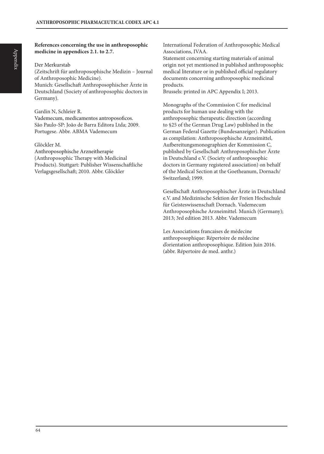#### **References concerning the use in anthroposophic medicine in appendices 2.1. to 2.7.**

#### Der Merkurstab

(Zeitschrift für anthroposophische Medizin – Journal of Anthroposophic Medicine). Munich: Gesellschaft Anthroposophischer Ärzte in

Deutschland (Society of anthroposophic doctors in Germany).

#### Gardin N, Schleier R.

Vademecum, medicamentos antroposoficos. São Paulo-SP: João de Barra Editora Ltda; 2009. Portugese. Abbr. ABMA Vademecum

#### Glöckler M.

Anthroposophische Arzneitherapie (Anthroposophic Therapy with Medicinal Products). Stuttgart: Publisher Wissenschaftliche Verlagsgesellschaft; 2010. Abbr. Glöckler

International Federation of Anthroposophic Medical Associations, IVAA.

Statement concerning starting materials of animal origin not yet mentioned in published anthroposophic medical literature or in published official regulatory documents concerning anthroposophic medicinal products.

Brussels: printed in APC Appendix I; 2013.

Monographs of the Commission C for medicinal products for human use dealing with the anthroposophic therapeutic direction (according to §25 of the German Drug Law) published in the German Federal Gazette (Bundesanzeiger). Publication as compilation: Anthroposophische Arzneimittel, Aufbereitungsmonographien der Kommission C, published by Gesellschaft Anthroposophischer Ärzte in Deutschland e.V. (Society of anthroposophic doctors in Germany registered association) on behalf of the Medical Section at the Goetheanum, Dornach/ Switzerland; 1999.

Gesellschaft Anthroposophischer Ärzte in Deutschland e.V. and Medizinische Sektion der Freien Hochschule für Geisteswissenschaft Dornach. Vademecum Anthroposophische Arzneimittel. Munich (Germany); 2013; 3rd edition 2013. Abbr. Vademecum

Les Associations francaises de médecine anthroposophique: Répertoire de médecine d'orientation anthroposophique. Edition Juin 2016. (abbr. Répertoire de med. anthr.)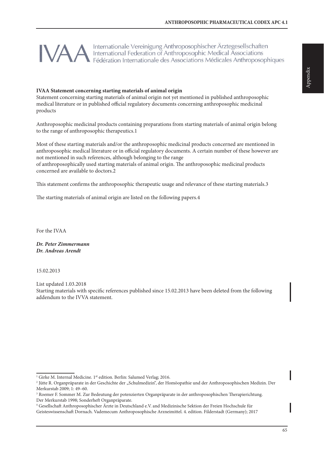Internationale Vereinigung Anthroposophischer Ärztegesellschaften International Federation of Anthroposophic Medical Associations Fédération Internationale des Associations Médicales Anthroposophiques

#### **IVAA Statement concerning starting materials of animal origin**

Statement concerning starting materials of animal origin not yet mentioned in published anthroposophic medical literature or in published official regulatory documents concerning anthroposophic medicinal products

Anthroposophic medicinal products containing preparations from starting materials of animal origin belong to the range of anthroposophic therapeutics.1

Most of these starting materials and/or the anthroposophic medicinal products concerned are mentioned in anthroposophic medical literature or in official regulatory documents. A certain number of these however are not mentioned in such references, although belonging to the range

of anthroposophically used starting materials of animal origin. The anthroposophic medicinal products concerned are available to doctors.2

This statement confirms the anthroposophic therapeutic usage and relevance of these starting materials.3

The starting materials of animal origin are listed on the following papers.4

For the IVAA

*Dr. Peter Zimmermann Dr. Andreas Arendt*

15.02.2013

List updated 1.03.2018 Starting materials with specific references published since 15.02.2013 have been deleted from the following addendum to the IVVA statement.

<sup>&</sup>lt;sup>1</sup> Girke M. Internal Medicine. 1<sup>st</sup> edition. Berlin: Salumed Verlag; 2016.

<sup>&</sup>lt;sup>2</sup> Jütte R. Organpräparate in der Geschichte der "Schulmedizin", der Homöopathie und der Anthroposophischen Medizin. Der Merkurstab 2009; 1: 49–60.

<sup>3</sup> Roemer F. Sommer M. Zur Bedeutung der potenzierten Organpräparate in der anthroposophischen Therapierichtung. Der Merkurstab 1998; Sonderheft Organpräparate.

<sup>4</sup> Gesellschaft Anthroposophischer Ärzte in Deutschland e.V. and Medizinische Sektion der Freien Hochschule für Geisteswissenschaft Dornach. Vademecum Anthroposophische Arzneimittel. 4. edition. Filderstadt (Germany); 2017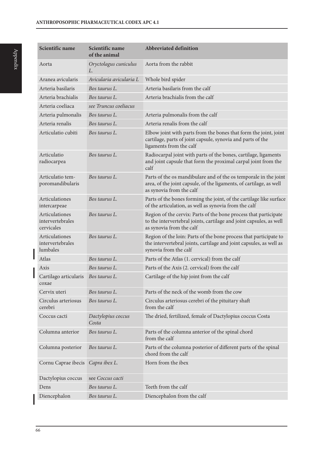| Scientific name                                  | Scientific name<br>of the animal | <b>Abbreviated definition</b>                                                                                                                                       |
|--------------------------------------------------|----------------------------------|---------------------------------------------------------------------------------------------------------------------------------------------------------------------|
| Aorta                                            | Oryctolagus cuniculus<br>L.      | Aorta from the rabbit                                                                                                                                               |
| Aranea avicularis                                | Avicularia avicularia L          | Whole bird spider                                                                                                                                                   |
| Arteria basilaris                                | Bos taurus L.                    | Arteria basilaris from the calf                                                                                                                                     |
| Arteria brachialis                               | Bos taurus L.                    | Arteria brachialis from the calf                                                                                                                                    |
| Arteria coeliaca                                 | see Truncus coeliacus            |                                                                                                                                                                     |
| Arteria pulmonalis                               | Bos taurus L.                    | Arteria pulmonalis from the calf                                                                                                                                    |
| Arteria renalis                                  | Bos taurus L.                    | Arteria renalis from the calf                                                                                                                                       |
| Articulatio cubiti                               | Bos taurus L.                    | Elbow joint with parts from the bones that form the joint, joint<br>cartilage, parts of joint capsule, synovia and parts of the<br>ligaments from the calf          |
| Articulatio<br>radiocarpea                       | Bos taurus L.                    | Radiocarpal joint with parts of the bones, cartilage, ligaments<br>and joint capsule that form the proximal carpal joint from the<br>calf                           |
| Articulatio tem-<br>poromandibularis             | Bos taurus L.                    | Parts of the os mandibulare and of the os temporale in the joint<br>area, of the joint capsule, of the ligaments, of cartilage, as well<br>as synovia from the calf |
| Articulationes<br>intercarpeae                   | Bos taurus L.                    | Parts of the bones forming the joint, of the cartilage like surface<br>of the articulation, as well as synovia from the calf                                        |
| Articulationes<br>intervertebrales<br>cervicales | Bos taurus L.                    | Region of the cervix: Parts of the bone process that participate<br>to the intervertebral joints, cartilage and joint capsules, as well<br>as synovia from the calf |
| Articulationes<br>intervertebrales<br>lumbales   | Bos taurus L.                    | Region of the loin: Parts of the bone process that participate to<br>the intervertebral joints, cartilage and joint capsules, as well as<br>synovia from the calf   |
| Atlas                                            | Bos taurus L.                    | Parts of the Atlas (1. cervical) from the calf                                                                                                                      |
| Axis                                             | Bos taurus L.                    | Parts of the Axis (2. cervical) from the calf                                                                                                                       |
| Cartilago articularis<br>coxae                   | Bos taurus L.                    | Cartilage of the hip joint from the calf                                                                                                                            |
| Cervix uteri                                     | Bos taurus L.                    | Parts of the neck of the womb from the cow                                                                                                                          |
| Circulus arteriosus<br>cerebri                   | Bos taurus L.                    | Circulus arteriosus cerebri of the pituitary shaft<br>from the calf                                                                                                 |
| Coccus cacti                                     | Dactylopius coccus<br>Costa      | The dried, fertilized, female of Dactylopius coccus Costa                                                                                                           |
| Columna anterior                                 | Bos taurus L.                    | Parts of the columna anterior of the spinal chord<br>from the calf                                                                                                  |
| Columna posterior                                | Bos taurus L.                    | Parts of the columna posterior of different parts of the spinal<br>chord from the calf                                                                              |
| Cornu Caprae ibecis                              | Capra ibex L.                    | Horn from the ibex                                                                                                                                                  |
| Dactylopius coccus                               | see Coccus cacti                 |                                                                                                                                                                     |
| Dens                                             | Bos taurus L.                    | Teeth from the calf                                                                                                                                                 |
| Diencephalon                                     | Bos taurus L.                    | Diencephalon from the calf                                                                                                                                          |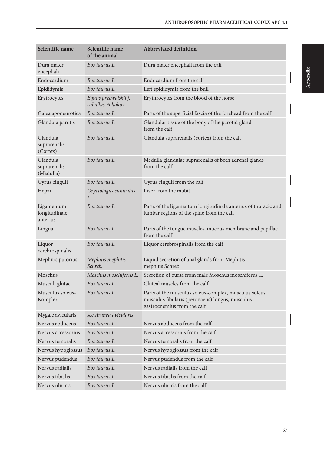| Scientific name                         | Scientific name<br>of the animal          | <b>Abbreviated definition</b>                                                                                                            |
|-----------------------------------------|-------------------------------------------|------------------------------------------------------------------------------------------------------------------------------------------|
| Dura mater<br>encephali                 | Bos taurus L.                             | Dura mater encephali from the calf                                                                                                       |
| Endocardium                             | Bos taurus L.                             | Endocardium from the calf                                                                                                                |
| Epididymis                              | Bos taurus L.                             | Left epididymis from the bull                                                                                                            |
| Erytrocytes                             | Equus przewalskii f.<br>caballus Poliakov | Erythrocytes from the blood of the horse                                                                                                 |
| Galea aponeurotica                      | Bos taurus L.                             | Parts of the superficial fascia of the forehead from the calf                                                                            |
| Glandula parotis                        | Bos taurus L.                             | Glandular tissue of the body of the parotid gland<br>from the calf                                                                       |
| Glandula<br>suprarenalis<br>(Cortex)    | Bos taurus L.                             | Glandula suprarenalis (cortex) from the calf                                                                                             |
| Glandula<br>suprarenalis<br>(Medulla)   | Bos taurus L.                             | Medulla glandulae suprarenalis of both adrenal glands<br>from the calf                                                                   |
| Gyrus cinguli                           | Bos taurus L.                             | Gyrus cinguli from the calf                                                                                                              |
| Hepar                                   | Oryctolagus cuniculus<br>L.               | Liver from the rabbit                                                                                                                    |
| Ligamentum<br>longitudinale<br>anterius | Bos taurus L.                             | Parts of the ligamentum longitudinale anterius of thoracic and<br>lumbar regions of the spine from the calf                              |
| Lingua                                  | Bos taurus L.                             | Parts of the tongue muscles, mucous membrane and papillae<br>from the calf                                                               |
| Liquor<br>cerebrospinalis               | Bos taurus L.                             | Liquor cerebrospinalis from the calf                                                                                                     |
| Mephitis putorius                       | Mephitis mephitis<br>Schreb.              | Liquid secretion of anal glands from Mephitis<br>mephitis Schreb.                                                                        |
| Moschus                                 | Moschus moschiferus L.                    | Secretion of bursa from male Moschus moschiferus L.                                                                                      |
| Musculi glutaei                         | Bos taurus L.                             | Gluteal muscles from the calf                                                                                                            |
| Musculus soleus-<br>Komplex             | Bos taurus L.                             | Parts of the musculus soleus-complex, musculus soleus,<br>musculus fibularis (peronaeus) longus, musculus<br>gastrocnemius from the calf |
| Mygale avicularis                       | see Aranea avicularis                     |                                                                                                                                          |
| Nervus abducens                         | Bos taurus L.                             | Nervus abducens from the calf                                                                                                            |
| Nervus accessorius                      | Bos taurus L.                             | Nervus accessorius from the calf                                                                                                         |
| Nervus femoralis                        | Bos taurus L.                             | Nervus femoralis from the calf                                                                                                           |
| Nervus hypoglossus                      | Bos taurus L.                             | Nervus hypoglossus from the calf                                                                                                         |
| Nervus pudendus                         | Bos taurus L.                             | Nervus pudendus from the calf                                                                                                            |
| Nervus radialis                         | Bos taurus L.                             | Nervus radialis from the calf                                                                                                            |
| Nervus tibialis                         | Bos taurus L.                             | Nervus tibialis from the calf                                                                                                            |
| Nervus ulnaris                          | Bos taurus L.                             | Nervus ulnaris from the calf                                                                                                             |

I

I

I